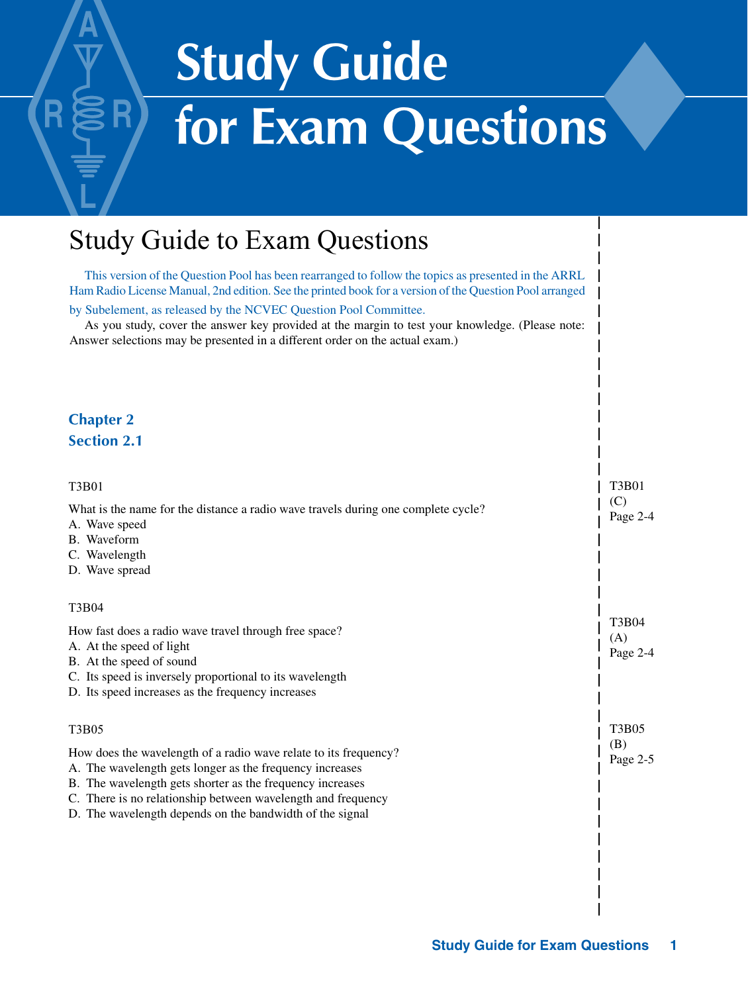# **Study Guide for Exam Questions**�

# Study Guide to Exam Questions

This version of the Question Pool has been rearranged to follow the topics as presented in the ARRL Ham Radio License Manual, 2nd edition. See the printed book for a version of the Question Pool arranged

by Subelement, as released by the NCVEC Question Pool Committee.

As you study, cover the answer key provided at the margin to test your knowledge. (Please note: Answer selections may be presented in a different order on the actual exam.)

#### **Chapter 2 Section 2.1**

| T3B01                                                                                                                                                                                                                                                                                                                 | <b>T3B01</b>             |
|-----------------------------------------------------------------------------------------------------------------------------------------------------------------------------------------------------------------------------------------------------------------------------------------------------------------------|--------------------------|
| What is the name for the distance a radio wave travels during one complete cycle?<br>A. Wave speed<br>B. Waveform<br>C. Wavelength<br>D. Wave spread                                                                                                                                                                  | (C)<br>Page 2-4          |
| T3B04                                                                                                                                                                                                                                                                                                                 |                          |
| How fast does a radio wave travel through free space?<br>A. At the speed of light<br>B. At the speed of sound<br>C. Its speed is inversely proportional to its wavelength<br>D. Its speed increases as the frequency increases                                                                                        | T3B04<br>(A)<br>Page 2-4 |
| <b>T3B05</b>                                                                                                                                                                                                                                                                                                          | <b>T3B05</b>             |
| How does the wavelength of a radio wave relate to its frequency?<br>A. The wavelength gets longer as the frequency increases<br>B. The wavelength gets shorter as the frequency increases<br>C. There is no relationship between wavelength and frequency<br>D. The wavelength depends on the bandwidth of the signal | (B)<br>Page 2-5          |
|                                                                                                                                                                                                                                                                                                                       |                          |
|                                                                                                                                                                                                                                                                                                                       |                          |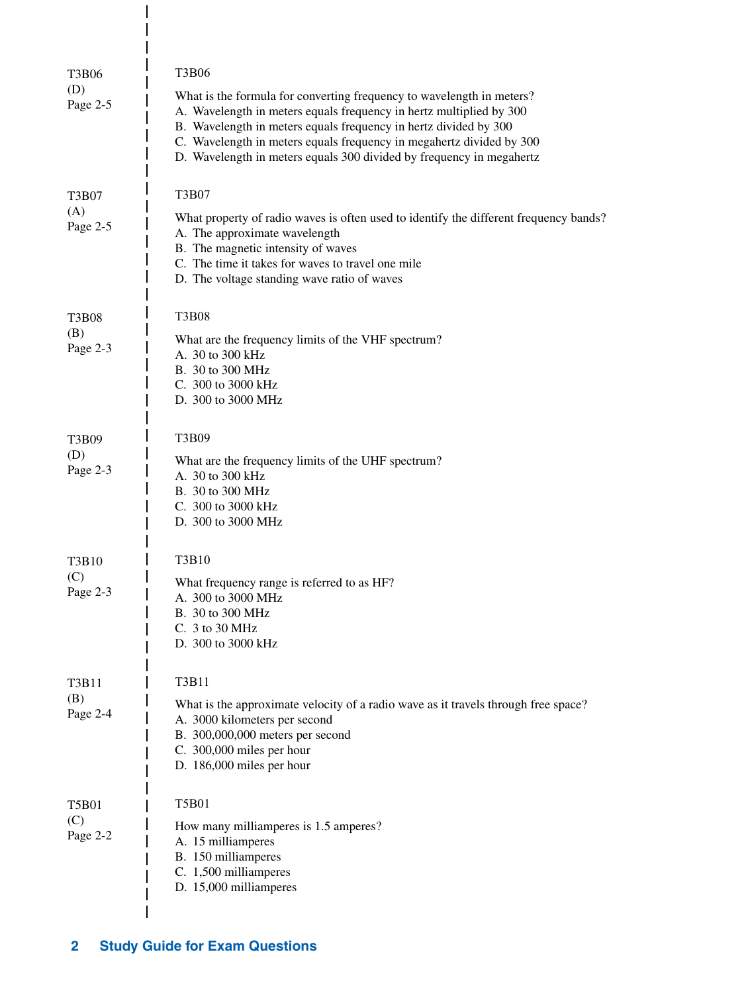| <b>T3B06</b><br>(D)<br>Page 2-5 | <b>T3B06</b><br>What is the formula for converting frequency to wavelength in meters?<br>A. Wavelength in meters equals frequency in hertz multiplied by 300<br>B. Wavelength in meters equals frequency in hertz divided by 300<br>C. Wavelength in meters equals frequency in megahertz divided by 300<br>D. Wavelength in meters equals 300 divided by frequency in megahertz |
|---------------------------------|----------------------------------------------------------------------------------------------------------------------------------------------------------------------------------------------------------------------------------------------------------------------------------------------------------------------------------------------------------------------------------|
| <b>T3B07</b><br>(A)<br>Page 2-5 | T3B07<br>What property of radio waves is often used to identify the different frequency bands?<br>A. The approximate wavelength<br>B. The magnetic intensity of waves<br>C. The time it takes for waves to travel one mile<br>D. The voltage standing wave ratio of waves                                                                                                        |
| <b>T3B08</b><br>(B)<br>Page 2-3 | <b>T3B08</b><br>What are the frequency limits of the VHF spectrum?<br>A. 30 to 300 kHz<br>B. 30 to 300 MHz<br>C. 300 to 3000 kHz<br>D. 300 to 3000 MHz                                                                                                                                                                                                                           |
| T3B09<br>(D)<br>Page 2-3        | T3B09<br>What are the frequency limits of the UHF spectrum?<br>A. 30 to 300 kHz<br>B. 30 to 300 MHz<br>C. 300 to 3000 kHz<br>D. 300 to 3000 MHz                                                                                                                                                                                                                                  |
| T3B10<br>(C)<br>Page 2-3        | <b>T3B10</b><br>What frequency range is referred to as HF?<br>A. 300 to 3000 MHz<br>B. 30 to 300 MHz<br>C. 3 to 30 MHz<br>D. 300 to 3000 kHz                                                                                                                                                                                                                                     |
| T3B11<br>(B)<br>Page 2-4        | T3B11<br>What is the approximate velocity of a radio wave as it travels through free space?<br>A. 3000 kilometers per second<br>B. 300,000,000 meters per second<br>C. 300,000 miles per hour<br>D. 186,000 miles per hour                                                                                                                                                       |
| <b>T5B01</b><br>(C)<br>Page 2-2 | <b>T5B01</b><br>How many milliamperes is 1.5 amperes?<br>A. 15 milliamperes<br>B. 150 milliamperes<br>C. 1,500 milliamperes<br>D. 15,000 milliamperes                                                                                                                                                                                                                            |

 $\frac{1}{1}$  $\overline{1}$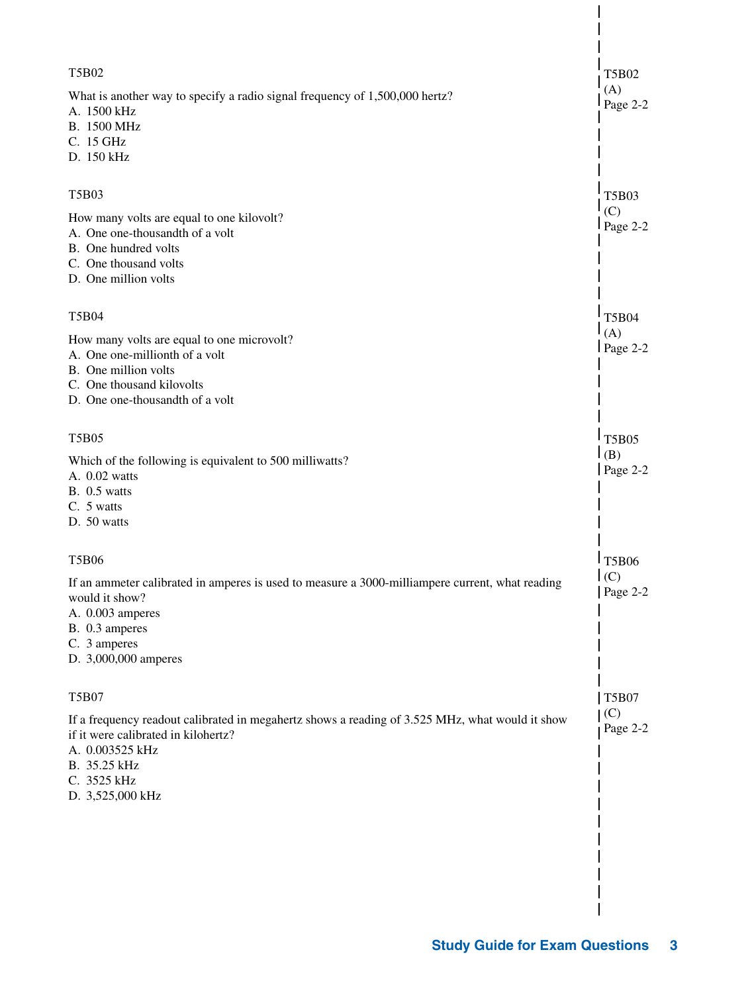| <b>T5B02</b>                                                                                                                                                                                                 | T5B02             |
|--------------------------------------------------------------------------------------------------------------------------------------------------------------------------------------------------------------|-------------------|
| What is another way to specify a radio signal frequency of 1,500,000 hertz?<br>A. 1500 kHz<br>B. 1500 MHz<br>C. 15 GHz<br>D. 150 kHz                                                                         | (A)<br>Page 2-2   |
| T5B03                                                                                                                                                                                                        | <b>T5B03</b>      |
| How many volts are equal to one kilovolt?<br>A. One one-thousandth of a volt<br>B. One hundred volts<br>C. One thousand volts<br>D. One million volts                                                        | (C)<br>$Page 2-2$ |
| <b>T5B04</b>                                                                                                                                                                                                 | <b>T5B04</b>      |
| How many volts are equal to one microvolt?<br>A. One one-millionth of a volt<br>B. One million volts<br>C. One thousand kilovolts<br>D. One one-thousandth of a volt                                         | (A)<br>$Page 2-2$ |
| <b>T5B05</b>                                                                                                                                                                                                 | <b>T5B05</b>      |
| Which of the following is equivalent to 500 milliwatts?<br>A. 0.02 watts<br>$B. 0.5$ watts<br>C. 5 watts<br>D. 50 watts                                                                                      | (B)<br>Page $2-2$ |
| <b>T5B06</b>                                                                                                                                                                                                 | 1T5B06            |
| If an ammeter calibrated in amperes is used to measure a 3000-milliampere current, what reading<br>would it show?<br>A. 0.003 amperes<br>B. 0.3 amperes<br>C. 3 amperes<br>D. 3,000,000 amperes              | (C)<br>Page 2-2   |
| <b>T5B07</b>                                                                                                                                                                                                 | <b>T5B07</b>      |
| If a frequency readout calibrated in megahertz shows a reading of 3.525 MHz, what would it show<br>if it were calibrated in kilohertz?<br>A. 0.003525 kHz<br>B. 35.25 kHz<br>C. 3525 kHz<br>D. 3,525,000 kHz | (C)<br>Page 2-2   |
|                                                                                                                                                                                                              |                   |
|                                                                                                                                                                                                              |                   |
|                                                                                                                                                                                                              |                   |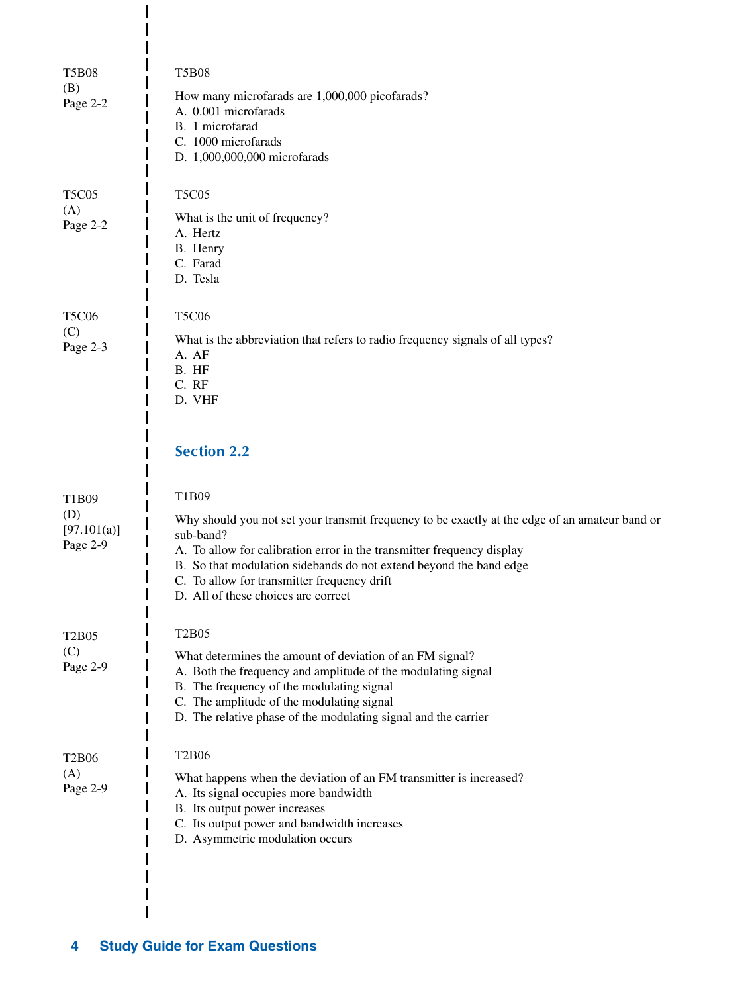| <b>T5B08</b><br>(B)            | <b>T5B08</b>                                                                                                      |
|--------------------------------|-------------------------------------------------------------------------------------------------------------------|
| Page 2-2                       | How many microfarads are 1,000,000 picofarads?<br>A. 0.001 microfarads                                            |
|                                | B. 1 microfarad                                                                                                   |
|                                | C. 1000 microfarads<br>D. 1,000,000,000 microfarads                                                               |
|                                |                                                                                                                   |
| <b>T5C05</b>                   | <b>T5C05</b>                                                                                                      |
| (A)<br>Page 2-2                | What is the unit of frequency?                                                                                    |
|                                | A. Hertz<br>B. Henry                                                                                              |
|                                | C. Farad<br>D. Tesla                                                                                              |
|                                |                                                                                                                   |
| <b>T5C06</b>                   | <b>T5C06</b>                                                                                                      |
| (C)<br>Page 2-3                | What is the abbreviation that refers to radio frequency signals of all types?                                     |
|                                | A. AF<br>B. HF                                                                                                    |
|                                | C. RF                                                                                                             |
|                                | D. VHF                                                                                                            |
|                                |                                                                                                                   |
|                                | <b>Section 2.2</b>                                                                                                |
|                                |                                                                                                                   |
|                                |                                                                                                                   |
| T1B09<br>(D)                   | T1B09                                                                                                             |
| [97.101(a)]                    | Why should you not set your transmit frequency to be exactly at the edge of an amateur band or<br>sub-band?       |
| Page 2-9                       | A. To allow for calibration error in the transmitter frequency display                                            |
|                                | B. So that modulation sidebands do not extend beyond the band edge<br>C. To allow for transmitter frequency drift |
|                                | D. All of these choices are correct                                                                               |
| T <sub>2</sub> B <sub>05</sub> | <b>T2B05</b>                                                                                                      |
| (C)                            | What determines the amount of deviation of an FM signal?                                                          |
| Page 2-9                       | A. Both the frequency and amplitude of the modulating signal                                                      |
|                                | B. The frequency of the modulating signal<br>C. The amplitude of the modulating signal                            |
|                                | D. The relative phase of the modulating signal and the carrier                                                    |
| <b>T2B06</b>                   | <b>T2B06</b>                                                                                                      |
| (A)                            | What happens when the deviation of an FM transmitter is increased?                                                |
| Page 2-9                       | A. Its signal occupies more bandwidth                                                                             |
|                                | B. Its output power increases<br>C. Its output power and bandwidth increases                                      |
|                                | D. Asymmetric modulation occurs                                                                                   |
|                                |                                                                                                                   |
|                                |                                                                                                                   |

 $\overline{\phantom{a}}$  $\overline{\phantom{a}}$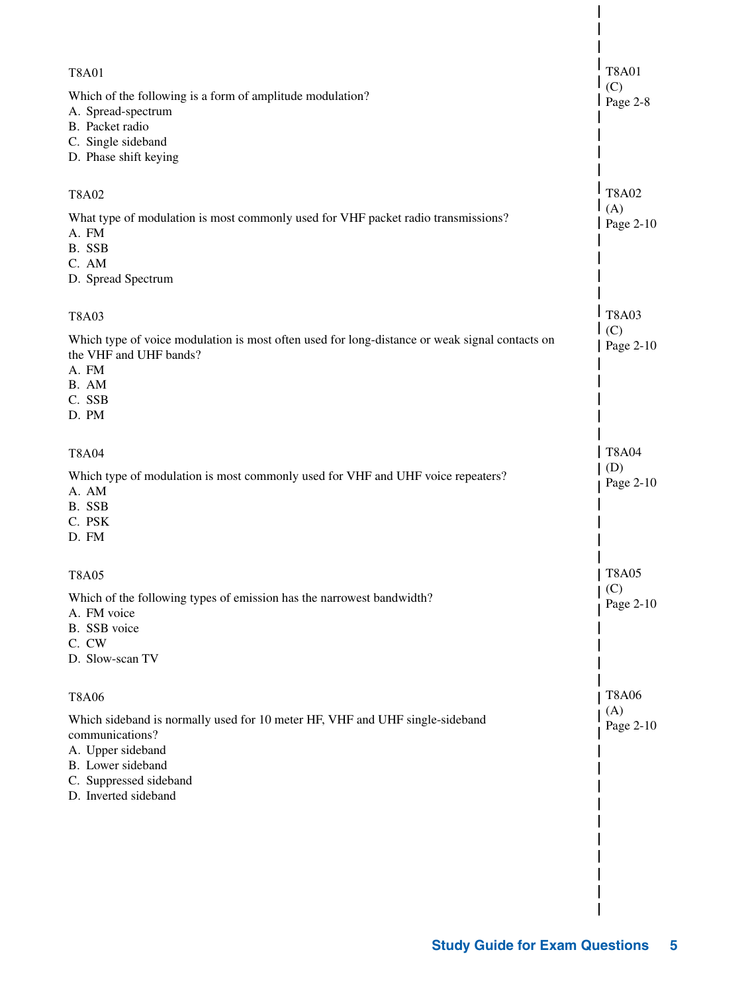| <b>T8A01</b><br>Which of the following is a form of amplitude modulation?<br>A. Spread-spectrum                                                                     | <b>T8A01</b><br>(C)<br>$Page 2-8$ |
|---------------------------------------------------------------------------------------------------------------------------------------------------------------------|-----------------------------------|
| B. Packet radio<br>C. Single sideband<br>D. Phase shift keying                                                                                                      |                                   |
| <b>T8A02</b>                                                                                                                                                        | <b>T8A02</b><br>(A)               |
| What type of modulation is most commonly used for VHF packet radio transmissions?<br>A. FM<br>B. SSB<br>C. AM                                                       | Page 2-10                         |
| D. Spread Spectrum                                                                                                                                                  |                                   |
| <b>T8A03</b>                                                                                                                                                        | <b>T8A03</b><br>(C)               |
| Which type of voice modulation is most often used for long-distance or weak signal contacts on<br>the VHF and UHF bands?<br>A. FM                                   | Page 2-10                         |
| B. AM<br>C. SSB<br>D. PM                                                                                                                                            |                                   |
| <b>T8A04</b>                                                                                                                                                        | <b>T8A04</b>                      |
| Which type of modulation is most commonly used for VHF and UHF voice repeaters?<br>A. AM<br>B. SSB<br>C. PSK<br>D. FM                                               | (D)<br>Page 2-10                  |
| <b>T8A05</b>                                                                                                                                                        | <b>T8A05</b>                      |
| Which of the following types of emission has the narrowest bandwidth?<br>A. FM voice<br>B. SSB voice<br>C. CW                                                       | (C)<br>Page 2-10                  |
| D. Slow-scan TV                                                                                                                                                     |                                   |
| <b>T8A06</b>                                                                                                                                                        | <b>T8A06</b><br>(A)               |
| Which sideband is normally used for 10 meter HF, VHF and UHF single-sideband<br>communications?<br>A. Upper sideband<br>B. Lower sideband<br>C. Suppressed sideband | Page 2-10                         |
| D. Inverted sideband                                                                                                                                                |                                   |
|                                                                                                                                                                     |                                   |
|                                                                                                                                                                     |                                   |
|                                                                                                                                                                     |                                   |

 $\overline{\phantom{a}}$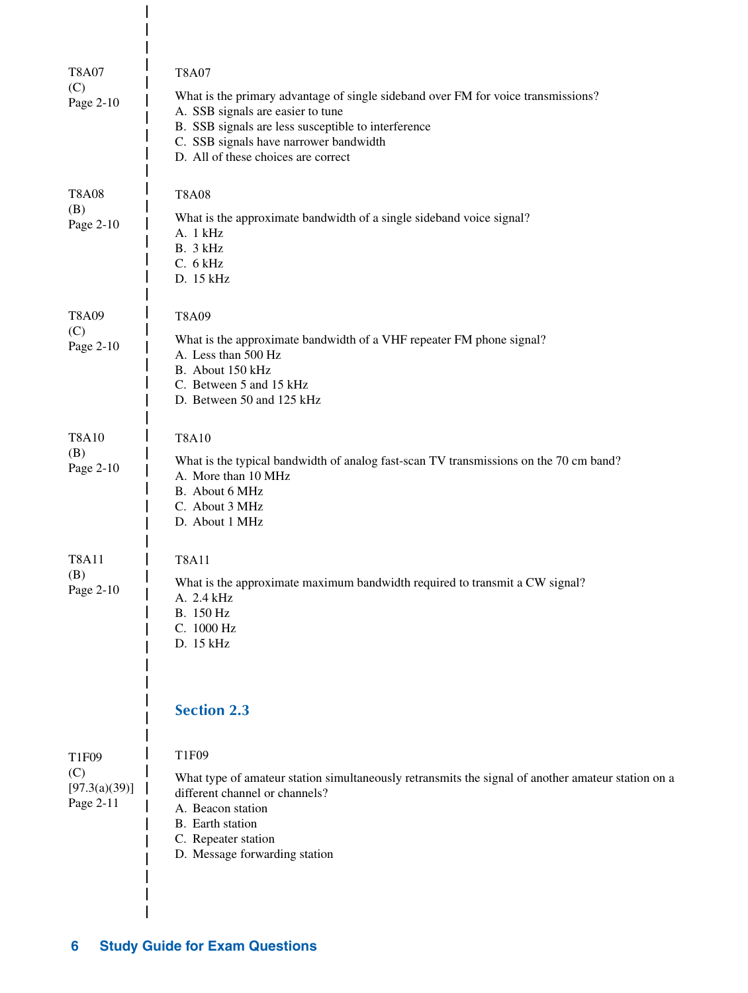| <b>T8A07</b><br>(C)<br>Page 2-10           | <b>T8A07</b><br>What is the primary advantage of single sideband over FM for voice transmissions?<br>A. SSB signals are easier to tune<br>B. SSB signals are less susceptible to interference<br>C. SSB signals have narrower bandwidth<br>D. All of these choices are correct |
|--------------------------------------------|--------------------------------------------------------------------------------------------------------------------------------------------------------------------------------------------------------------------------------------------------------------------------------|
| <b>T8A08</b><br>(B)<br>Page 2-10           | <b>T8A08</b><br>What is the approximate bandwidth of a single sideband voice signal?<br>A. 1 kHz<br>B. 3 kHz<br>C. 6 kHz<br>D. 15 kHz                                                                                                                                          |
| T8A09<br>(C)<br>Page 2-10                  | T8A09<br>What is the approximate bandwidth of a VHF repeater FM phone signal?<br>A. Less than 500 Hz<br>B. About 150 kHz<br>C. Between 5 and 15 kHz<br>D. Between 50 and 125 kHz                                                                                               |
| <b>T8A10</b><br>(B)<br>Page 2-10           | <b>T8A10</b><br>What is the typical bandwidth of analog fast-scan TV transmissions on the 70 cm band?<br>A. More than 10 MHz<br>B. About 6 MHz<br>C. About 3 MHz<br>D. About 1 MHz                                                                                             |
| <b>T8A11</b><br>(B)<br>Page 2-10           | <b>T8A11</b><br>What is the approximate maximum bandwidth required to transmit a CW signal?<br>A. 2.4 kHz<br>B. 150 Hz<br>C. 1000 Hz<br>D. 15 kHz                                                                                                                              |
| T1F09<br>(C)<br>[97.3(a)(39)]<br>Page 2-11 | <b>Section 2.3</b><br>T1F09<br>What type of amateur station simultaneously retransmits the signal of another amateur station on a<br>different channel or channels?<br>A. Beacon station<br>B. Earth station<br>C. Repeater station<br>D. Message forwarding station           |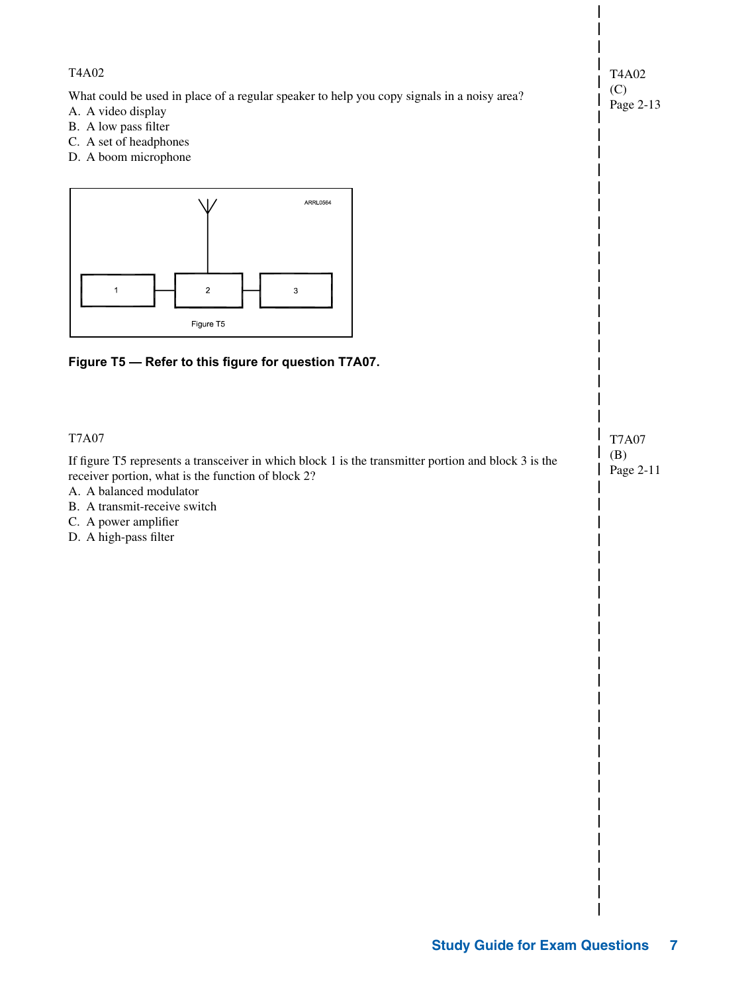| T4A02                                                                                                                                                                                                                                                                                  | T4A02                            |
|----------------------------------------------------------------------------------------------------------------------------------------------------------------------------------------------------------------------------------------------------------------------------------------|----------------------------------|
| What could be used in place of a regular speaker to help you copy signals in a noisy area?<br>A. A video display<br>B. A low pass filter<br>C. A set of headphones<br>D. A boom microphone                                                                                             | (C)<br>Page 2-13                 |
| ARRL0564<br>$\overline{\mathbf{c}}$<br>$\ensuremath{\mathsf{3}}$<br>1<br>Figure T5<br>Figure T5 - Refer to this figure for question T7A07.                                                                                                                                             |                                  |
| <b>T7A07</b><br>If figure T5 represents a transceiver in which block 1 is the transmitter portion and block 3 is the<br>receiver portion, what is the function of block 2?<br>A. A balanced modulator<br>B. A transmit-receive switch<br>C. A power amplifier<br>D. A high-pass filter | <b>T7A07</b><br>(B)<br>Page 2-11 |
|                                                                                                                                                                                                                                                                                        |                                  |
|                                                                                                                                                                                                                                                                                        |                                  |
|                                                                                                                                                                                                                                                                                        |                                  |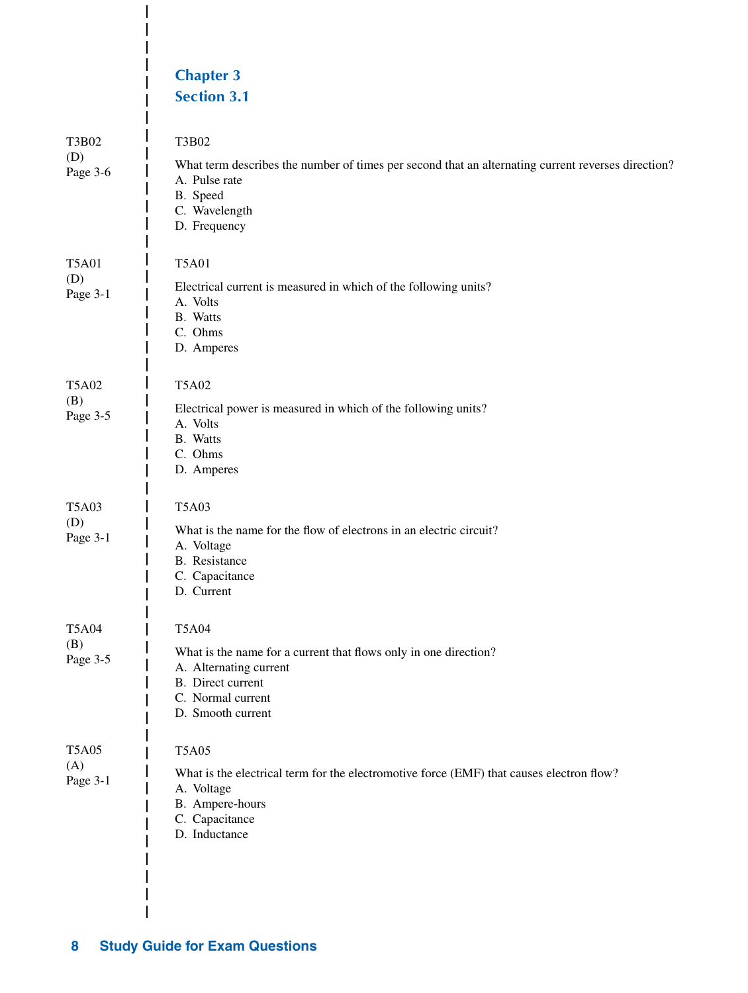|                                 | <b>Chapter 3</b><br><b>Section 3.1</b>                                                                                                                                       |
|---------------------------------|------------------------------------------------------------------------------------------------------------------------------------------------------------------------------|
| T3B02<br>(D)<br>Page 3-6        | T3B02<br>What term describes the number of times per second that an alternating current reverses direction?<br>A. Pulse rate<br>B. Speed<br>C. Wavelength<br>D. Frequency    |
| <b>T5A01</b><br>(D)<br>Page 3-1 | <b>T5A01</b><br>Electrical current is measured in which of the following units?<br>A. Volts<br>B. Watts<br>C. Ohms<br>D. Amperes                                             |
| <b>T5A02</b><br>(B)<br>Page 3-5 | <b>T5A02</b><br>Electrical power is measured in which of the following units?<br>A. Volts<br>B. Watts<br>C. Ohms<br>D. Amperes                                               |
| <b>T5A03</b><br>(D)<br>Page 3-1 | <b>T5A03</b><br>What is the name for the flow of electrons in an electric circuit?<br>A. Voltage<br>B. Resistance<br>C. Capacitance<br>D. Current                            |
| <b>T5A04</b><br>(B)<br>Page 3-5 | <b>T5A04</b><br>What is the name for a current that flows only in one direction?<br>A. Alternating current<br>B. Direct current<br>C. Normal current<br>D. Smooth current    |
| <b>T5A05</b><br>(A)<br>Page 3-1 | <b>T5A05</b><br>What is the electrical term for the electromotive force (EMF) that causes electron flow?<br>A. Voltage<br>B. Ampere-hours<br>C. Capacitance<br>D. Inductance |

 $\overline{\phantom{a}}$  $\overline{\phantom{a}}$  $\overline{1}$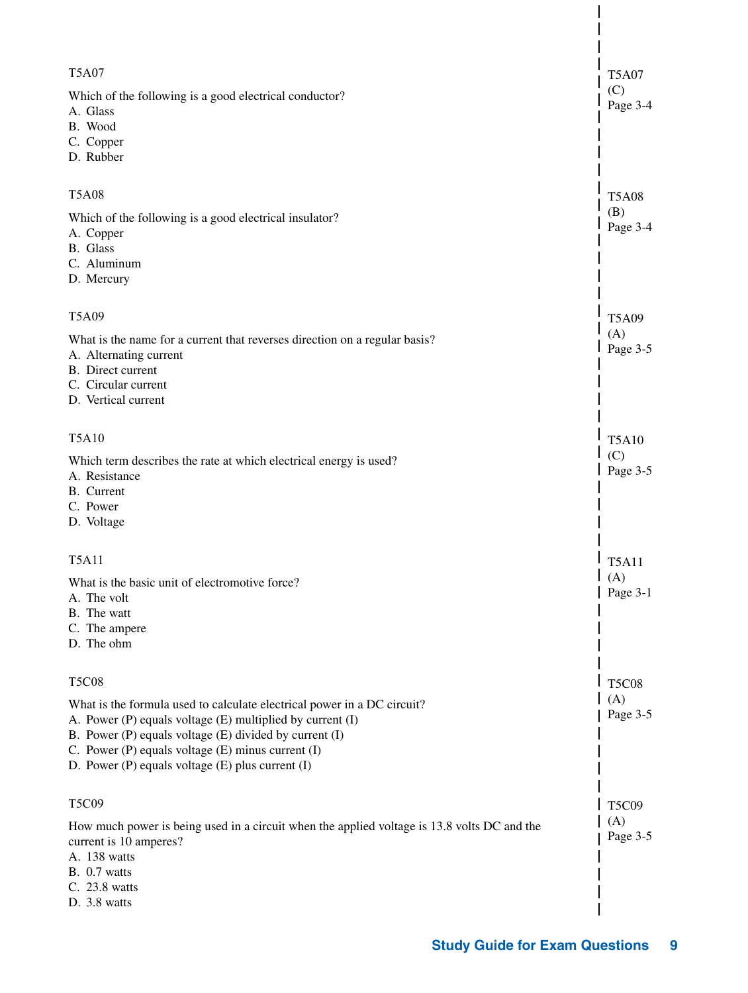| <b>T5A07</b>                                                                                                                                                                                                                                                                                                  | <b>T5A07</b>    |
|---------------------------------------------------------------------------------------------------------------------------------------------------------------------------------------------------------------------------------------------------------------------------------------------------------------|-----------------|
| Which of the following is a good electrical conductor?<br>A. Glass<br>B. Wood<br>C. Copper<br>D. Rubber                                                                                                                                                                                                       | (C)<br>Page 3-4 |
| <b>T5A08</b>                                                                                                                                                                                                                                                                                                  | <b>T5A08</b>    |
| Which of the following is a good electrical insulator?<br>A. Copper<br>B. Glass<br>C. Aluminum<br>D. Mercury                                                                                                                                                                                                  | (B)<br>Page 3-4 |
| <b>T5A09</b>                                                                                                                                                                                                                                                                                                  | <b>T5A09</b>    |
| What is the name for a current that reverses direction on a regular basis?<br>A. Alternating current<br>B. Direct current<br>C. Circular current<br>D. Vertical current                                                                                                                                       | (A)<br>Page 3-5 |
| <b>T5A10</b>                                                                                                                                                                                                                                                                                                  | <b>T5A10</b>    |
| Which term describes the rate at which electrical energy is used?<br>A. Resistance<br>B. Current<br>C. Power<br>D. Voltage                                                                                                                                                                                    | (C)<br>Page 3-5 |
| <b>T5A11</b>                                                                                                                                                                                                                                                                                                  | <b>T5A11</b>    |
| What is the basic unit of electromotive force?<br>A. The volt<br>B. The watt<br>C. The ampere<br>D. The ohm                                                                                                                                                                                                   | (A)<br>Page 3-1 |
| <b>T5C08</b>                                                                                                                                                                                                                                                                                                  | <b>T5C08</b>    |
| What is the formula used to calculate electrical power in a DC circuit?<br>A. Power (P) equals voltage (E) multiplied by current (I)<br>B. Power (P) equals voltage (E) divided by current (I)<br>C. Power $(P)$ equals voltage $(E)$ minus current $(I)$<br>D. Power (P) equals voltage (E) plus current (I) | (A)<br>Page 3-5 |
| T5C09                                                                                                                                                                                                                                                                                                         | <b>T5C09</b>    |
| How much power is being used in a circuit when the applied voltage is 13.8 volts DC and the<br>current is 10 amperes?<br>A. 138 watts<br>B. 0.7 watts<br>C. 23.8 watts<br>D. 3.8 watts                                                                                                                        | (A)<br>Page 3-5 |
|                                                                                                                                                                                                                                                                                                               |                 |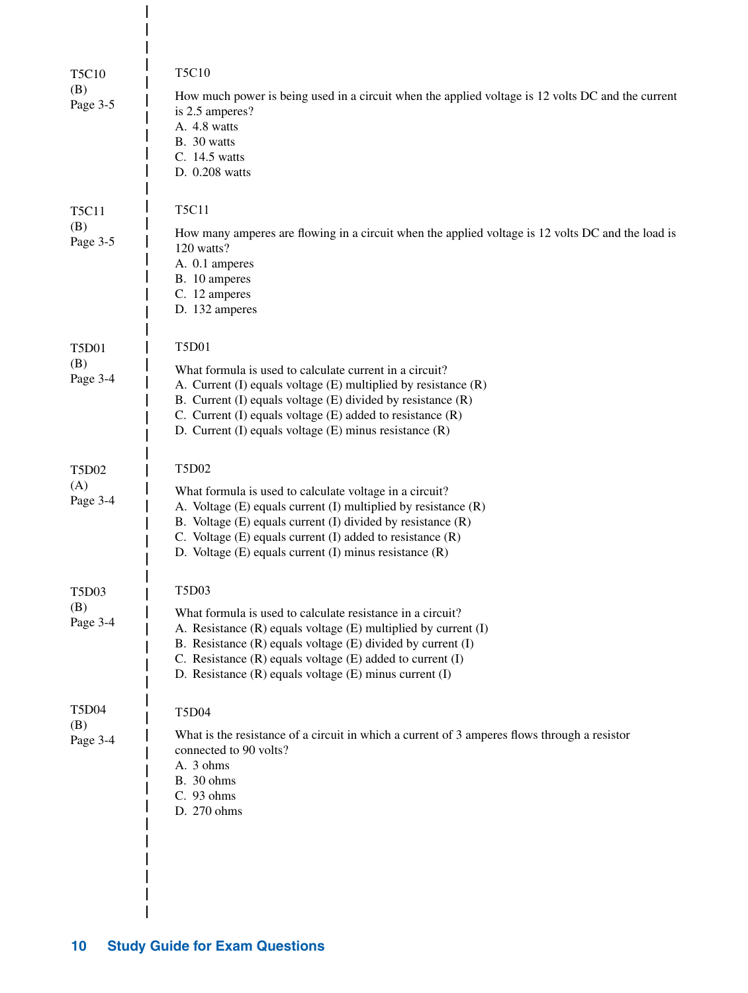| <b>T5C10</b><br>(B)<br>Page 3-5 | T5C10<br>How much power is being used in a circuit when the applied voltage is 12 volts DC and the current<br>is 2.5 amperes?<br>A. 4.8 watts<br>B. 30 watts<br>C. 14.5 watts<br>D. 0.208 watts                                                                                                                                                |
|---------------------------------|------------------------------------------------------------------------------------------------------------------------------------------------------------------------------------------------------------------------------------------------------------------------------------------------------------------------------------------------|
| <b>T5C11</b><br>(B)<br>Page 3-5 | <b>T5C11</b><br>How many amperes are flowing in a circuit when the applied voltage is 12 volts DC and the load is<br>120 watts?<br>A. 0.1 amperes<br>B. 10 amperes<br>C. 12 amperes<br>D. 132 amperes                                                                                                                                          |
| <b>T5D01</b><br>(B)<br>Page 3-4 | <b>T5D01</b><br>What formula is used to calculate current in a circuit?<br>A. Current (I) equals voltage (E) multiplied by resistance (R)<br>B. Current (I) equals voltage (E) divided by resistance (R)<br>C. Current $(I)$ equals voltage $(E)$ added to resistance $(R)$<br>D. Current (I) equals voltage (E) minus resistance (R)          |
| <b>T5D02</b><br>(A)<br>Page 3-4 | T5D02<br>What formula is used to calculate voltage in a circuit?<br>A. Voltage (E) equals current (I) multiplied by resistance (R)<br>B. Voltage (E) equals current (I) divided by resistance (R)<br>C. Voltage $(E)$ equals current $(I)$ added to resistance $(R)$<br>D. Voltage (E) equals current (I) minus resistance (R)                 |
| <b>T5D03</b><br>(B)<br>Page 3-4 | <b>T5D03</b><br>What formula is used to calculate resistance in a circuit?<br>A. Resistance (R) equals voltage (E) multiplied by current (I)<br>B. Resistance $(R)$ equals voltage $(E)$ divided by current $(I)$<br>C. Resistance $(R)$ equals voltage $(E)$ added to current $(I)$<br>D. Resistance (R) equals voltage (E) minus current (I) |
| <b>T5D04</b><br>(B)<br>Page 3-4 | <b>T5D04</b><br>What is the resistance of a circuit in which a current of 3 amperes flows through a resistor<br>connected to 90 volts?<br>A. 3 ohms<br>B. 30 ohms<br>C. 93 ohms<br>D. 270 ohms                                                                                                                                                 |

 $\overline{\phantom{a}}$  $\overline{\phantom{a}}$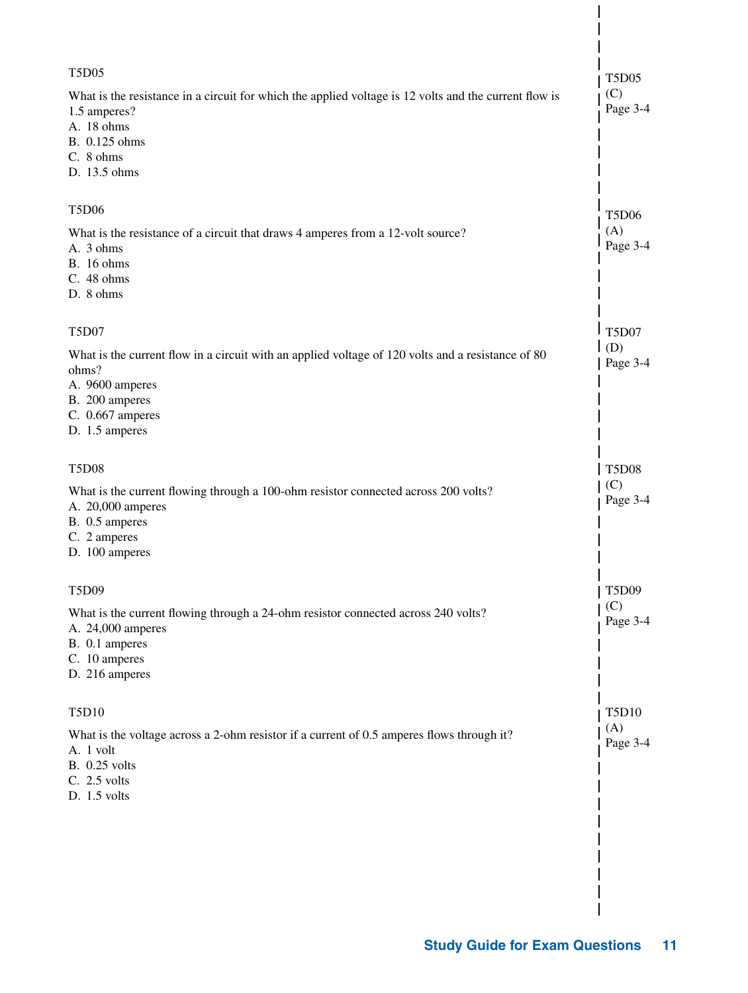| <b>T5D05</b>                                                                                                                                                                          | <b>T5D05</b>    |
|---------------------------------------------------------------------------------------------------------------------------------------------------------------------------------------|-----------------|
| What is the resistance in a circuit for which the applied voltage is 12 volts and the current flow is<br>1.5 amperes?<br>A. 18 ohms<br>B. 0.125 ohms<br>C. 8 ohms<br>D. 13.5 ohms     | (C)<br>Page 3-4 |
| <b>T5D06</b>                                                                                                                                                                          | <b>T5D06</b>    |
| What is the resistance of a circuit that draws 4 amperes from a 12-volt source?<br>A. 3 ohms<br><b>B.</b> 16 ohms<br>C. 48 ohms<br>D. 8 ohms                                          | (A)<br>Page 3-4 |
| <b>T5D07</b>                                                                                                                                                                          | <b>T5D07</b>    |
| What is the current flow in a circuit with an applied voltage of 120 volts and a resistance of 80<br>ohms?<br>A. 9600 amperes<br>B. 200 amperes<br>C. 0.667 amperes<br>D. 1.5 amperes | (D)<br>Page 3-4 |
| <b>T5D08</b>                                                                                                                                                                          | <b>T5D08</b>    |
| What is the current flowing through a 100-ohm resistor connected across 200 volts?<br>A. 20,000 amperes<br>B. 0.5 amperes<br>C. 2 amperes<br>D. 100 amperes                           | (C)<br>Page 3-4 |
| T5D09                                                                                                                                                                                 | T5D09           |
| What is the current flowing through a 24-ohm resistor connected across 240 volts?<br>A. 24,000 amperes<br>B. 0.1 amperes<br>C. 10 amperes<br>D. 216 amperes                           | (C)<br>Page 3-4 |
| <b>T5D10</b>                                                                                                                                                                          | <b>T5D10</b>    |
| What is the voltage across a 2-ohm resistor if a current of 0.5 amperes flows through it?<br>A. 1 volt<br><b>B.</b> 0.25 volts<br>C. 2.5 volts<br>$D. 1.5$ volts                      | (A)<br>Page 3-4 |
|                                                                                                                                                                                       |                 |
|                                                                                                                                                                                       |                 |
|                                                                                                                                                                                       |                 |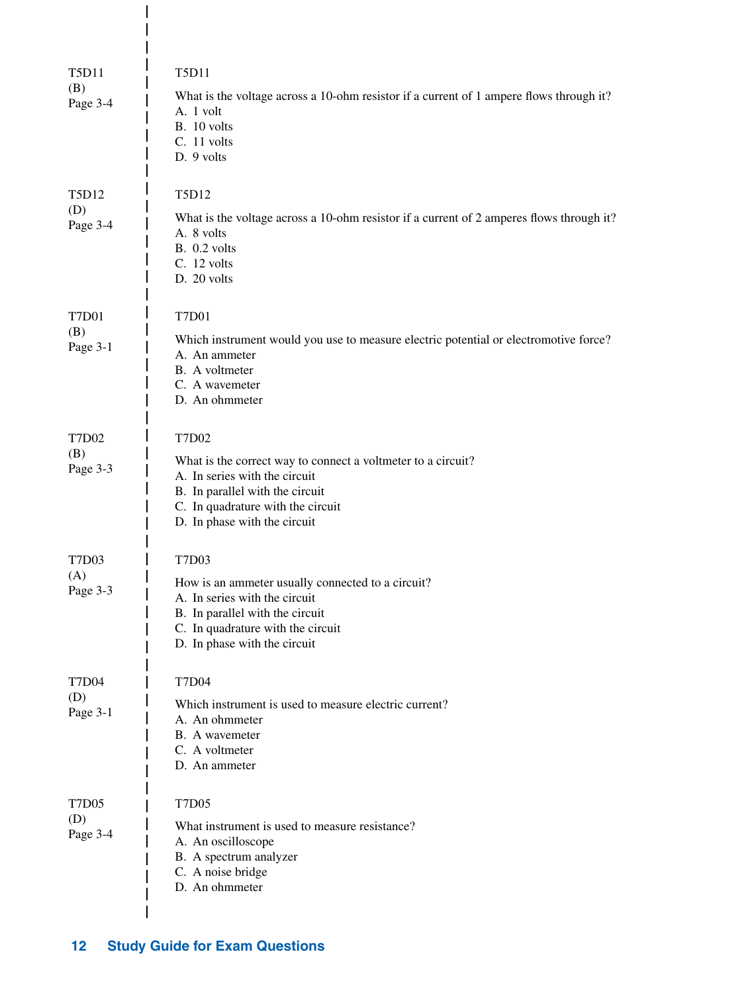| <b>T5D11</b><br>(B) | T <sub>5</sub> D <sub>11</sub><br>What is the voltage across a 10-ohm resistor if a current of 1 ampere flows through it?                                                                             |
|---------------------|-------------------------------------------------------------------------------------------------------------------------------------------------------------------------------------------------------|
| Page 3-4            | A. 1 volt<br>B. 10 volts<br>C. 11 volts<br>D. 9 volts                                                                                                                                                 |
| T5D12               | T5D12                                                                                                                                                                                                 |
| (D)<br>Page 3-4     | What is the voltage across a 10-ohm resistor if a current of 2 amperes flows through it?<br>A. 8 volts<br>B. 0.2 volts<br>C. 12 volts<br>D. 20 volts                                                  |
| <b>T7D01</b>        | <b>T7D01</b>                                                                                                                                                                                          |
| (B)<br>Page 3-1     | Which instrument would you use to measure electric potential or electromotive force?<br>A. An ammeter<br>B. A voltmeter<br>C. A wavemeter<br>D. An ohmmeter                                           |
| <b>T7D02</b>        | T7D02                                                                                                                                                                                                 |
| (B)<br>Page 3-3     | What is the correct way to connect a voltmeter to a circuit?<br>A. In series with the circuit<br>B. In parallel with the circuit<br>C. In quadrature with the circuit<br>D. In phase with the circuit |
| <b>T7D03</b>        | T7D03                                                                                                                                                                                                 |
| (A)<br>Page 3-3     | How is an ammeter usually connected to a circuit?<br>A. In series with the circuit<br>B. In parallel with the circuit<br>C. In quadrature with the circuit<br>D. In phase with the circuit            |
| <b>T7D04</b>        | <b>T7D04</b>                                                                                                                                                                                          |
| (D)<br>Page 3-1     | Which instrument is used to measure electric current?<br>A. An ohmmeter<br>B. A wavemeter<br>C. A voltmeter<br>D. An ammeter                                                                          |
| <b>T7D05</b>        | <b>T7D05</b>                                                                                                                                                                                          |
| (D)<br>Page 3-4     | What instrument is used to measure resistance?<br>A. An oscilloscope<br>B. A spectrum analyzer<br>C. A noise bridge<br>D. An ohmmeter                                                                 |
|                     |                                                                                                                                                                                                       |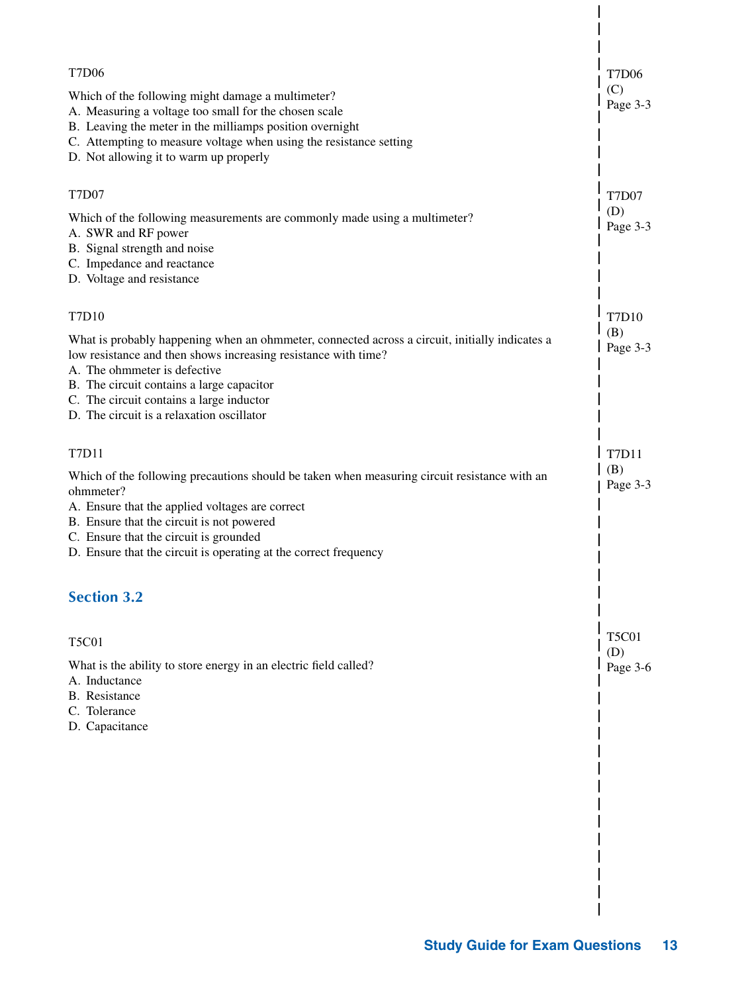| <b>T7D06</b><br>(C)<br>Which of the following might damage a multimeter?                                                                                                                                                                                                                                                                                      | <b>T7D06</b>                    |
|---------------------------------------------------------------------------------------------------------------------------------------------------------------------------------------------------------------------------------------------------------------------------------------------------------------------------------------------------------------|---------------------------------|
| A. Measuring a voltage too small for the chosen scale<br>B. Leaving the meter in the milliamps position overnight<br>C. Attempting to measure voltage when using the resistance setting<br>D. Not allowing it to warm up properly                                                                                                                             | Page 3-3                        |
| <b>T7D07</b><br>(D)<br>Which of the following measurements are commonly made using a multimeter?<br>A. SWR and RF power<br>B. Signal strength and noise<br>C. Impedance and reactance<br>D. Voltage and resistance                                                                                                                                            | <b>T7D07</b><br>Page 3-3        |
| <b>T7D10</b><br>(B)<br>What is probably happening when an ohmmeter, connected across a circuit, initially indicates a<br>low resistance and then shows increasing resistance with time?<br>A. The ohmmeter is defective<br>B. The circuit contains a large capacitor<br>C. The circuit contains a large inductor<br>D. The circuit is a relaxation oscillator | T7D10<br>Page 3-3               |
| T7D11<br>(B)<br>Which of the following precautions should be taken when measuring circuit resistance with an<br>ohmmeter?<br>A. Ensure that the applied voltages are correct<br>B. Ensure that the circuit is not powered<br>C. Ensure that the circuit is grounded<br>D. Ensure that the circuit is operating at the correct frequency<br><b>Section 3.2</b> | T7D11<br>Page 3-3               |
| <b>T5C01</b><br>What is the ability to store energy in an electric field called?<br>A. Inductance<br><b>B.</b> Resistance<br>C. Tolerance<br>D. Capacitance                                                                                                                                                                                                   | <b>T5C01</b><br>(D)<br>Page 3-6 |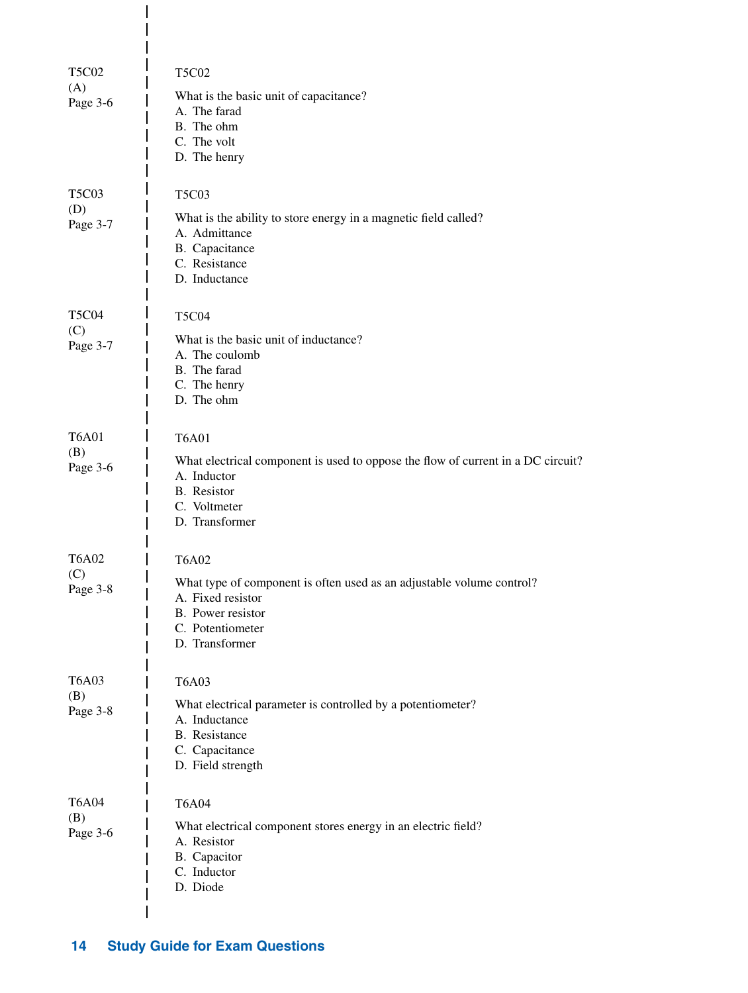| <b>T5C02</b><br>(A)<br>Page 3-6                   | <b>T5C02</b><br>What is the basic unit of capacitance?<br>A. The farad<br>B. The ohm<br>C. The volt<br>D. The henry                                                   |
|---------------------------------------------------|-----------------------------------------------------------------------------------------------------------------------------------------------------------------------|
| <b>T5C03</b><br>(D)<br>Page 3-7                   | <b>T5C03</b><br>What is the ability to store energy in a magnetic field called?<br>A. Admittance<br>B. Capacitance<br>C. Resistance<br>D. Inductance                  |
| <b>T5C04</b><br>(C)<br>Page 3-7                   | <b>T5C04</b><br>What is the basic unit of inductance?<br>A. The coulomb<br>B. The farad<br>C. The henry<br>D. The ohm                                                 |
| <b>T6A01</b><br>(B)<br>Page 3-6                   | <b>T6A01</b><br>What electrical component is used to oppose the flow of current in a DC circuit?<br>A. Inductor<br>B. Resistor<br>C. Voltmeter<br>D. Transformer      |
| <b>T6A02</b><br>(C)<br>Page 3-8                   | <b>T6A02</b><br>What type of component is often used as an adjustable volume control?<br>A. Fixed resistor<br>B. Power resistor<br>C. Potentiometer<br>D. Transformer |
| T <sub>6</sub> A <sub>03</sub><br>(B)<br>Page 3-8 | <b>T6A03</b><br>What electrical parameter is controlled by a potentiometer?<br>A. Inductance<br><b>B.</b> Resistance<br>C. Capacitance<br>D. Field strength           |
| <b>T6A04</b><br>(B)<br>Page 3-6                   | <b>T6A04</b><br>What electrical component stores energy in an electric field?<br>A. Resistor<br>B. Capacitor<br>C. Inductor<br>D. Diode                               |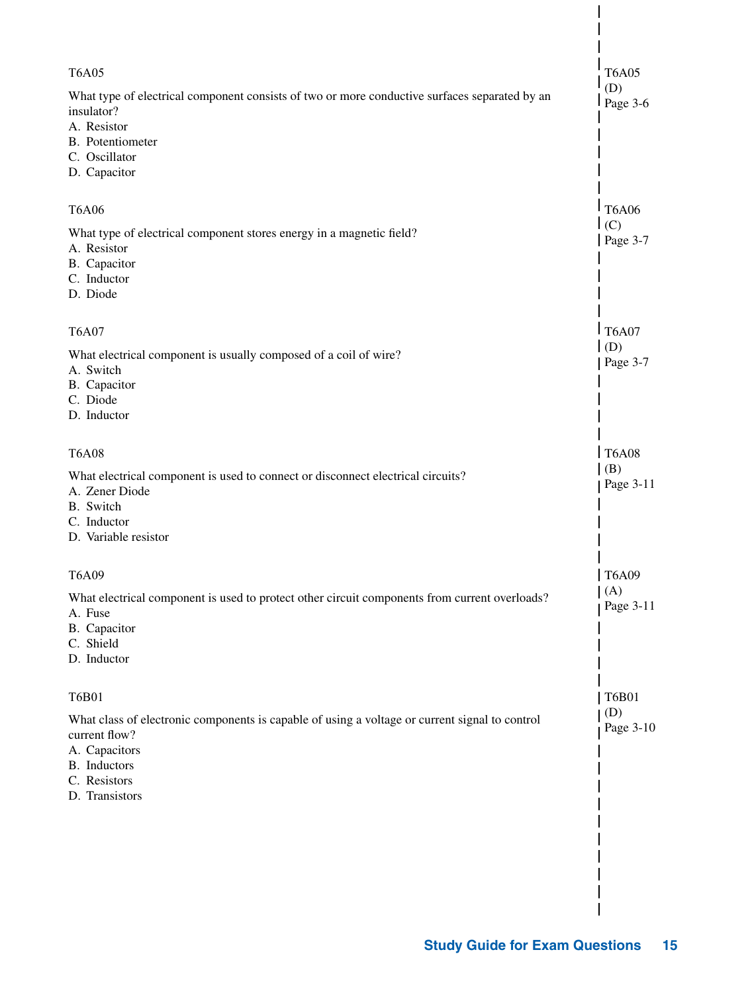| <b>T6A05</b>                                                                                                                                                                       | <b>T6A05</b>                         |
|------------------------------------------------------------------------------------------------------------------------------------------------------------------------------------|--------------------------------------|
| What type of electrical component consists of two or more conductive surfaces separated by an<br>insulator?<br>A. Resistor<br>B. Potentiometer<br>C. Oscillator<br>D. Capacitor    | (D)<br>Page 3-6                      |
| <b>T6A06</b>                                                                                                                                                                       | <b>T6A06</b>                         |
| What type of electrical component stores energy in a magnetic field?<br>A. Resistor<br>B. Capacitor<br>C. Inductor<br>D. Diode                                                     | $\mathsf{I}(\mathsf{C})$<br>Page 3-7 |
| <b>T6A07</b>                                                                                                                                                                       | T6A07                                |
| What electrical component is usually composed of a coil of wire?<br>A. Switch<br>B. Capacitor<br>C. Diode<br>D. Inductor                                                           | (D)<br>Page 3-7                      |
| <b>T6A08</b>                                                                                                                                                                       | T6A08                                |
| What electrical component is used to connect or disconnect electrical circuits?<br>A. Zener Diode<br>B. Switch<br>C. Inductor<br>D. Variable resistor                              | (B)<br>Page 3-11                     |
| T6A09                                                                                                                                                                              | <b>T6A09</b>                         |
| What electrical component is used to protect other circuit components from current overloads?<br>A. Fuse<br>B. Capacitor<br>C. Shield<br>D. Inductor                               | (A)<br>Page 3-11                     |
| <b>T6B01</b>                                                                                                                                                                       | <b>T6B01</b>                         |
| What class of electronic components is capable of using a voltage or current signal to control<br>current flow?<br>A. Capacitors<br>B. Inductors<br>C. Resistors<br>D. Transistors | (D)<br>Page 3-10                     |
|                                                                                                                                                                                    |                                      |
|                                                                                                                                                                                    |                                      |
|                                                                                                                                                                                    |                                      |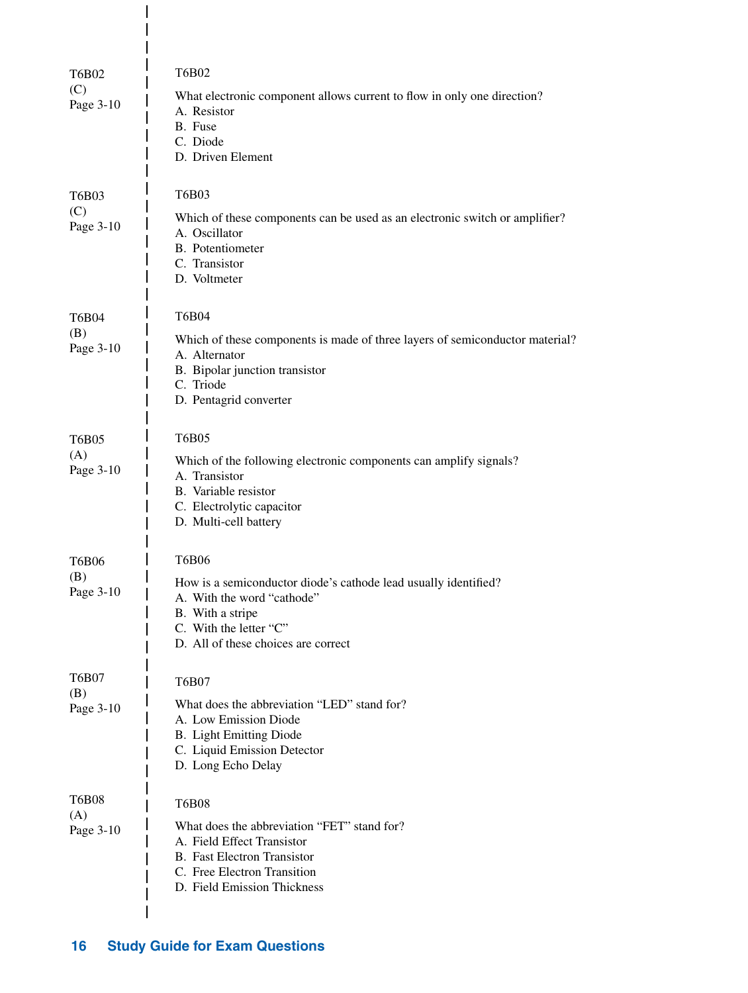| <b>T6B02</b><br>(C)<br>Page 3-10 | <b>T6B02</b><br>What electronic component allows current to flow in only one direction?<br>A. Resistor<br>B. Fuse<br>C. Diode<br>D. Driven Element                                                 |
|----------------------------------|----------------------------------------------------------------------------------------------------------------------------------------------------------------------------------------------------|
| T6B03<br>(C)<br>Page 3-10        | T6B03<br>Which of these components can be used as an electronic switch or amplifier?<br>A. Oscillator<br><b>B.</b> Potentiometer<br>C. Transistor<br>D. Voltmeter                                  |
| <b>T6B04</b><br>(B)<br>Page 3-10 | <b>T6B04</b><br>Which of these components is made of three layers of semiconductor material?<br>A. Alternator<br>B. Bipolar junction transistor<br>C. Triode<br>D. Pentagrid converter             |
| <b>T6B05</b><br>(A)<br>Page 3-10 | <b>T6B05</b><br>Which of the following electronic components can amplify signals?<br>A. Transistor<br>B. Variable resistor<br>C. Electrolytic capacitor<br>D. Multi-cell battery                   |
| T6B06<br>(B)<br>Page 3-10        | <b>T6B06</b><br>How is a semiconductor diode's cathode lead usually identified?<br>A. With the word "cathode"<br>B. With a stripe<br>C. With the letter "C"<br>D. All of these choices are correct |
| <b>T6B07</b><br>(B)<br>Page 3-10 | T6B07<br>What does the abbreviation "LED" stand for?<br>A. Low Emission Diode<br><b>B.</b> Light Emitting Diode<br>C. Liquid Emission Detector<br>D. Long Echo Delay                               |
| <b>T6B08</b><br>(A)<br>Page 3-10 | <b>T6B08</b><br>What does the abbreviation "FET" stand for?<br>A. Field Effect Transistor<br><b>B.</b> Fast Electron Transistor<br>C. Free Electron Transition<br>D. Field Emission Thickness      |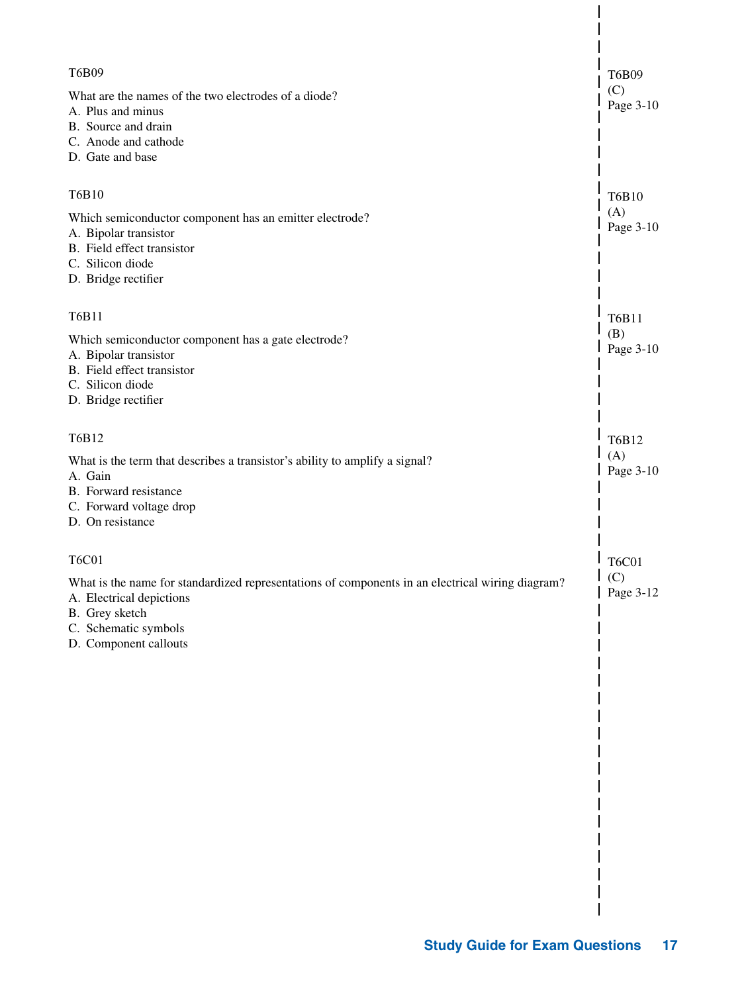| T6B09<br>What are the names of the two electrodes of a diode?<br>A. Plus and minus<br>B. Source and drain<br>C. Anode and cathode<br>D. Gate and base                                           | <b>T6B09</b><br>(C)<br>Page 3-10 |
|-------------------------------------------------------------------------------------------------------------------------------------------------------------------------------------------------|----------------------------------|
| T6B10                                                                                                                                                                                           | T6B10                            |
| Which semiconductor component has an emitter electrode?<br>A. Bipolar transistor<br>B. Field effect transistor<br>C. Silicon diode<br>D. Bridge rectifier                                       | (A)<br>Page 3-10                 |
| T6B11                                                                                                                                                                                           | T6B11                            |
| Which semiconductor component has a gate electrode?<br>A. Bipolar transistor<br>B. Field effect transistor<br>C. Silicon diode<br>D. Bridge rectifier                                           | (B)<br>Page 3-10                 |
| T6B12                                                                                                                                                                                           | T6B12                            |
| What is the term that describes a transistor's ability to amplify a signal?<br>A. Gain<br>B. Forward resistance<br>C. Forward voltage drop<br>D. On resistance                                  | (A)<br>Page 3-10                 |
| <b>T6C01</b>                                                                                                                                                                                    | <b>T6C01</b>                     |
| What is the name for standardized representations of components in an electrical wiring diagram?<br>A. Electrical depictions<br>B. Grey sketch<br>C. Schematic symbols<br>D. Component callouts | (C)<br>L<br>Page 3-12            |
|                                                                                                                                                                                                 |                                  |
|                                                                                                                                                                                                 |                                  |
|                                                                                                                                                                                                 |                                  |
|                                                                                                                                                                                                 |                                  |
|                                                                                                                                                                                                 |                                  |
|                                                                                                                                                                                                 |                                  |
|                                                                                                                                                                                                 |                                  |
|                                                                                                                                                                                                 |                                  |
|                                                                                                                                                                                                 |                                  |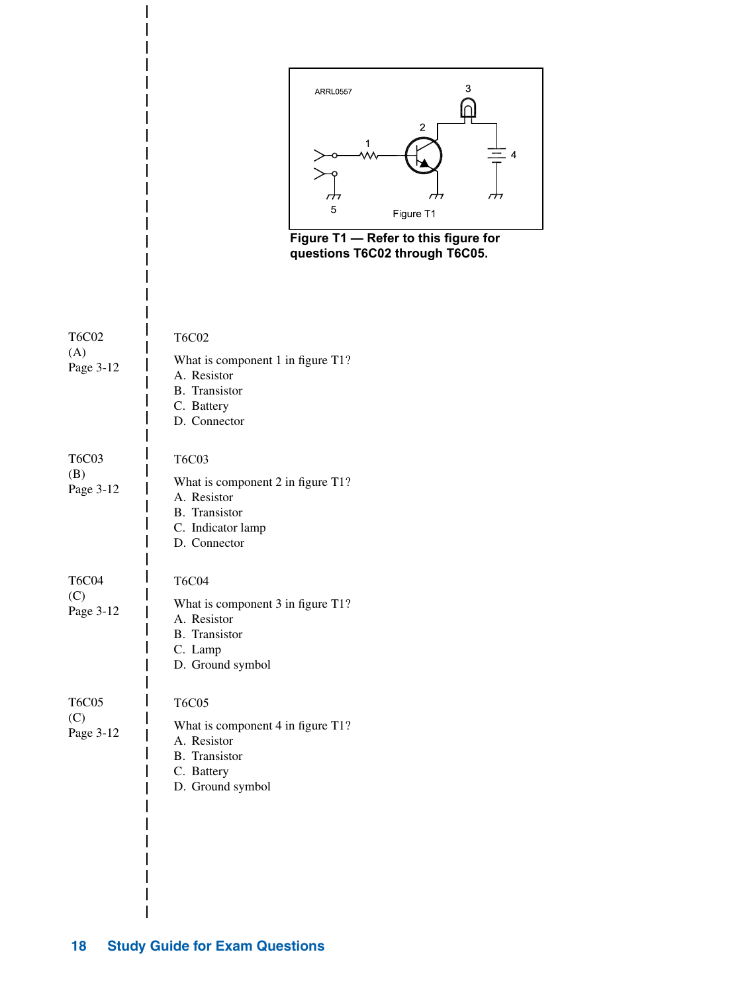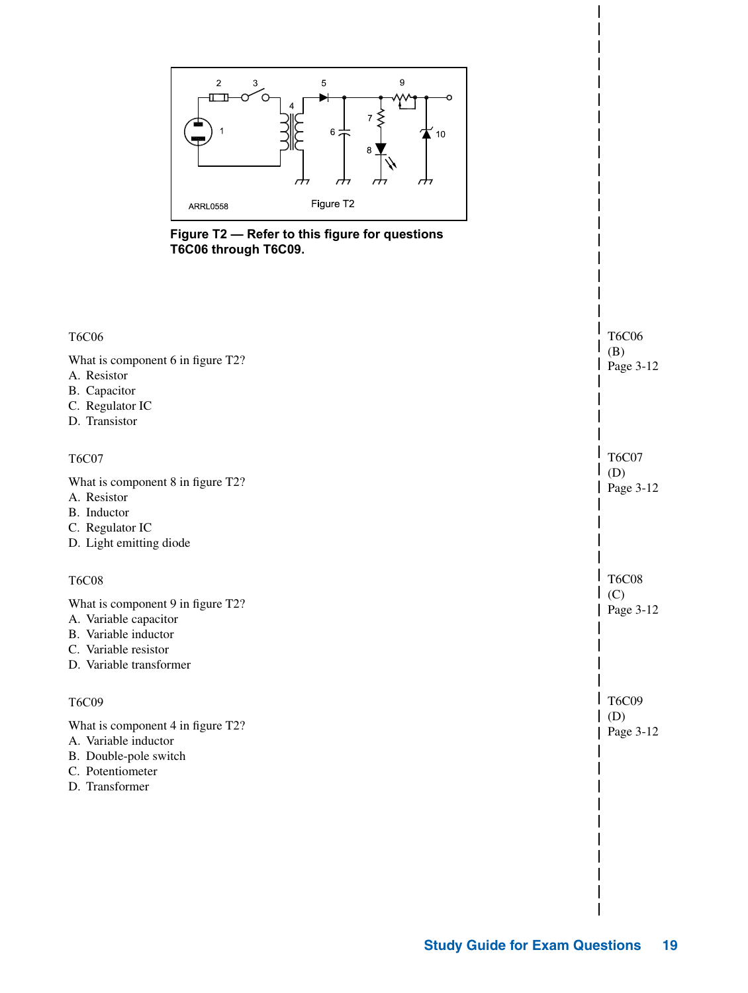

**Figure T2 — Refer to this figure for questions T6C06 through T6C09.**

| <b>T6C06</b><br>What is component 6 in figure T2?<br>A. Resistor<br>B. Capacitor<br>C. Regulator IC<br>D. Transistor                                  | <b>T6C06</b><br>(B)<br>Page 3-12 |
|-------------------------------------------------------------------------------------------------------------------------------------------------------|----------------------------------|
| <b>T6C07</b><br>What is component 8 in figure T2?<br>A. Resistor<br>B. Inductor<br>C. Regulator IC<br>D. Light emitting diode                         | <b>T6C07</b><br>(D)<br>Page 3-12 |
| <b>T6C08</b><br>What is component 9 in figure T2?<br>A. Variable capacitor<br>B. Variable inductor<br>C. Variable resistor<br>D. Variable transformer | <b>T6C08</b><br>(C)<br>Page 3-12 |
| <b>T6C09</b><br>What is component 4 in figure T2?<br>A. Variable inductor<br>B. Double-pole switch<br>C. Potentiometer<br>D. Transformer              | <b>T6C09</b><br>(D)<br>Page 3-12 |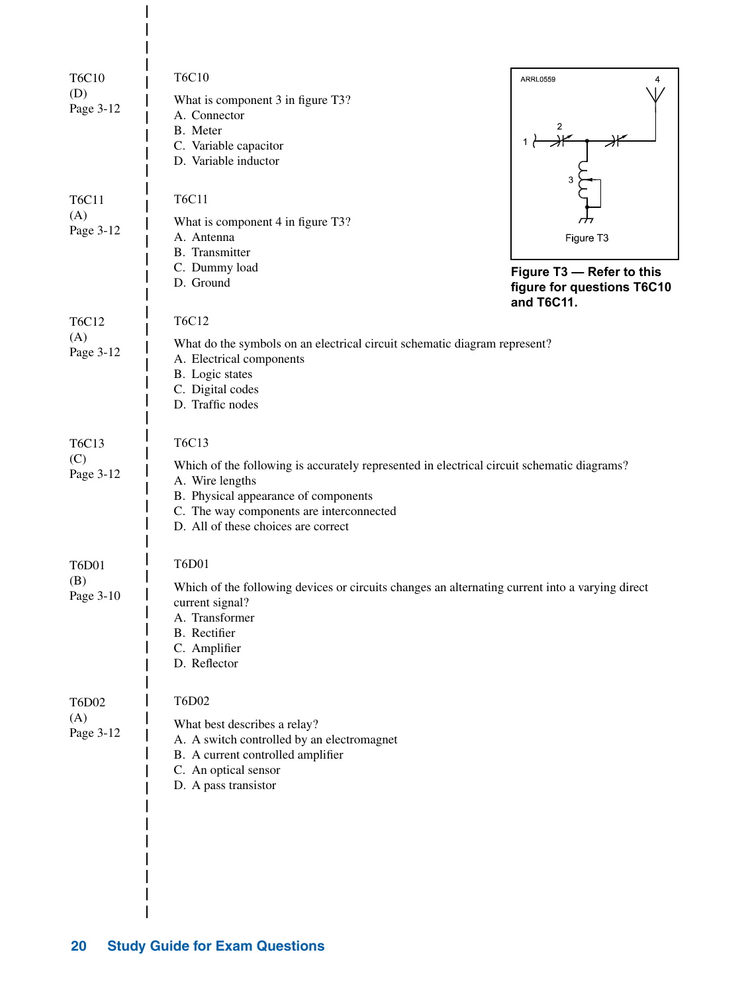| <b>T6C10</b>        | <b>T6C10</b>                                                                                                       | <b>ARRL0559</b>            |
|---------------------|--------------------------------------------------------------------------------------------------------------------|----------------------------|
| (D)<br>Page 3-12    | What is component 3 in figure T3?                                                                                  |                            |
|                     | A. Connector<br>B. Meter                                                                                           | 2                          |
|                     | C. Variable capacitor                                                                                              |                            |
|                     | D. Variable inductor                                                                                               |                            |
|                     |                                                                                                                    |                            |
| <b>T6C11</b>        | <b>T6C11</b>                                                                                                       |                            |
| (A)<br>Page 3-12    | What is component 4 in figure T3?                                                                                  |                            |
|                     | A. Antenna<br><b>B.</b> Transmitter                                                                                | Figure T3                  |
|                     | C. Dummy load                                                                                                      | Figure T3 - Refer to this  |
|                     | D. Ground                                                                                                          | figure for questions T6C10 |
|                     |                                                                                                                    | and T6C11.                 |
| T6C12               | T6C12                                                                                                              |                            |
| (A)<br>Page 3-12    | What do the symbols on an electrical circuit schematic diagram represent?                                          |                            |
|                     | A. Electrical components<br>B. Logic states                                                                        |                            |
|                     | C. Digital codes                                                                                                   |                            |
|                     | D. Traffic nodes                                                                                                   |                            |
|                     |                                                                                                                    |                            |
| T6C13               | T6C13                                                                                                              |                            |
| (C)<br>Page 3-12    | Which of the following is accurately represented in electrical circuit schematic diagrams?                         |                            |
|                     | A. Wire lengths<br>B. Physical appearance of components                                                            |                            |
|                     | C. The way components are interconnected                                                                           |                            |
|                     | D. All of these choices are correct                                                                                |                            |
|                     |                                                                                                                    |                            |
| <b>T6D01</b><br>(B) | <b>T6D01</b>                                                                                                       |                            |
| Page 3-10           | Which of the following devices or circuits changes an alternating current into a varying direct<br>current signal? |                            |
|                     | A. Transformer                                                                                                     |                            |
|                     | B. Rectifier                                                                                                       |                            |
|                     | C. Amplifier<br>D. Reflector                                                                                       |                            |
|                     |                                                                                                                    |                            |
| <b>T6D02</b>        | T6D02                                                                                                              |                            |
| (A)                 | What best describes a relay?                                                                                       |                            |
| Page 3-12           | A. A switch controlled by an electromagnet                                                                         |                            |
|                     | B. A current controlled amplifier                                                                                  |                            |
|                     | C. An optical sensor<br>D. A pass transistor                                                                       |                            |
|                     |                                                                                                                    |                            |
|                     |                                                                                                                    |                            |
|                     |                                                                                                                    |                            |
|                     |                                                                                                                    |                            |
|                     |                                                                                                                    |                            |
|                     |                                                                                                                    |                            |

 $\overline{\phantom{a}}$  $\overline{\phantom{a}}$  $\overline{1}$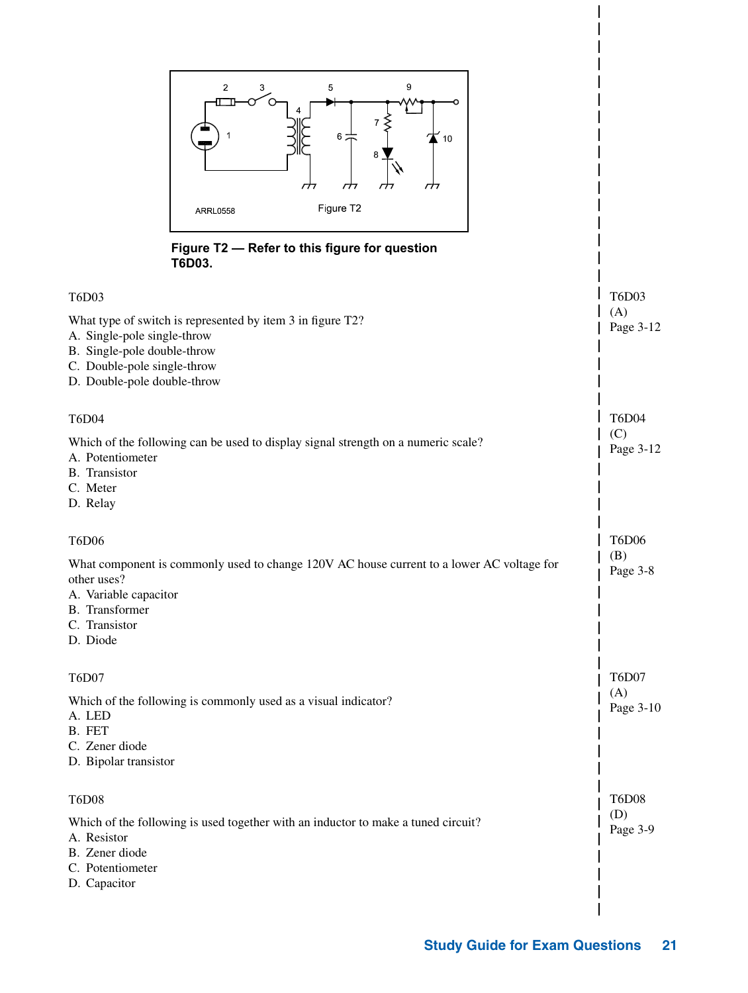| 9<br>$\overline{\mathbf{c}}$<br>3<br>5<br>$6\frac{1}{4}$<br>10<br>8<br>гĦ<br>гĦ<br>$\tau\tau$<br>Figure T2<br><b>ARRL0558</b>                                                                    |                                  |
|--------------------------------------------------------------------------------------------------------------------------------------------------------------------------------------------------|----------------------------------|
| Figure T2 - Refer to this figure for question<br>T6D03.                                                                                                                                          |                                  |
| T6D03<br>What type of switch is represented by item 3 in figure T2?<br>A. Single-pole single-throw<br>B. Single-pole double-throw<br>C. Double-pole single-throw<br>D. Double-pole double-throw  | T6D03<br>(A)<br>Page 3-12        |
| <b>T6D04</b><br>Which of the following can be used to display signal strength on a numeric scale?<br>A. Potentiometer<br>B. Transistor<br>C. Meter<br>D. Relay                                   | <b>T6D04</b><br>(C)<br>Page 3-12 |
| <b>T6D06</b><br>What component is commonly used to change 120V AC house current to a lower AC voltage for<br>other uses?<br>A. Variable capacitor<br>B. Transformer<br>C. Transistor<br>D. Diode | <b>T6D06</b><br>(B)<br>Page 3-8  |
| T6D07<br>Which of the following is commonly used as a visual indicator?<br>A. LED<br>B. FET<br>C. Zener diode<br>D. Bipolar transistor                                                           | T6D07<br>(A)<br>Page 3-10        |
| <b>T6D08</b><br>Which of the following is used together with an inductor to make a tuned circuit?<br>A. Resistor<br>B. Zener diode<br>C. Potentiometer<br>D. Capacitor                           | <b>T6D08</b><br>(D)<br>Page 3-9  |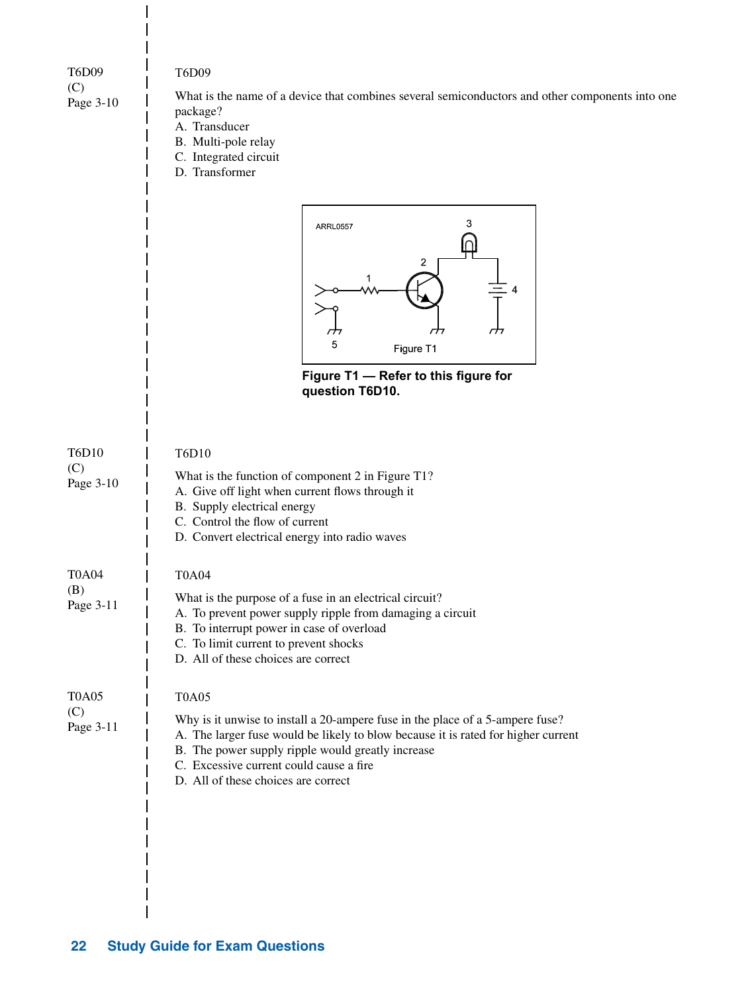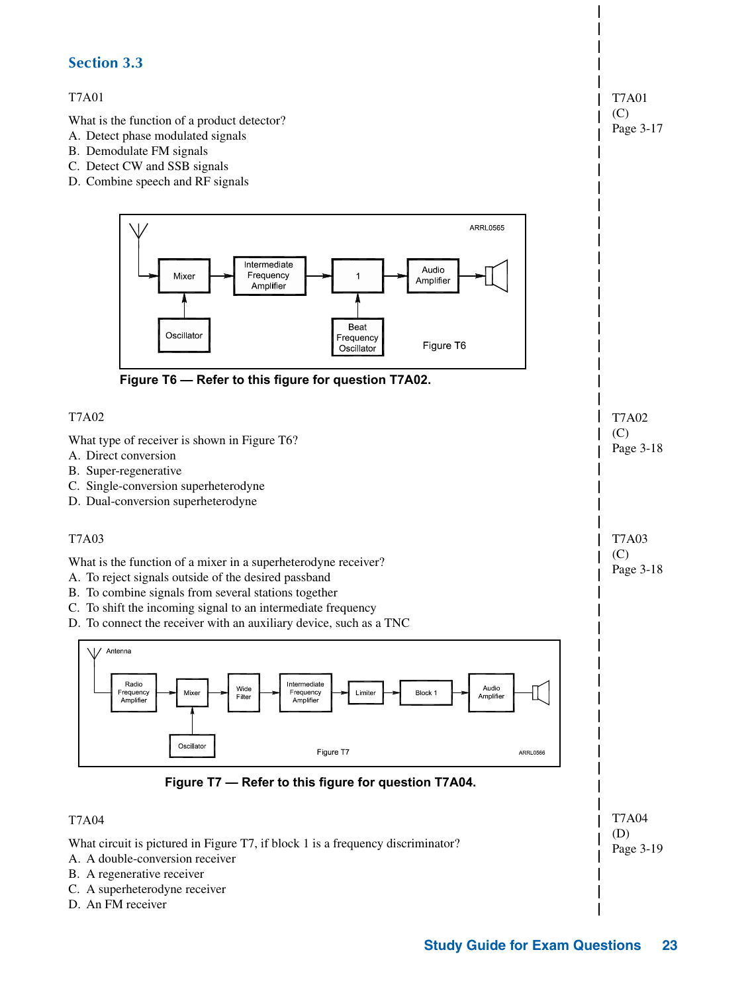#### **Section 3.3**

#### T7A01

What is the function of a product detector?

- A. Detect phase modulated signals
- B. Demodulate FM signals
- C. Detect CW and SSB signals
- D. Combine speech and RF signals



T7A01  $(C)$ Page 3-17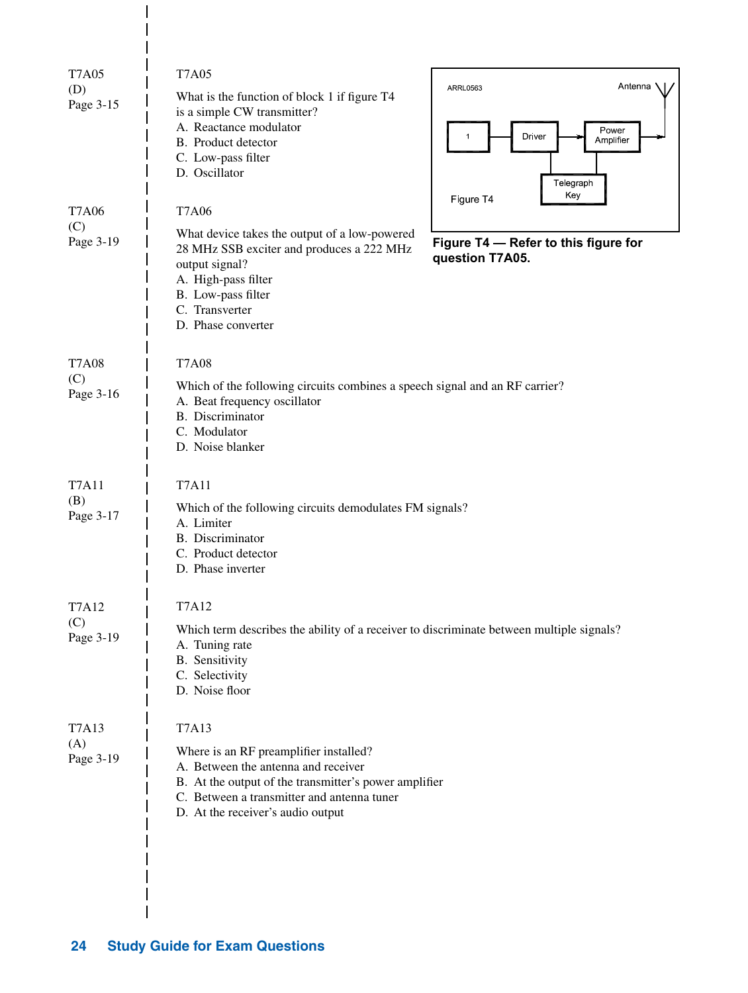| <b>T7A05</b>     | <b>T7A05</b>                                                                                                                                                                                                                                                 |
|------------------|--------------------------------------------------------------------------------------------------------------------------------------------------------------------------------------------------------------------------------------------------------------|
| (D)<br>Page 3-15 | Antenna<br><b>ARRL0563</b><br>What is the function of block 1 if figure T4<br>is a simple CW transmitter?<br>A. Reactance modulator<br>Power<br>Driver<br>Amplifier<br>B. Product detector<br>C. Low-pass filter<br>D. Oscillator<br>Telegraph<br>Key        |
| <b>T7A06</b>     | Figure T4<br><b>T7A06</b>                                                                                                                                                                                                                                    |
| (C)<br>Page 3-19 | What device takes the output of a low-powered<br>Figure T4 - Refer to this figure for<br>28 MHz SSB exciter and produces a 222 MHz<br>question T7A05.<br>output signal?<br>A. High-pass filter<br>B. Low-pass filter<br>C. Transverter<br>D. Phase converter |
| <b>T7A08</b>     | <b>T7A08</b>                                                                                                                                                                                                                                                 |
| (C)<br>Page 3-16 | Which of the following circuits combines a speech signal and an RF carrier?<br>A. Beat frequency oscillator<br><b>B.</b> Discriminator<br>C. Modulator<br>D. Noise blanker                                                                                   |
| <b>T7A11</b>     | <b>T7A11</b>                                                                                                                                                                                                                                                 |
| (B)<br>Page 3-17 | Which of the following circuits demodulates FM signals?<br>A. Limiter<br>B. Discriminator<br>C. Product detector<br>D. Phase inverter                                                                                                                        |
| <b>T7A12</b>     | <b>T7A12</b>                                                                                                                                                                                                                                                 |
| (C)<br>Page 3-19 | Which term describes the ability of a receiver to discriminate between multiple signals?<br>A. Tuning rate<br><b>B.</b> Sensitivity<br>C. Selectivity<br>D. Noise floor                                                                                      |
| <b>T7A13</b>     | T7A13                                                                                                                                                                                                                                                        |
| (A)<br>Page 3-19 | Where is an RF preamplifier installed?<br>A. Between the antenna and receiver<br>B. At the output of the transmitter's power amplifier<br>C. Between a transmitter and antenna tuner<br>D. At the receiver's audio output                                    |
|                  |                                                                                                                                                                                                                                                              |

 $\overline{1}$ 

 $\overline{\phantom{a}}$ 

I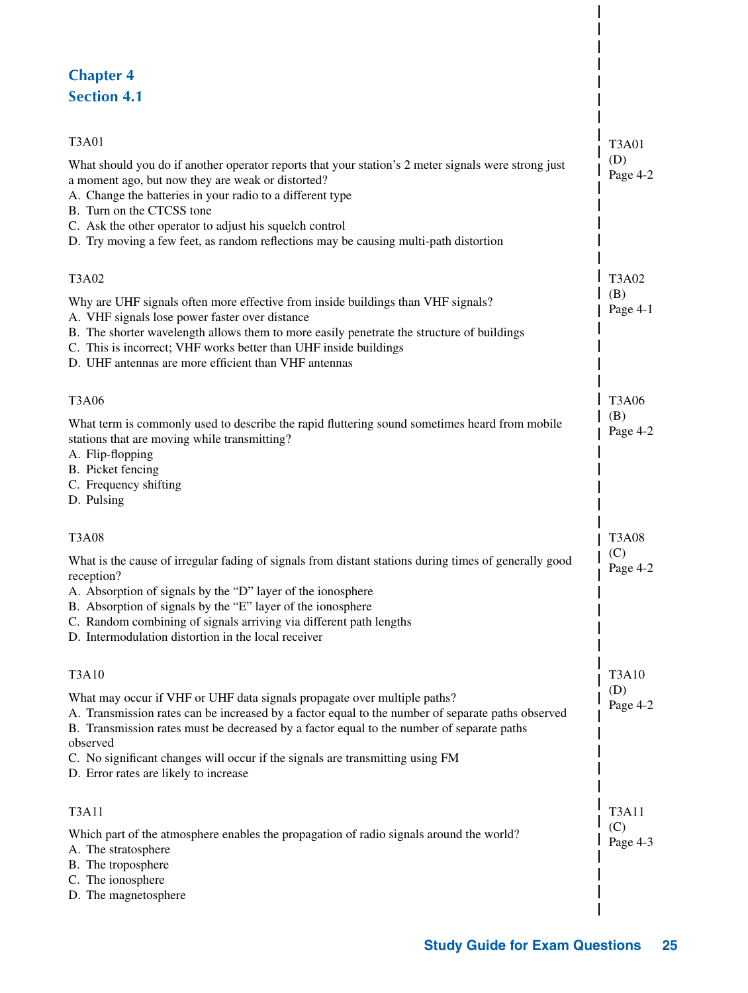# **Chapter 4 Section 4.1**

| T3A01                                                                                                                                                                                                                                                                                                                                                                                                            | <b>T3A01</b>    |
|------------------------------------------------------------------------------------------------------------------------------------------------------------------------------------------------------------------------------------------------------------------------------------------------------------------------------------------------------------------------------------------------------------------|-----------------|
| What should you do if another operator reports that your station's 2 meter signals were strong just<br>a moment ago, but now they are weak or distorted?<br>A. Change the batteries in your radio to a different type<br>B. Turn on the CTCSS tone<br>C. Ask the other operator to adjust his squelch control                                                                                                    | (D)<br>Page 4-2 |
| D. Try moving a few feet, as random reflections may be causing multi-path distortion                                                                                                                                                                                                                                                                                                                             |                 |
| T3A02                                                                                                                                                                                                                                                                                                                                                                                                            | T3A02           |
| Why are UHF signals often more effective from inside buildings than VHF signals?<br>A. VHF signals lose power faster over distance<br>B. The shorter wavelength allows them to more easily penetrate the structure of buildings<br>C. This is incorrect; VHF works better than UHF inside buildings<br>D. UHF antennas are more efficient than VHF antennas                                                      | (B)<br>Page 4-1 |
| T3A06                                                                                                                                                                                                                                                                                                                                                                                                            | <b>T3A06</b>    |
| What term is commonly used to describe the rapid fluttering sound sometimes heard from mobile<br>stations that are moving while transmitting?<br>A. Flip-flopping<br>B. Picket fencing<br>C. Frequency shifting                                                                                                                                                                                                  | (B)<br>Page 4-2 |
| D. Pulsing                                                                                                                                                                                                                                                                                                                                                                                                       |                 |
| T3A08                                                                                                                                                                                                                                                                                                                                                                                                            | <b>T3A08</b>    |
| What is the cause of irregular fading of signals from distant stations during times of generally good<br>reception?<br>A. Absorption of signals by the "D" layer of the ionosphere<br>B. Absorption of signals by the "E" layer of the ionosphere<br>C. Random combining of signals arriving via different path lengths<br>D. Intermodulation distortion in the local receiver                                   | (C)<br>Page 4-2 |
| T3A10                                                                                                                                                                                                                                                                                                                                                                                                            | <b>T3A10</b>    |
| What may occur if VHF or UHF data signals propagate over multiple paths?<br>A. Transmission rates can be increased by a factor equal to the number of separate paths observed<br>B. Transmission rates must be decreased by a factor equal to the number of separate paths<br>observed<br>C. No significant changes will occur if the signals are transmitting using FM<br>D. Error rates are likely to increase | (D)<br>Page 4-2 |
| T3A11                                                                                                                                                                                                                                                                                                                                                                                                            | T3A11           |
| Which part of the atmosphere enables the propagation of radio signals around the world?<br>A. The stratosphere<br>B. The troposphere<br>C. The ionosphere                                                                                                                                                                                                                                                        | (C)<br>Page 4-3 |
| D. The magnetosphere                                                                                                                                                                                                                                                                                                                                                                                             |                 |
|                                                                                                                                                                                                                                                                                                                                                                                                                  |                 |

 $\overline{\phantom{a}}$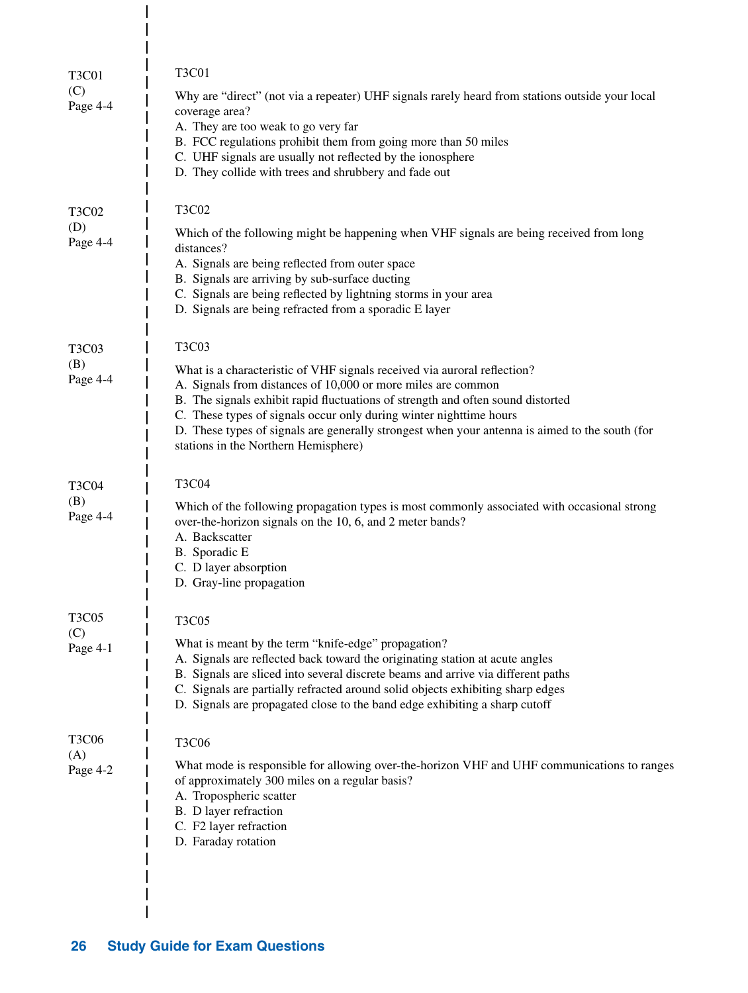| <b>T3C01</b><br>(C)<br>Page 4-4 | <b>T3C01</b><br>Why are "direct" (not via a repeater) UHF signals rarely heard from stations outside your local<br>coverage area?                                                                                                                                                                                                                                                       |
|---------------------------------|-----------------------------------------------------------------------------------------------------------------------------------------------------------------------------------------------------------------------------------------------------------------------------------------------------------------------------------------------------------------------------------------|
|                                 | A. They are too weak to go very far<br>B. FCC regulations prohibit them from going more than 50 miles<br>C. UHF signals are usually not reflected by the ionosphere<br>D. They collide with trees and shrubbery and fade out                                                                                                                                                            |
| T3C02                           | <b>T3C02</b>                                                                                                                                                                                                                                                                                                                                                                            |
| (D)<br>Page 4-4                 | Which of the following might be happening when VHF signals are being received from long<br>distances?<br>A. Signals are being reflected from outer space<br>B. Signals are arriving by sub-surface ducting                                                                                                                                                                              |
|                                 | C. Signals are being reflected by lightning storms in your area<br>D. Signals are being refracted from a sporadic E layer                                                                                                                                                                                                                                                               |
| T3C03                           | <b>T3C03</b>                                                                                                                                                                                                                                                                                                                                                                            |
| (B)<br>Page 4-4                 | What is a characteristic of VHF signals received via auroral reflection?<br>A. Signals from distances of 10,000 or more miles are common                                                                                                                                                                                                                                                |
|                                 | B. The signals exhibit rapid fluctuations of strength and often sound distorted<br>C. These types of signals occur only during winter nighttime hours                                                                                                                                                                                                                                   |
|                                 | D. These types of signals are generally strongest when your antenna is aimed to the south (for<br>stations in the Northern Hemisphere)                                                                                                                                                                                                                                                  |
| <b>T3C04</b>                    | <b>T3C04</b>                                                                                                                                                                                                                                                                                                                                                                            |
| (B)<br>Page 4-4                 | Which of the following propagation types is most commonly associated with occasional strong<br>over-the-horizon signals on the 10, 6, and 2 meter bands?<br>A. Backscatter<br>B. Sporadic E                                                                                                                                                                                             |
|                                 | C. D layer absorption<br>D. Gray-line propagation                                                                                                                                                                                                                                                                                                                                       |
| <b>T3C05</b><br>(C)             | <b>T3C05</b>                                                                                                                                                                                                                                                                                                                                                                            |
| Page 4-1                        | What is meant by the term "knife-edge" propagation?<br>A. Signals are reflected back toward the originating station at acute angles<br>B. Signals are sliced into several discrete beams and arrive via different paths<br>C. Signals are partially refracted around solid objects exhibiting sharp edges<br>D. Signals are propagated close to the band edge exhibiting a sharp cutoff |
| <b>T3C06</b><br>(A)             | <b>T3C06</b>                                                                                                                                                                                                                                                                                                                                                                            |
| Page 4-2                        | What mode is responsible for allowing over-the-horizon VHF and UHF communications to ranges<br>of approximately 300 miles on a regular basis?<br>A. Tropospheric scatter<br>B. D layer refraction<br>C. F2 layer refraction<br>D. Faraday rotation                                                                                                                                      |
|                                 |                                                                                                                                                                                                                                                                                                                                                                                         |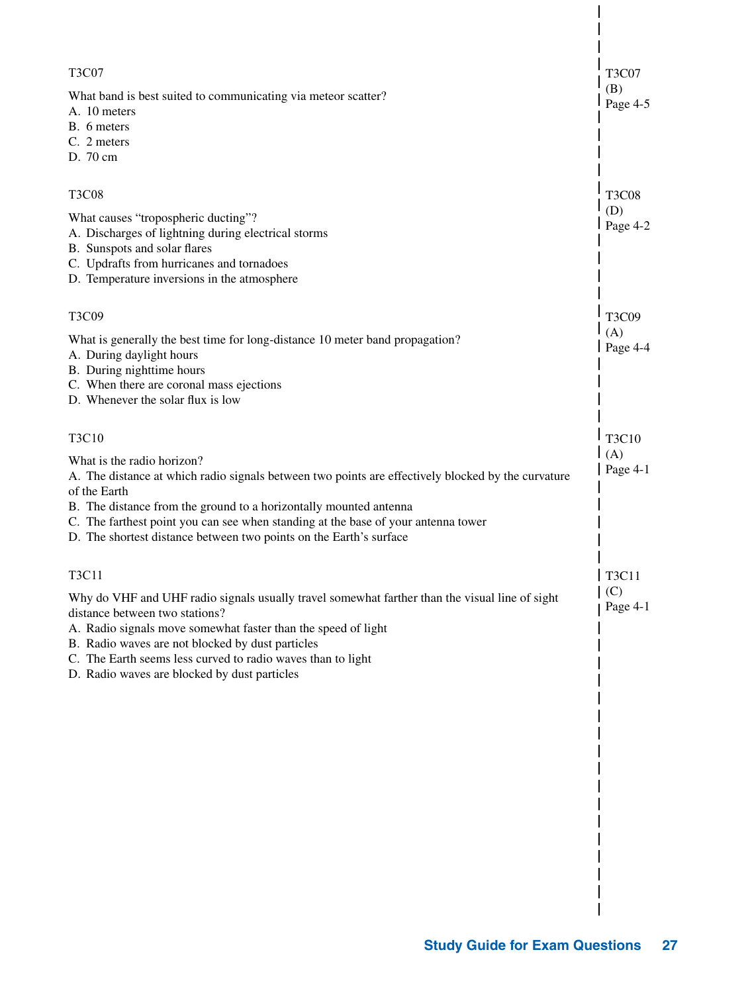| <b>T3C07</b>                                                                                                       | <b>T3C07</b>    |
|--------------------------------------------------------------------------------------------------------------------|-----------------|
| What band is best suited to communicating via meteor scatter?<br>A. 10 meters                                      | (B)<br>Page 4-5 |
| B. 6 meters                                                                                                        |                 |
| C. 2 meters<br>D. 70 cm                                                                                            |                 |
|                                                                                                                    |                 |
| <b>T3C08</b>                                                                                                       | <b>T3C08</b>    |
| What causes "tropospheric ducting"?                                                                                | (D)<br>Page 4-2 |
| A. Discharges of lightning during electrical storms<br>B. Sunspots and solar flares                                |                 |
| C. Updrafts from hurricanes and tornadoes                                                                          |                 |
| D. Temperature inversions in the atmosphere                                                                        |                 |
| T3C09                                                                                                              | T3C09           |
| What is generally the best time for long-distance 10 meter band propagation?                                       | (A)             |
| A. During daylight hours                                                                                           | Page $4-4$      |
| B. During nighttime hours                                                                                          |                 |
| C. When there are coronal mass ejections<br>D. Whenever the solar flux is low                                      |                 |
|                                                                                                                    |                 |
| T3C10                                                                                                              | T3C10           |
| What is the radio horizon?                                                                                         | (A)<br>Page 4-1 |
| A. The distance at which radio signals between two points are effectively blocked by the curvature<br>of the Earth |                 |
| B. The distance from the ground to a horizontally mounted antenna                                                  |                 |
| C. The farthest point you can see when standing at the base of your antenna tower                                  |                 |
| D. The shortest distance between two points on the Earth's surface                                                 |                 |
| T3C11                                                                                                              | T3C11           |
| Why do VHF and UHF radio signals usually travel somewhat farther than the visual line of sight                     | (C)             |
| distance between two stations?                                                                                     | Page $4-1$      |
| A. Radio signals move somewhat faster than the speed of light<br>B. Radio waves are not blocked by dust particles  |                 |
| C. The Earth seems less curved to radio waves than to light                                                        |                 |
| D. Radio waves are blocked by dust particles                                                                       |                 |
|                                                                                                                    |                 |
|                                                                                                                    |                 |
|                                                                                                                    |                 |
|                                                                                                                    |                 |
|                                                                                                                    |                 |
|                                                                                                                    |                 |
|                                                                                                                    |                 |
|                                                                                                                    |                 |
|                                                                                                                    |                 |
|                                                                                                                    |                 |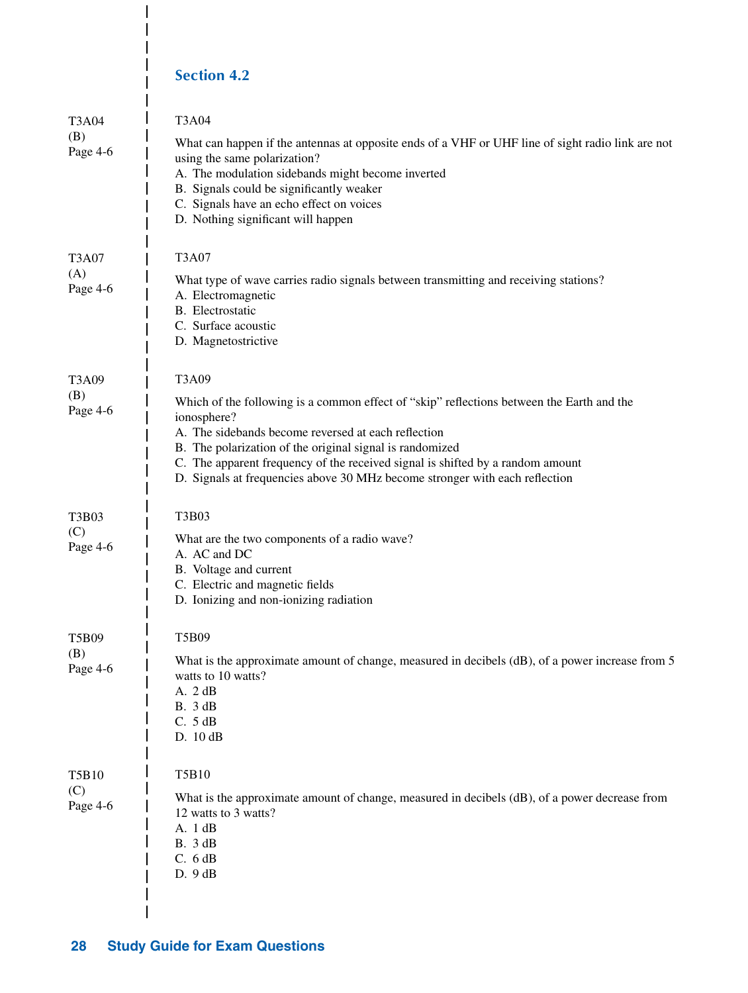# **Section 4.2**

 $\mathbf{I}$ 

 $\overline{\phantom{a}}$  $\overline{\phantom{a}}$  $\overline{1}$ 

| T3A04<br>(B)<br>Page 4-6        | T3A04<br>What can happen if the antennas at opposite ends of a VHF or UHF line of sight radio link are not<br>using the same polarization?<br>A. The modulation sidebands might become inverted<br>B. Signals could be significantly weaker<br>C. Signals have an echo effect on voices<br>D. Nothing significant will happen                                                                         |
|---------------------------------|-------------------------------------------------------------------------------------------------------------------------------------------------------------------------------------------------------------------------------------------------------------------------------------------------------------------------------------------------------------------------------------------------------|
| <b>T3A07</b><br>(A)<br>Page 4-6 | T3A07<br>What type of wave carries radio signals between transmitting and receiving stations?<br>A. Electromagnetic<br>B. Electrostatic<br>C. Surface acoustic<br>D. Magnetostrictive                                                                                                                                                                                                                 |
| T3A09<br>(B)<br>Page 4-6        | T3A09<br>Which of the following is a common effect of "skip" reflections between the Earth and the<br>ionosphere?<br>A. The sidebands become reversed at each reflection<br>B. The polarization of the original signal is randomized<br>C. The apparent frequency of the received signal is shifted by a random amount<br>D. Signals at frequencies above 30 MHz become stronger with each reflection |
| T3B03<br>(C)<br>Page 4-6        | T3B03<br>What are the two components of a radio wave?<br>A. AC and DC<br>B. Voltage and current<br>C. Electric and magnetic fields<br>D. Ionizing and non-ionizing radiation                                                                                                                                                                                                                          |
| T5B09<br>(B)<br>Page 4-6        | T5B09<br>What is the approximate amount of change, measured in decibels (dB), of a power increase from 5<br>watts to 10 watts?<br>A. 2 dB<br><b>B.</b> 3 dB<br>C. 5 dB<br>D. 10 dB                                                                                                                                                                                                                    |
| <b>T5B10</b><br>(C)<br>Page 4-6 | T5B10<br>What is the approximate amount of change, measured in decibels (dB), of a power decrease from<br>12 watts to 3 watts?<br>A. 1 dB<br><b>B.</b> 3 dB<br>C. 6 dB<br>D.9dB                                                                                                                                                                                                                       |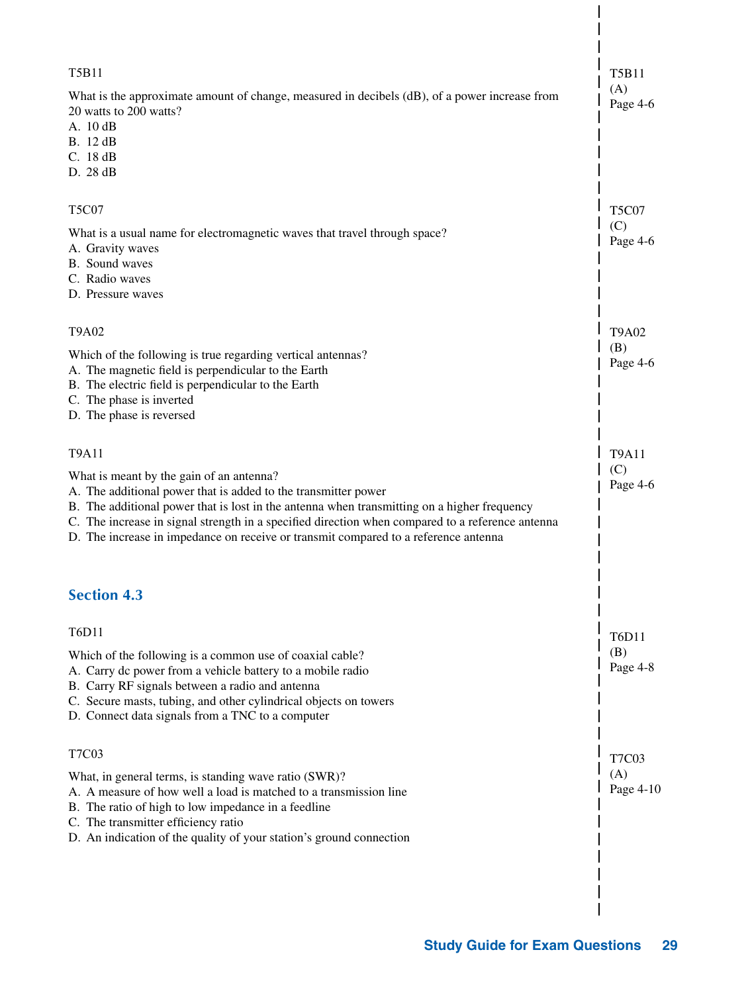| <b>T5B11</b>                                                                                                                                                                                                                                                                                                                                                                                         | <b>T5B11</b>     |
|------------------------------------------------------------------------------------------------------------------------------------------------------------------------------------------------------------------------------------------------------------------------------------------------------------------------------------------------------------------------------------------------------|------------------|
| What is the approximate amount of change, measured in decibels (dB), of a power increase from<br>20 watts to 200 watts?<br>A. 10dB<br><b>B.</b> 12 dB<br>C. 18dB<br>D. 28 dB                                                                                                                                                                                                                         | (A)<br>Page 4-6  |
| <b>T5C07</b>                                                                                                                                                                                                                                                                                                                                                                                         | <b>T5C07</b>     |
| What is a usual name for electromagnetic waves that travel through space?<br>A. Gravity waves<br>B. Sound waves<br>C. Radio waves<br>D. Pressure waves                                                                                                                                                                                                                                               | (C)<br>Page 4-6  |
| <b>T9A02</b>                                                                                                                                                                                                                                                                                                                                                                                         | <b>T9A02</b>     |
| Which of the following is true regarding vertical antennas?<br>A. The magnetic field is perpendicular to the Earth<br>B. The electric field is perpendicular to the Earth<br>C. The phase is inverted<br>D. The phase is reversed                                                                                                                                                                    | (B)<br>Page 4-6  |
| <b>T9A11</b>                                                                                                                                                                                                                                                                                                                                                                                         | <b>T9A11</b>     |
| What is meant by the gain of an antenna?<br>A. The additional power that is added to the transmitter power<br>B. The additional power that is lost in the antenna when transmitting on a higher frequency<br>C. The increase in signal strength in a specified direction when compared to a reference antenna<br>D. The increase in impedance on receive or transmit compared to a reference antenna | (C)<br>Page 4-6  |
| <b>Section 4.3</b>                                                                                                                                                                                                                                                                                                                                                                                   |                  |
| T6D11                                                                                                                                                                                                                                                                                                                                                                                                | <b>T6D11</b>     |
| Which of the following is a common use of coaxial cable?<br>A. Carry dc power from a vehicle battery to a mobile radio<br>B. Carry RF signals between a radio and antenna<br>C. Secure masts, tubing, and other cylindrical objects on towers<br>D. Connect data signals from a TNC to a computer                                                                                                    | (B)<br>Page 4-8  |
| <b>T7C03</b>                                                                                                                                                                                                                                                                                                                                                                                         | <b>T7C03</b>     |
| What, in general terms, is standing wave ratio (SWR)?<br>A. A measure of how well a load is matched to a transmission line<br>B. The ratio of high to low impedance in a feedline<br>C. The transmitter efficiency ratio<br>D. An indication of the quality of your station's ground connection                                                                                                      | (A)<br>Page 4-10 |
|                                                                                                                                                                                                                                                                                                                                                                                                      |                  |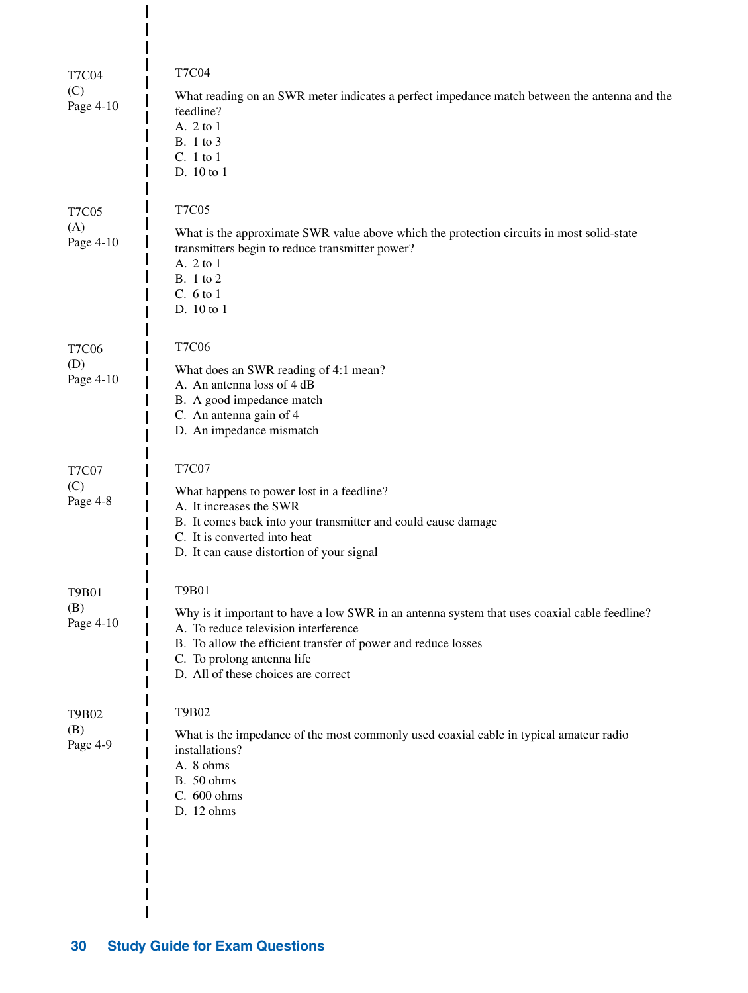| <b>T7C04</b>                     | <b>T7C04</b>                                                                                                                                                                                                                                                                        |
|----------------------------------|-------------------------------------------------------------------------------------------------------------------------------------------------------------------------------------------------------------------------------------------------------------------------------------|
| (C)<br>Page 4-10                 | What reading on an SWR meter indicates a perfect impedance match between the antenna and the<br>feedline?<br>A. 2 to 1<br><b>B.</b> 1 to 3<br>C. 1 to 1<br>D. 10 to 1                                                                                                               |
| <b>T7C05</b><br>(A)<br>Page 4-10 | <b>T7C05</b><br>What is the approximate SWR value above which the protection circuits in most solid-state<br>transmitters begin to reduce transmitter power?<br>A. 2 to 1<br><b>B.</b> 1 to 2<br>C. 6 to 1<br>D. 10 to 1                                                            |
| <b>T7C06</b><br>(D)<br>Page 4-10 | <b>T7C06</b><br>What does an SWR reading of 4:1 mean?<br>A. An antenna loss of 4 dB<br>B. A good impedance match<br>C. An antenna gain of 4<br>D. An impedance mismatch                                                                                                             |
| <b>T7C07</b><br>(C)<br>Page 4-8  | <b>T7C07</b><br>What happens to power lost in a feedline?<br>A. It increases the SWR<br>B. It comes back into your transmitter and could cause damage<br>C. It is converted into heat<br>D. It can cause distortion of your signal                                                  |
| <b>T9B01</b><br>(B)<br>Page 4-10 | T9B01<br>Why is it important to have a low SWR in an antenna system that uses coaxial cable feedline?<br>A. To reduce television interference<br>B. To allow the efficient transfer of power and reduce losses<br>C. To prolong antenna life<br>D. All of these choices are correct |
| T9B02<br>(B)<br>Page 4-9         | T9B02<br>What is the impedance of the most commonly used coaxial cable in typical amateur radio<br>installations?<br>A. 8 ohms<br><b>B.</b> 50 ohms<br>C. 600 ohms<br>D. 12 ohms                                                                                                    |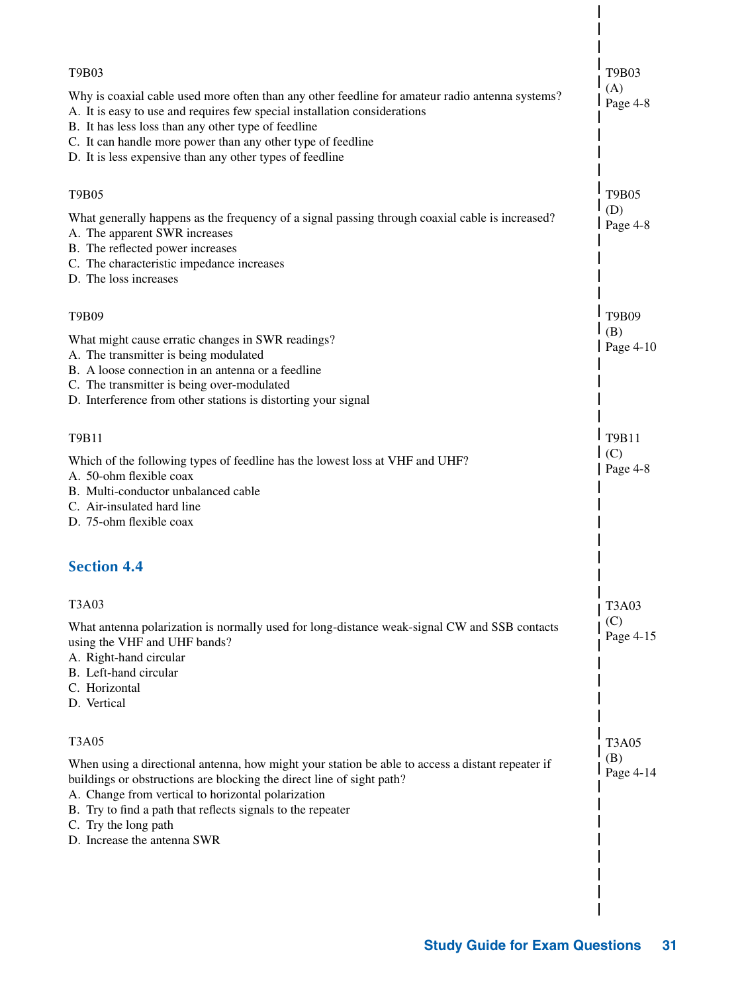| T9B03                                                                                                                                                                                                                                                                                                                                                          | T9B03                   |
|----------------------------------------------------------------------------------------------------------------------------------------------------------------------------------------------------------------------------------------------------------------------------------------------------------------------------------------------------------------|-------------------------|
| Why is coaxial cable used more often than any other feedline for amateur radio antenna systems?<br>A. It is easy to use and requires few special installation considerations<br>B. It has less loss than any other type of feedline<br>C. It can handle more power than any other type of feedline<br>D. It is less expensive than any other types of feedline | (A)<br>Page 4-8         |
| T9B05                                                                                                                                                                                                                                                                                                                                                          | <b>T9B05</b>            |
| What generally happens as the frequency of a signal passing through coaxial cable is increased?<br>A. The apparent SWR increases<br>B. The reflected power increases<br>C. The characteristic impedance increases<br>D. The loss increases                                                                                                                     | (D)<br>Page 4-8         |
| T9B09                                                                                                                                                                                                                                                                                                                                                          | T9B09                   |
| What might cause erratic changes in SWR readings?<br>A. The transmitter is being modulated<br>B. A loose connection in an antenna or a feedline<br>C. The transmitter is being over-modulated<br>D. Interference from other stations is distorting your signal                                                                                                 | (B)<br>Page $4-10$      |
| T9B11                                                                                                                                                                                                                                                                                                                                                          | T9B11                   |
| Which of the following types of feedline has the lowest loss at VHF and UHF?<br>A. 50-ohm flexible coax<br>B. Multi-conductor unbalanced cable<br>C. Air-insulated hard line<br>D. 75-ohm flexible coax                                                                                                                                                        | (C)<br>$\vert$ Page 4-8 |
| <b>Section 4.4</b>                                                                                                                                                                                                                                                                                                                                             |                         |
| T3A03                                                                                                                                                                                                                                                                                                                                                          | T3A03                   |
| What antenna polarization is normally used for long-distance weak-signal CW and SSB contacts<br>using the VHF and UHF bands?<br>A. Right-hand circular<br>B. Left-hand circular<br>C. Horizontal<br>D. Vertical                                                                                                                                                | (C)<br>Page 4-15        |
| <b>T3A05</b>                                                                                                                                                                                                                                                                                                                                                   | <b>T3A05</b>            |
| When using a directional antenna, how might your station be able to access a distant repeater if<br>buildings or obstructions are blocking the direct line of sight path?<br>A. Change from vertical to horizontal polarization<br>B. Try to find a path that reflects signals to the repeater<br>C. Try the long path<br>D. Increase the antenna SWR          | (B)<br>Page 4-14        |
|                                                                                                                                                                                                                                                                                                                                                                |                         |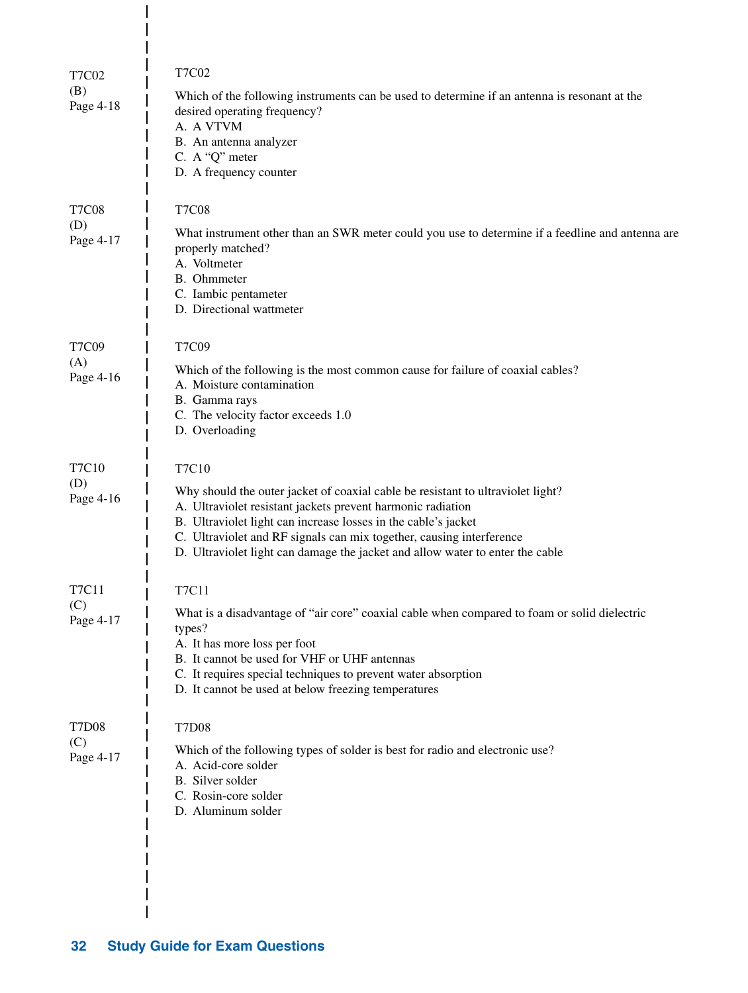| <b>T7C02</b><br>(B)<br>Page 4-18 | <b>T7C02</b><br>Which of the following instruments can be used to determine if an antenna is resonant at the<br>desired operating frequency?<br>A. A VTVM<br>B. An antenna analyzer<br>C. A "Q" meter<br>D. A frequency counter                                                                                                                                                    |
|----------------------------------|------------------------------------------------------------------------------------------------------------------------------------------------------------------------------------------------------------------------------------------------------------------------------------------------------------------------------------------------------------------------------------|
| <b>T7C08</b><br>(D)<br>Page 4-17 | <b>T7C08</b><br>What instrument other than an SWR meter could you use to determine if a feedline and antenna are<br>properly matched?<br>A. Voltmeter<br>B. Ohmmeter<br>C. Iambic pentameter<br>D. Directional wattmeter                                                                                                                                                           |
| <b>T7C09</b><br>(A)<br>Page 4-16 | T7C09<br>Which of the following is the most common cause for failure of coaxial cables?<br>A. Moisture contamination<br>B. Gamma rays<br>C. The velocity factor exceeds 1.0<br>D. Overloading                                                                                                                                                                                      |
| T7C10<br>(D)<br>Page 4-16        | T7C10<br>Why should the outer jacket of coaxial cable be resistant to ultraviolet light?<br>A. Ultraviolet resistant jackets prevent harmonic radiation<br>B. Ultraviolet light can increase losses in the cable's jacket<br>C. Ultraviolet and RF signals can mix together, causing interference<br>D. Ultraviolet light can damage the jacket and allow water to enter the cable |
| <b>T7C11</b><br>(C)<br>Page 4-17 | <b>T7C11</b><br>What is a disadvantage of "air core" coaxial cable when compared to foam or solid dielectric<br>types?<br>A. It has more loss per foot<br>B. It cannot be used for VHF or UHF antennas<br>C. It requires special techniques to prevent water absorption<br>D. It cannot be used at below freezing temperatures                                                     |
| <b>T7D08</b><br>(C)<br>Page 4-17 | <b>T7D08</b><br>Which of the following types of solder is best for radio and electronic use?<br>A. Acid-core solder<br>B. Silver solder<br>C. Rosin-core solder<br>D. Aluminum solder                                                                                                                                                                                              |

 $\overline{\phantom{a}}$  $\overline{1}$  $\overline{1}$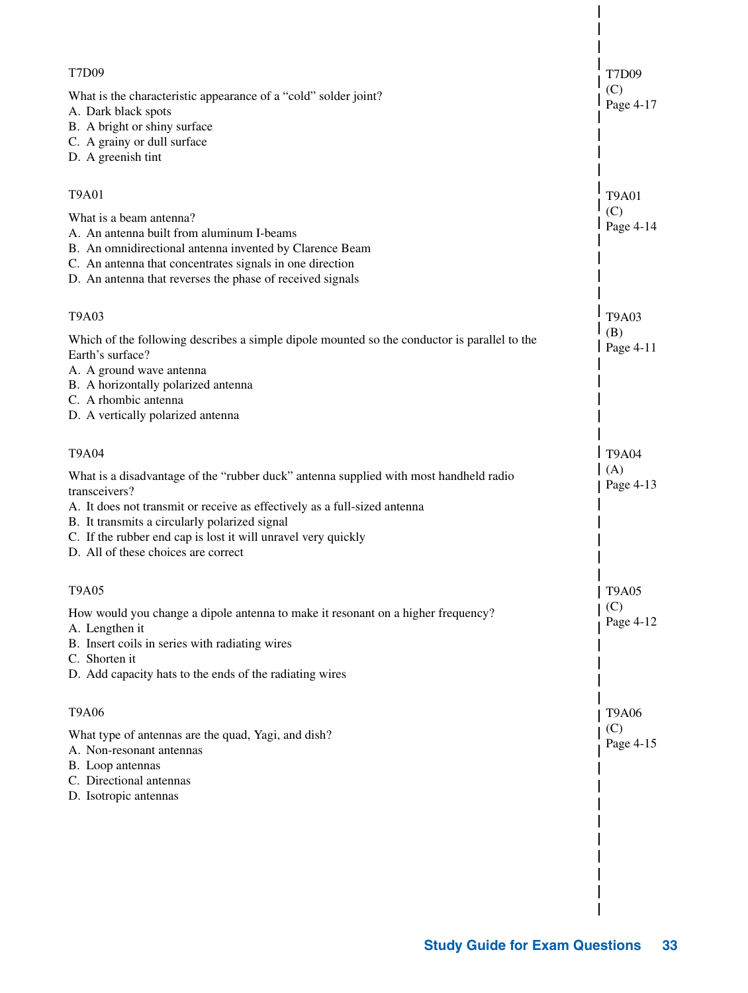| <b>T7D09</b>                                                                                                                                                                                                                                                                                                                                 | T7D09            |
|----------------------------------------------------------------------------------------------------------------------------------------------------------------------------------------------------------------------------------------------------------------------------------------------------------------------------------------------|------------------|
| What is the characteristic appearance of a "cold" solder joint?<br>A. Dark black spots<br>B. A bright or shiny surface<br>C. A grainy or dull surface<br>D. A greenish tint                                                                                                                                                                  | (C)<br>Page 4-17 |
| <b>T9A01</b>                                                                                                                                                                                                                                                                                                                                 | <b>T9A01</b>     |
| What is a beam antenna?<br>A. An antenna built from aluminum I-beams<br>B. An omnidirectional antenna invented by Clarence Beam<br>C. An antenna that concentrates signals in one direction<br>D. An antenna that reverses the phase of received signals                                                                                     | (C)<br>Page 4-14 |
| T9A03                                                                                                                                                                                                                                                                                                                                        | <b>T9A03</b>     |
| Which of the following describes a simple dipole mounted so the conductor is parallel to the<br>Earth's surface?<br>A. A ground wave antenna<br>B. A horizontally polarized antenna<br>C. A rhombic antenna<br>D. A vertically polarized antenna                                                                                             | (B)<br>Page 4-11 |
| <b>T9A04</b>                                                                                                                                                                                                                                                                                                                                 | <b>T9A04</b>     |
| What is a disadvantage of the "rubber duck" antenna supplied with most handheld radio<br>transceivers?<br>A. It does not transmit or receive as effectively as a full-sized antenna<br>B. It transmits a circularly polarized signal<br>C. If the rubber end cap is lost it will unravel very quickly<br>D. All of these choices are correct | (A)<br>Page 4-13 |
| <b>T9A05</b>                                                                                                                                                                                                                                                                                                                                 | <b>T9A05</b>     |
| How would you change a dipole antenna to make it resonant on a higher frequency?<br>A. Lengthen it<br>B. Insert coils in series with radiating wires<br>C. Shorten it<br>D. Add capacity hats to the ends of the radiating wires                                                                                                             | (C)<br>Page 4-12 |
| <b>T9A06</b>                                                                                                                                                                                                                                                                                                                                 | <b>T9A06</b>     |
| What type of antennas are the quad, Yagi, and dish?<br>A. Non-resonant antennas<br>B. Loop antennas<br>C. Directional antennas<br>D. Isotropic antennas                                                                                                                                                                                      | (C)<br>Page 4-15 |
|                                                                                                                                                                                                                                                                                                                                              |                  |
|                                                                                                                                                                                                                                                                                                                                              |                  |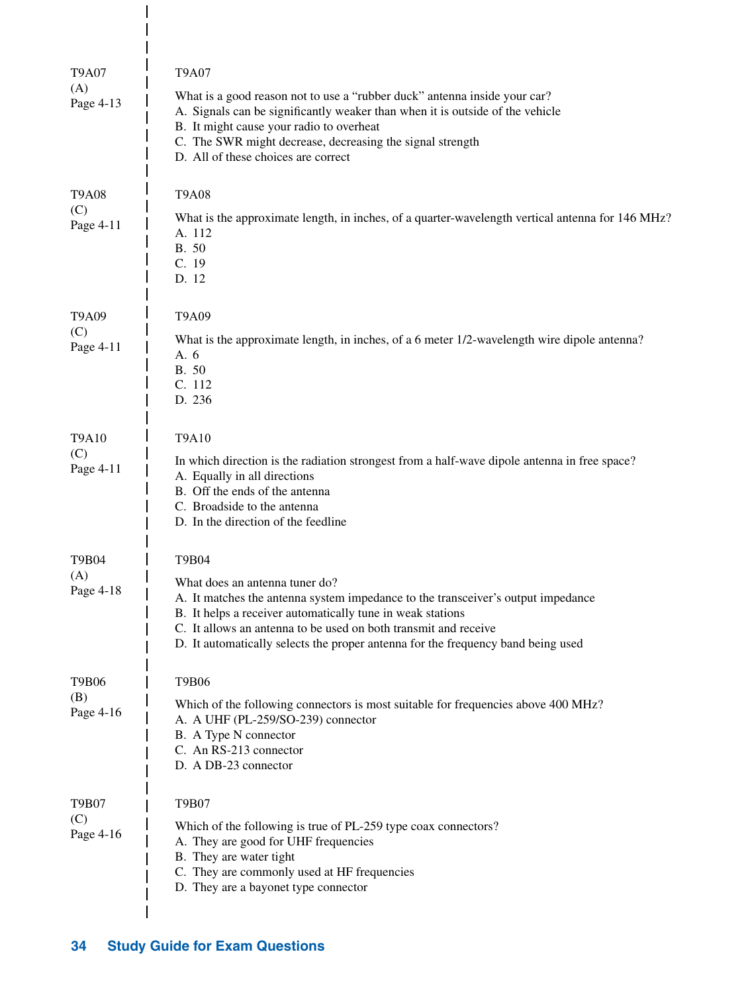| <b>T9A07</b><br>(A)<br>Page 4-13 | <b>T9A07</b><br>What is a good reason not to use a "rubber duck" antenna inside your car?<br>A. Signals can be significantly weaker than when it is outside of the vehicle<br>B. It might cause your radio to overheat<br>C. The SWR might decrease, decreasing the signal strength<br>D. All of these choices are correct                       |
|----------------------------------|--------------------------------------------------------------------------------------------------------------------------------------------------------------------------------------------------------------------------------------------------------------------------------------------------------------------------------------------------|
| <b>T9A08</b><br>(C)<br>Page 4-11 | <b>T9A08</b><br>What is the approximate length, in inches, of a quarter-wavelength vertical antenna for 146 MHz?<br>A. 112<br>B. 50<br>C. 19<br>D. 12                                                                                                                                                                                            |
| T9A09<br>(C)<br>Page 4-11        | T9A09<br>What is the approximate length, in inches, of a 6 meter 1/2-wavelength wire dipole antenna?<br>A. 6<br>B. 50<br>C. 112<br>D. 236                                                                                                                                                                                                        |
| T9A10<br>(C)<br>Page 4-11        | T9A10<br>In which direction is the radiation strongest from a half-wave dipole antenna in free space?<br>A. Equally in all directions<br>B. Off the ends of the antenna<br>C. Broadside to the antenna<br>D. In the direction of the feedline                                                                                                    |
| T9B04<br>(A)<br>Page 4-18        | T9B04<br>What does an antenna tuner do?<br>A. It matches the antenna system impedance to the transceiver's output impedance<br>B. It helps a receiver automatically tune in weak stations<br>C. It allows an antenna to be used on both transmit and receive<br>D. It automatically selects the proper antenna for the frequency band being used |
| T9B06<br>(B)<br>Page 4-16        | T9B06<br>Which of the following connectors is most suitable for frequencies above 400 MHz?<br>A. A UHF (PL-259/SO-239) connector<br>B. A Type N connector<br>C. An RS-213 connector<br>D. A DB-23 connector                                                                                                                                      |
| <b>T9B07</b><br>(C)<br>Page 4-16 | T9B07<br>Which of the following is true of PL-259 type coax connectors?<br>A. They are good for UHF frequencies<br>B. They are water tight<br>C. They are commonly used at HF frequencies<br>D. They are a bayonet type connector                                                                                                                |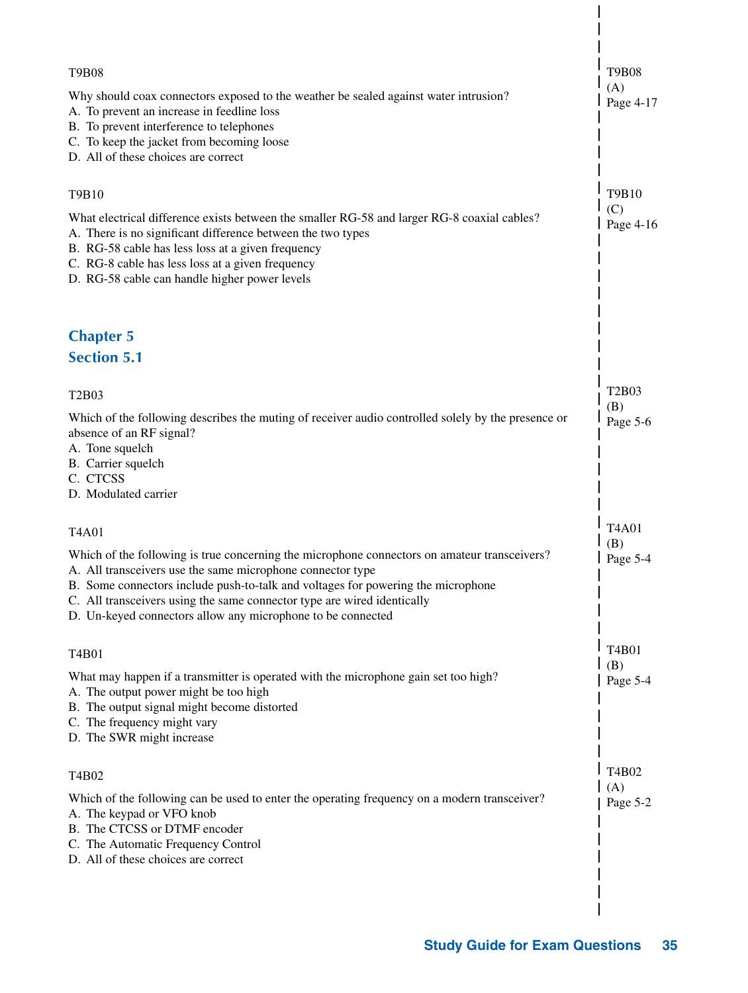| <b>T9B08</b>                                                                                                                                                                                                                                                                                                                                                                             | <b>T9B08</b>     |
|------------------------------------------------------------------------------------------------------------------------------------------------------------------------------------------------------------------------------------------------------------------------------------------------------------------------------------------------------------------------------------------|------------------|
| Why should coax connectors exposed to the weather be sealed against water intrusion?<br>A. To prevent an increase in feedline loss<br>B. To prevent interference to telephones<br>C. To keep the jacket from becoming loose<br>D. All of these choices are correct                                                                                                                       | (A)<br>Page 4-17 |
| T9B10                                                                                                                                                                                                                                                                                                                                                                                    | T9B10            |
| What electrical difference exists between the smaller RG-58 and larger RG-8 coaxial cables?<br>A. There is no significant difference between the two types<br>B. RG-58 cable has less loss at a given frequency<br>C. RG-8 cable has less loss at a given frequency<br>D. RG-58 cable can handle higher power levels                                                                     | (C)<br>Page 4-16 |
| <b>Chapter 5</b>                                                                                                                                                                                                                                                                                                                                                                         |                  |
| <b>Section 5.1</b>                                                                                                                                                                                                                                                                                                                                                                       |                  |
| T2B03                                                                                                                                                                                                                                                                                                                                                                                    | T2B03<br>(B)     |
| Which of the following describes the muting of receiver audio controlled solely by the presence or<br>absence of an RF signal?<br>A. Tone squelch<br>B. Carrier squelch<br>C. CTCSS<br>D. Modulated carrier                                                                                                                                                                              | Page 5-6         |
| T4A01                                                                                                                                                                                                                                                                                                                                                                                    | <b>T4A01</b>     |
| Which of the following is true concerning the microphone connectors on amateur transceivers?<br>A. All transceivers use the same microphone connector type<br>B. Some connectors include push-to-talk and voltages for powering the microphone<br>C. All transceivers using the same connector type are wired identically<br>D. Un-keyed connectors allow any microphone to be connected | (B)<br>Page 5-4  |
| T4B01                                                                                                                                                                                                                                                                                                                                                                                    | T4B01            |
| What may happen if a transmitter is operated with the microphone gain set too high?<br>A. The output power might be too high<br>B. The output signal might become distorted<br>C. The frequency might vary<br>D. The SWR might increase                                                                                                                                                  | (B)<br>Page 5-4  |
| T4B02                                                                                                                                                                                                                                                                                                                                                                                    | T4B02            |
| Which of the following can be used to enter the operating frequency on a modern transceiver?<br>A. The keypad or VFO knob<br>B. The CTCSS or DTMF encoder<br>C. The Automatic Frequency Control<br>D. All of these choices are correct                                                                                                                                                   | (A)<br>Page 5-2  |
|                                                                                                                                                                                                                                                                                                                                                                                          |                  |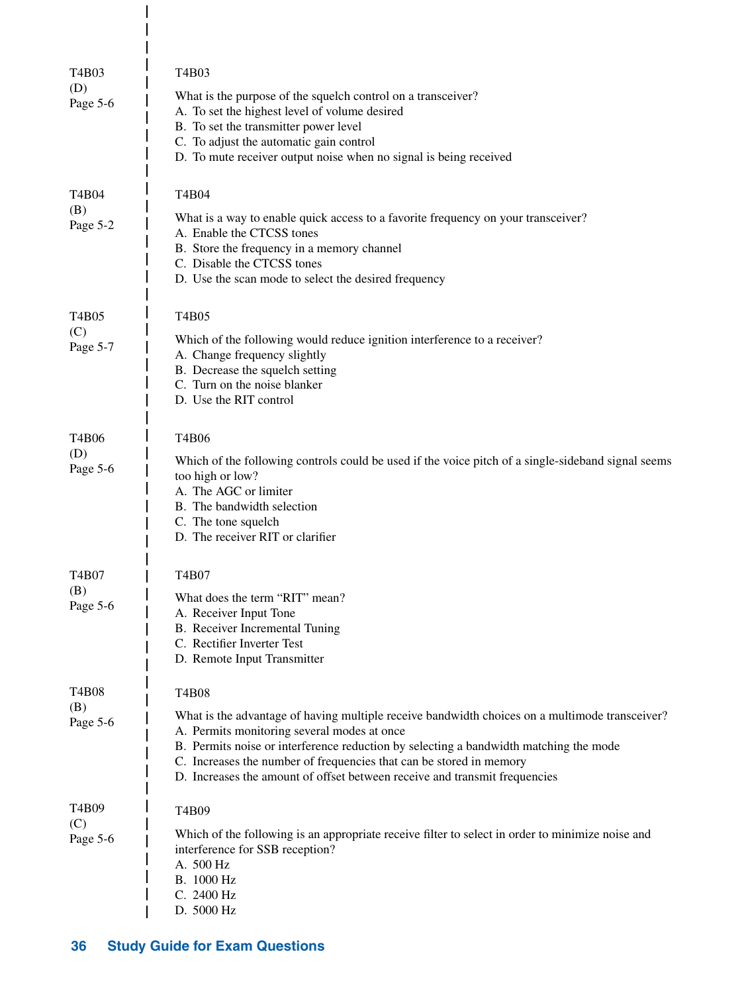| T4B03<br>(D)<br>Page 5-6 | T4B03<br>What is the purpose of the squelch control on a transceiver?<br>A. To set the highest level of volume desired<br>B. To set the transmitter power level<br>C. To adjust the automatic gain control<br>D. To mute receiver output noise when no signal is being received                                                                                                                      |
|--------------------------|------------------------------------------------------------------------------------------------------------------------------------------------------------------------------------------------------------------------------------------------------------------------------------------------------------------------------------------------------------------------------------------------------|
| T4B04<br>(B)<br>Page 5-2 | T4B04<br>What is a way to enable quick access to a favorite frequency on your transceiver?<br>A. Enable the CTCSS tones<br>B. Store the frequency in a memory channel<br>C. Disable the CTCSS tones<br>D. Use the scan mode to select the desired frequency                                                                                                                                          |
| T4B05<br>(C)<br>Page 5-7 | T4B05<br>Which of the following would reduce ignition interference to a receiver?<br>A. Change frequency slightly<br>B. Decrease the squelch setting<br>C. Turn on the noise blanker<br>D. Use the RIT control                                                                                                                                                                                       |
| T4B06<br>(D)<br>Page 5-6 | T4B06<br>Which of the following controls could be used if the voice pitch of a single-sideband signal seems<br>too high or low?<br>A. The AGC or limiter<br>B. The bandwidth selection<br>C. The tone squelch<br>D. The receiver RIT or clarifier                                                                                                                                                    |
| T4B07<br>(B)<br>Page 5-6 | T4B07<br>What does the term "RIT" mean?<br>A. Receiver Input Tone<br>B. Receiver Incremental Tuning<br>C. Rectifier Inverter Test<br>D. Remote Input Transmitter                                                                                                                                                                                                                                     |
| T4B08<br>(B)<br>Page 5-6 | T4B08<br>What is the advantage of having multiple receive bandwidth choices on a multimode transceiver?<br>A. Permits monitoring several modes at once<br>B. Permits noise or interference reduction by selecting a bandwidth matching the mode<br>C. Increases the number of frequencies that can be stored in memory<br>D. Increases the amount of offset between receive and transmit frequencies |
| T4B09<br>(C)<br>Page 5-6 | T4B09<br>Which of the following is an appropriate receive filter to select in order to minimize noise and<br>interference for SSB reception?<br>A. 500 Hz<br>B. 1000 Hz<br>C. 2400 Hz<br>D. 5000 Hz                                                                                                                                                                                                  |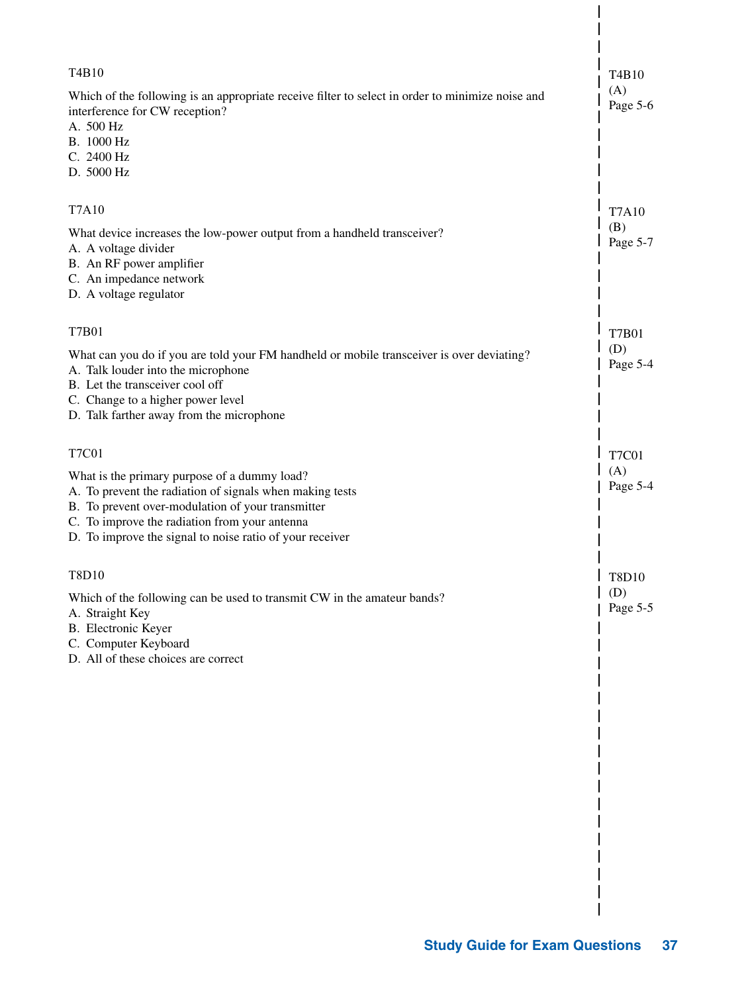| T4B10<br>Which of the following is an appropriate receive filter to select in order to minimize noise and     | T4B10<br>(A)<br>Page 5-6 |
|---------------------------------------------------------------------------------------------------------------|--------------------------|
| interference for CW reception?<br>A. 500 Hz                                                                   |                          |
| B. 1000 Hz                                                                                                    |                          |
| C. 2400 Hz<br>D. 5000 Hz                                                                                      |                          |
|                                                                                                               |                          |
| <b>T7A10</b>                                                                                                  | <b>T7A10</b>             |
| What device increases the low-power output from a handheld transceiver?                                       | (B)<br>Page 5-7          |
| A. A voltage divider<br>B. An RF power amplifier                                                              |                          |
| C. An impedance network                                                                                       |                          |
| D. A voltage regulator                                                                                        |                          |
| <b>T7B01</b>                                                                                                  | <b>T7B01</b>             |
| What can you do if you are told your FM handheld or mobile transceiver is over deviating?                     | (D)                      |
| A. Talk louder into the microphone                                                                            | Page 5-4                 |
| B. Let the transceiver cool off                                                                               |                          |
| C. Change to a higher power level<br>D. Talk farther away from the microphone                                 |                          |
|                                                                                                               |                          |
| <b>T7C01</b>                                                                                                  | <b>T7C01</b>             |
| What is the primary purpose of a dummy load?                                                                  | (A)<br>Page 5-4          |
| A. To prevent the radiation of signals when making tests<br>B. To prevent over-modulation of your transmitter |                          |
| C. To improve the radiation from your antenna                                                                 |                          |
| D. To improve the signal to noise ratio of your receiver                                                      |                          |
|                                                                                                               |                          |
| T8D10                                                                                                         | T8D10                    |
| Which of the following can be used to transmit CW in the amateur bands?                                       | (D)<br>Page 5-5          |
| A. Straight Key<br><b>B.</b> Electronic Keyer                                                                 |                          |
| C. Computer Keyboard                                                                                          |                          |
| D. All of these choices are correct                                                                           |                          |
|                                                                                                               |                          |
|                                                                                                               |                          |
|                                                                                                               |                          |
|                                                                                                               |                          |
|                                                                                                               |                          |
|                                                                                                               |                          |
|                                                                                                               |                          |
|                                                                                                               |                          |
|                                                                                                               |                          |
|                                                                                                               |                          |
|                                                                                                               |                          |
|                                                                                                               |                          |

 $\vert$  $\overline{1}$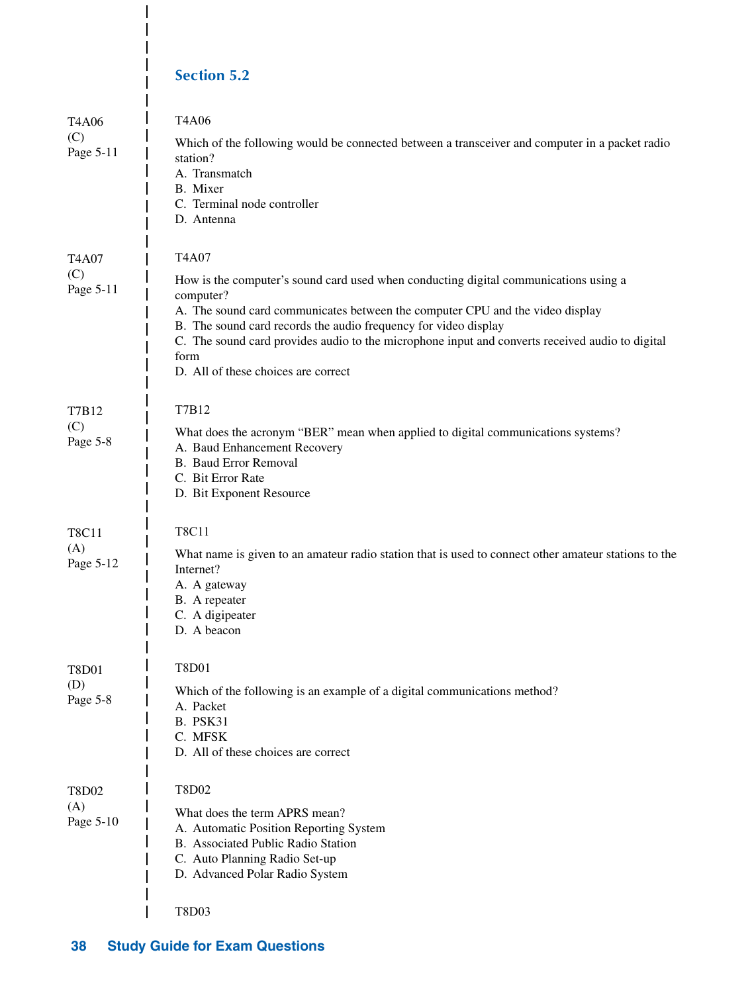#### **Section 5.2**

 $\overline{\phantom{a}}$  $\overline{\phantom{a}}$  $\overline{1}$  $\overline{\phantom{a}}$  $\overline{1}$ 

| <b>T4A06</b><br>(C)<br>Page 5-11 | <b>T4A06</b><br>Which of the following would be connected between a transceiver and computer in a packet radio<br>station?<br>A. Transmatch<br>B. Mixer<br>C. Terminal node controller<br>D. Antenna                                                                                                                                                                                                             |
|----------------------------------|------------------------------------------------------------------------------------------------------------------------------------------------------------------------------------------------------------------------------------------------------------------------------------------------------------------------------------------------------------------------------------------------------------------|
| <b>T4A07</b><br>(C)<br>Page 5-11 | T4A07<br>How is the computer's sound card used when conducting digital communications using a<br>computer?<br>A. The sound card communicates between the computer CPU and the video display<br>B. The sound card records the audio frequency for video display<br>C. The sound card provides audio to the microphone input and converts received audio to digital<br>form<br>D. All of these choices are correct |
| T7B12<br>(C)<br>Page 5-8         | T7B12<br>What does the acronym "BER" mean when applied to digital communications systems?<br>A. Baud Enhancement Recovery<br><b>B.</b> Baud Error Removal<br>C. Bit Error Rate<br>D. Bit Exponent Resource                                                                                                                                                                                                       |
| <b>T8C11</b><br>(A)<br>Page 5-12 | <b>T8C11</b><br>What name is given to an amateur radio station that is used to connect other amateur stations to the<br>Internet?<br>A. A gateway<br>B. A repeater<br>C. A digipeater<br>D. A beacon                                                                                                                                                                                                             |
| T8D01<br>(D)<br>Page 5-8         | T8D01<br>Which of the following is an example of a digital communications method?<br>A. Packet<br><b>B. PSK31</b><br>C. MFSK<br>D. All of these choices are correct                                                                                                                                                                                                                                              |
| <b>T8D02</b><br>(A)<br>Page 5-10 | <b>T8D02</b><br>What does the term APRS mean?<br>A. Automatic Position Reporting System<br>B. Associated Public Radio Station<br>C. Auto Planning Radio Set-up<br>D. Advanced Polar Radio System<br>T8D03                                                                                                                                                                                                        |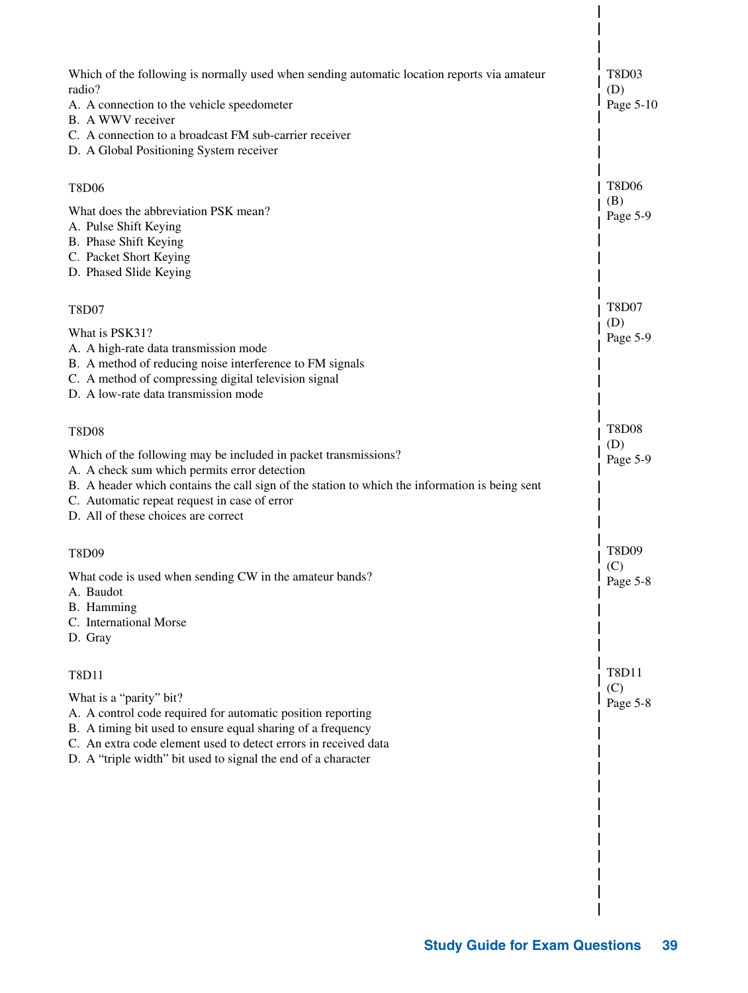| Which of the following is normally used when sending automatic location reports via amateur<br>radio?<br>A. A connection to the vehicle speedometer<br>B. A WWV receiver<br>C. A connection to a broadcast FM sub-carrier receiver<br>D. A Global Positioning System receiver                            | T8D03<br>(D)<br>Page 5-10 |
|----------------------------------------------------------------------------------------------------------------------------------------------------------------------------------------------------------------------------------------------------------------------------------------------------------|---------------------------|
| <b>T8D06</b>                                                                                                                                                                                                                                                                                             | <b>T8D06</b>              |
| What does the abbreviation PSK mean?<br>A. Pulse Shift Keying<br>B. Phase Shift Keying<br>C. Packet Short Keying<br>D. Phased Slide Keying                                                                                                                                                               | (B)<br>Page 5-9           |
| <b>T8D07</b>                                                                                                                                                                                                                                                                                             | <b>T8D07</b>              |
| What is PSK31?<br>A. A high-rate data transmission mode<br>B. A method of reducing noise interference to FM signals<br>C. A method of compressing digital television signal<br>D. A low-rate data transmission mode                                                                                      | (D)<br>Page 5-9           |
| <b>T8D08</b>                                                                                                                                                                                                                                                                                             | <b>T8D08</b><br>(D)       |
| Which of the following may be included in packet transmissions?<br>A. A check sum which permits error detection<br>B. A header which contains the call sign of the station to which the information is being sent<br>C. Automatic repeat request in case of error<br>D. All of these choices are correct | Page 5-9                  |
| T8D09                                                                                                                                                                                                                                                                                                    | T8D09                     |
| What code is used when sending CW in the amateur bands?<br>A. Baudot<br>B. Hamming<br>C. International Morse<br>D. Gray                                                                                                                                                                                  | (C)<br>Page 5-8           |
| T8D11                                                                                                                                                                                                                                                                                                    | T8D11                     |
| What is a "parity" bit?<br>A. A control code required for automatic position reporting<br>B. A timing bit used to ensure equal sharing of a frequency<br>C. An extra code element used to detect errors in received data<br>D. A "triple width" bit used to signal the end of a character                | (C)<br>Page 5-8           |
|                                                                                                                                                                                                                                                                                                          |                           |
|                                                                                                                                                                                                                                                                                                          |                           |
|                                                                                                                                                                                                                                                                                                          |                           |
|                                                                                                                                                                                                                                                                                                          |                           |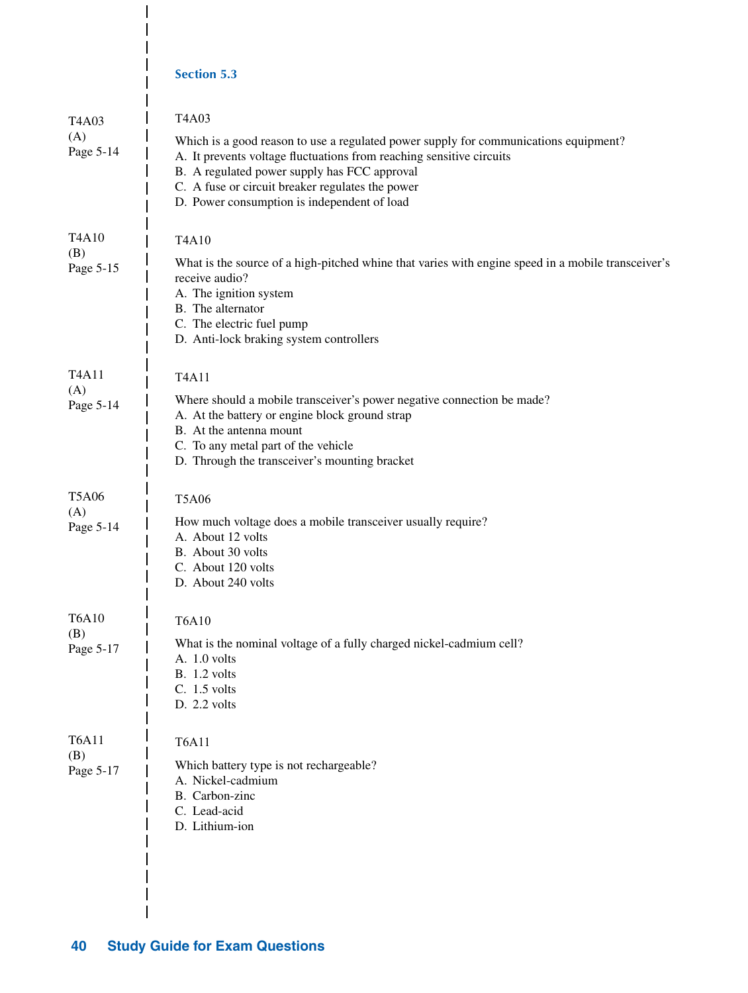|                                                    | <b>Section 5.3</b>                                                                                                                                                                                                                                                                                                       |
|----------------------------------------------------|--------------------------------------------------------------------------------------------------------------------------------------------------------------------------------------------------------------------------------------------------------------------------------------------------------------------------|
| T <sub>4</sub> A <sub>03</sub><br>(A)<br>Page 5-14 | T4A03<br>Which is a good reason to use a regulated power supply for communications equipment?<br>A. It prevents voltage fluctuations from reaching sensitive circuits<br>B. A regulated power supply has FCC approval<br>C. A fuse or circuit breaker regulates the power<br>D. Power consumption is independent of load |
| T <sub>4</sub> A <sub>10</sub><br>(B)<br>Page 5-15 | T4A10<br>What is the source of a high-pitched whine that varies with engine speed in a mobile transceiver's<br>receive audio?<br>A. The ignition system<br>B. The alternator<br>C. The electric fuel pump<br>D. Anti-lock braking system controllers                                                                     |
| T <sub>4</sub> A <sub>11</sub><br>(A)<br>Page 5-14 | T4A11<br>Where should a mobile transceiver's power negative connection be made?<br>A. At the battery or engine block ground strap<br>B. At the antenna mount<br>C. To any metal part of the vehicle<br>D. Through the transceiver's mounting bracket                                                                     |
| <b>T5A06</b><br>(A)<br>Page 5-14                   | <b>T5A06</b><br>How much voltage does a mobile transceiver usually require?<br>A. About 12 volts<br>B. About 30 volts<br>C. About 120 volts<br>D. About 240 volts                                                                                                                                                        |
| <b>T6A10</b><br>(B)<br>Page 5-17                   | <b>T6A10</b><br>What is the nominal voltage of a fully charged nickel-cadmium cell?<br>A. 1.0 volts<br><b>B.</b> 1.2 volts<br>C. 1.5 volts<br>D. 2.2 volts                                                                                                                                                               |
| <b>T6A11</b><br>(B)<br>Page 5-17                   | <b>T6A11</b><br>Which battery type is not rechargeable?<br>A. Nickel-cadmium<br>B. Carbon-zinc<br>C. Lead-acid<br>D. Lithium-ion                                                                                                                                                                                         |

 $\overline{\phantom{a}}$  $\overline{\phantom{a}}$  $\overline{\phantom{a}}$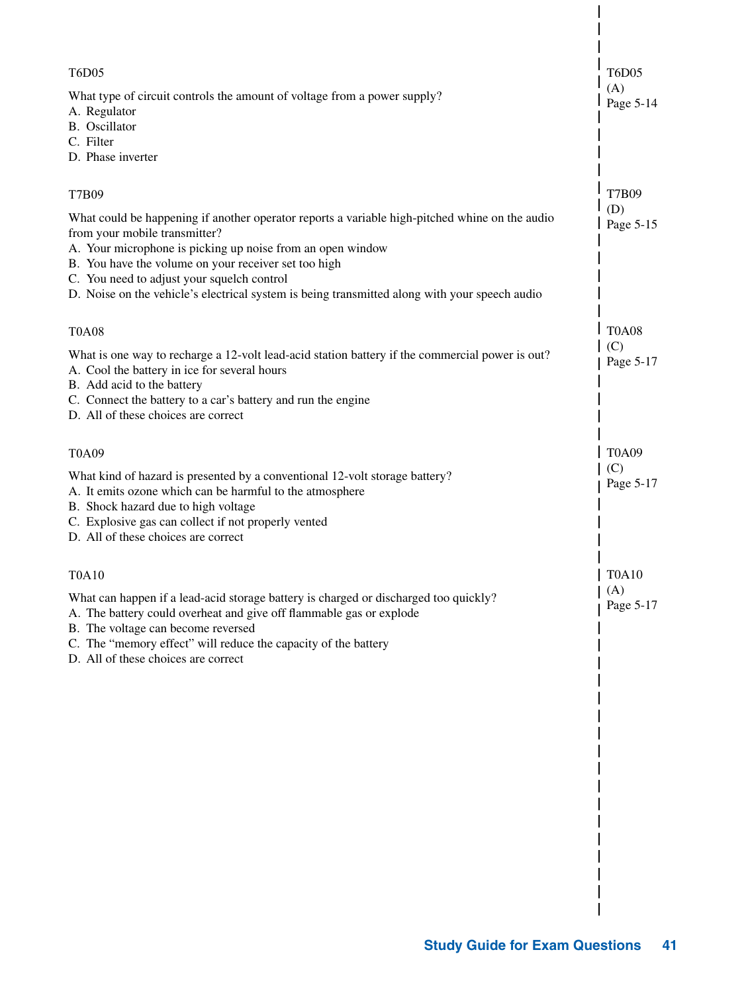| <b>T6D05</b><br>What type of circuit controls the amount of voltage from a power supply?<br>A. Regulator<br>B. Oscillator<br>C. Filter<br>D. Phase inverter                                                                                                                                                                                                                                                   | <b>T6D05</b><br>(A)<br>Page 5-14 |
|---------------------------------------------------------------------------------------------------------------------------------------------------------------------------------------------------------------------------------------------------------------------------------------------------------------------------------------------------------------------------------------------------------------|----------------------------------|
| T7B09<br>What could be happening if another operator reports a variable high-pitched whine on the audio<br>from your mobile transmitter?<br>A. Your microphone is picking up noise from an open window<br>B. You have the volume on your receiver set too high<br>C. You need to adjust your squelch control<br>D. Noise on the vehicle's electrical system is being transmitted along with your speech audio | <b>T7B09</b><br>(D)<br>Page 5-15 |
| <b>T0A08</b><br>What is one way to recharge a 12-volt lead-acid station battery if the commercial power is out?<br>A. Cool the battery in ice for several hours<br>B. Add acid to the battery<br>C. Connect the battery to a car's battery and run the engine<br>D. All of these choices are correct                                                                                                          | <b>T0A08</b><br>(C)<br>Page 5-17 |
| <b>T0A09</b><br>What kind of hazard is presented by a conventional 12-volt storage battery?<br>A. It emits ozone which can be harmful to the atmosphere<br>B. Shock hazard due to high voltage<br>C. Explosive gas can collect if not properly vented<br>D. All of these choices are correct                                                                                                                  | <b>T0A09</b><br>(C)<br>Page 5-17 |
| T0A10<br>What can happen if a lead-acid storage battery is charged or discharged too quickly?<br>A. The battery could overheat and give off flammable gas or explode<br>B. The voltage can become reversed<br>C. The "memory effect" will reduce the capacity of the battery<br>D. All of these choices are correct                                                                                           | <b>T0A10</b><br>(A)<br>Page 5-17 |
|                                                                                                                                                                                                                                                                                                                                                                                                               |                                  |
|                                                                                                                                                                                                                                                                                                                                                                                                               |                                  |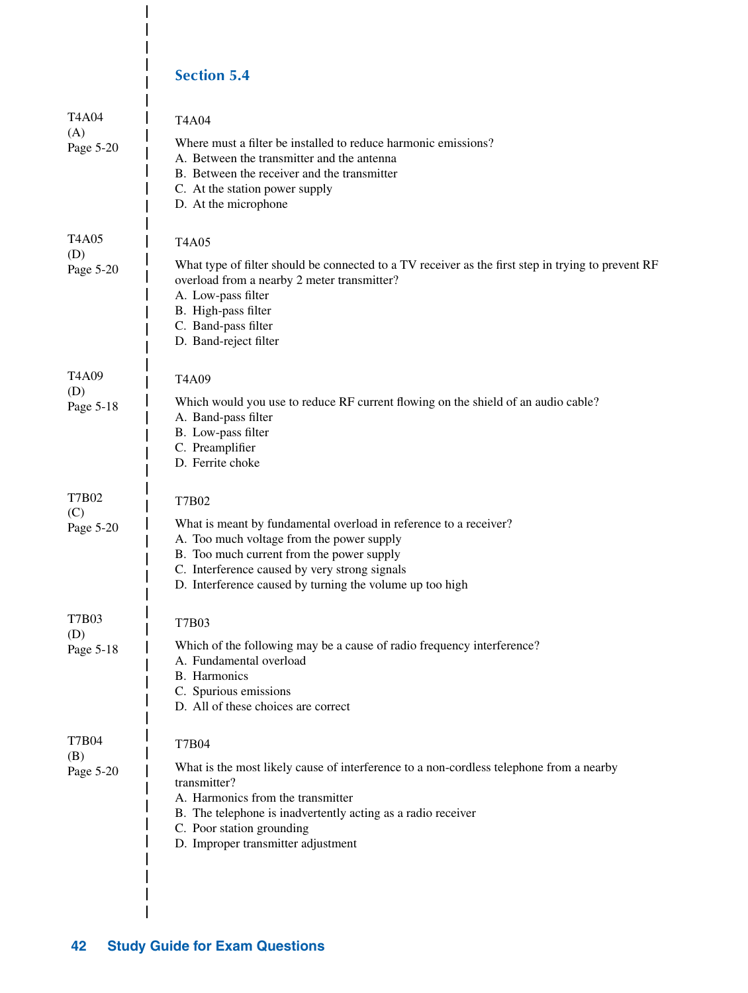#### **Section 5.4**

 $\overline{1}$ 

 $\overline{1}$  $\overline{\phantom{a}}$ 

| T4A04<br>(A)        | T4A04                                                                                                                                                                                                                                                                           |
|---------------------|---------------------------------------------------------------------------------------------------------------------------------------------------------------------------------------------------------------------------------------------------------------------------------|
| Page 5-20           | Where must a filter be installed to reduce harmonic emissions?<br>A. Between the transmitter and the antenna<br>B. Between the receiver and the transmitter<br>C. At the station power supply<br>D. At the microphone                                                           |
| <b>T4A05</b><br>(D) | T4A05                                                                                                                                                                                                                                                                           |
| Page 5-20           | What type of filter should be connected to a TV receiver as the first step in trying to prevent RF<br>overload from a nearby 2 meter transmitter?<br>A. Low-pass filter<br>B. High-pass filter<br>C. Band-pass filter                                                           |
|                     | D. Band-reject filter                                                                                                                                                                                                                                                           |
| T4A09<br>(D)        | T4A09                                                                                                                                                                                                                                                                           |
| Page 5-18           | Which would you use to reduce RF current flowing on the shield of an audio cable?<br>A. Band-pass filter<br>B. Low-pass filter<br>C. Preamplifier<br>D. Ferrite choke                                                                                                           |
| T7B02               | T7B02                                                                                                                                                                                                                                                                           |
| (C)<br>Page 5-20    | What is meant by fundamental overload in reference to a receiver?<br>A. Too much voltage from the power supply<br>B. Too much current from the power supply<br>C. Interference caused by very strong signals<br>D. Interference caused by turning the volume up too high        |
| <b>T7B03</b>        | T7B03                                                                                                                                                                                                                                                                           |
| (D)<br>Page 5-18    | Which of the following may be a cause of radio frequency interference?<br>A. Fundamental overload<br>B. Harmonics<br>C. Spurious emissions<br>D. All of these choices are correct                                                                                               |
| <b>T7B04</b>        | <b>T7B04</b>                                                                                                                                                                                                                                                                    |
| (B)<br>Page 5-20    | What is the most likely cause of interference to a non-cordless telephone from a nearby<br>transmitter?<br>A. Harmonics from the transmitter<br>B. The telephone is inadvertently acting as a radio receiver<br>C. Poor station grounding<br>D. Improper transmitter adjustment |
|                     |                                                                                                                                                                                                                                                                                 |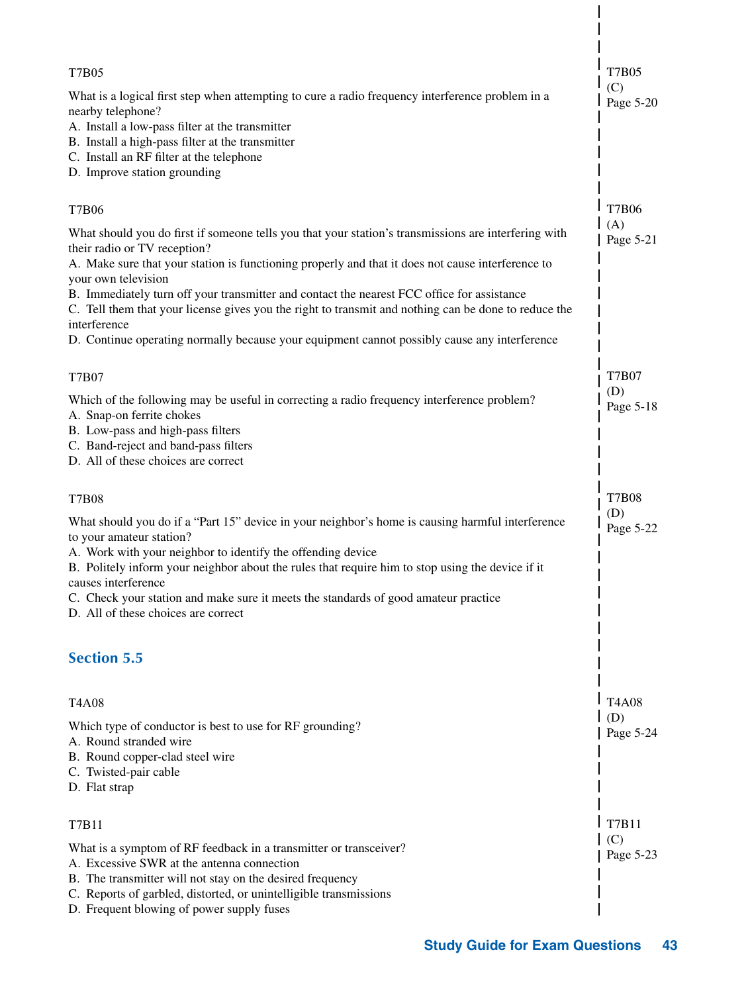| T7B05                                                                                                                                                                                                                                                                                                                                                                                                                                                                                  | <b>T7B05</b>                     |
|----------------------------------------------------------------------------------------------------------------------------------------------------------------------------------------------------------------------------------------------------------------------------------------------------------------------------------------------------------------------------------------------------------------------------------------------------------------------------------------|----------------------------------|
| What is a logical first step when attempting to cure a radio frequency interference problem in a<br>nearby telephone?<br>A. Install a low-pass filter at the transmitter<br>B. Install a high-pass filter at the transmitter<br>C. Install an RF filter at the telephone<br>D. Improve station grounding                                                                                                                                                                               | (C)<br>Page 5-20                 |
| <b>T7B06</b>                                                                                                                                                                                                                                                                                                                                                                                                                                                                           | <b>T7B06</b>                     |
| What should you do first if someone tells you that your station's transmissions are interfering with<br>their radio or TV reception?<br>A. Make sure that your station is functioning properly and that it does not cause interference to<br>your own television<br>B. Immediately turn off your transmitter and contact the nearest FCC office for assistance<br>C. Tell them that your license gives you the right to transmit and nothing can be done to reduce the<br>interference | (A)<br>Page 5-21                 |
| D. Continue operating normally because your equipment cannot possibly cause any interference                                                                                                                                                                                                                                                                                                                                                                                           |                                  |
| T7B07<br>Which of the following may be useful in correcting a radio frequency interference problem?<br>A. Snap-on ferrite chokes<br>B. Low-pass and high-pass filters<br>C. Band-reject and band-pass filters<br>D. All of these choices are correct                                                                                                                                                                                                                                   | <b>T7B07</b><br>(D)<br>Page 5-18 |
| <b>T7B08</b>                                                                                                                                                                                                                                                                                                                                                                                                                                                                           | <b>T7B08</b>                     |
| What should you do if a "Part 15" device in your neighbor's home is causing harmful interference<br>to your amateur station?<br>A. Work with your neighbor to identify the offending device<br>B. Politely inform your neighbor about the rules that require him to stop using the device if it<br>causes interference<br>C. Check your station and make sure it meets the standards of good amateur practice<br>D. All of these choices are correct                                   | (D)<br>Page 5-22                 |
| <b>Section 5.5</b>                                                                                                                                                                                                                                                                                                                                                                                                                                                                     |                                  |
| T4A08                                                                                                                                                                                                                                                                                                                                                                                                                                                                                  | <b>T4A08</b>                     |
| Which type of conductor is best to use for RF grounding?<br>A. Round stranded wire<br>B. Round copper-clad steel wire<br>C. Twisted-pair cable<br>D. Flat strap                                                                                                                                                                                                                                                                                                                        | (D)<br>Page 5-24                 |
| T7B11                                                                                                                                                                                                                                                                                                                                                                                                                                                                                  | T7B11                            |
| What is a symptom of RF feedback in a transmitter or transceiver?<br>A. Excessive SWR at the antenna connection<br>B. The transmitter will not stay on the desired frequency<br>C. Reports of garbled, distorted, or unintelligible transmissions<br>D. Frequent blowing of power supply fuses                                                                                                                                                                                         | (C)<br>Page 5-23                 |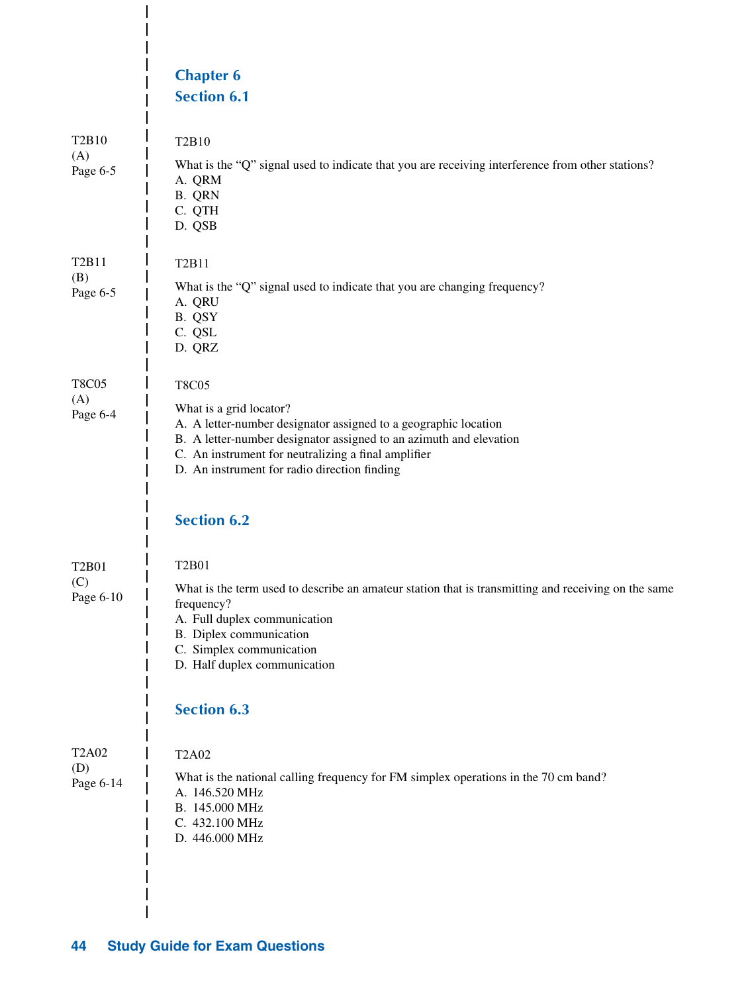|                                                   | <b>Chapter 6</b><br><b>Section 6.1</b>                                                                                                                                                                                                                                                                        |
|---------------------------------------------------|---------------------------------------------------------------------------------------------------------------------------------------------------------------------------------------------------------------------------------------------------------------------------------------------------------------|
| T <sub>2</sub> B <sub>10</sub><br>(A)<br>Page 6-5 | T2B10<br>What is the "Q" signal used to indicate that you are receiving interference from other stations?<br>A. QRM<br>B. QRN<br>C. QTH<br>D. QSB                                                                                                                                                             |
| T <sub>2</sub> B <sub>11</sub><br>(B)<br>Page 6-5 | T2B11<br>What is the "Q" signal used to indicate that you are changing frequency?<br>A. QRU<br>B. QSY<br>C. QSL<br>D. QRZ                                                                                                                                                                                     |
| <b>T8C05</b><br>(A)<br>Page 6-4                   | <b>T8C05</b><br>What is a grid locator?<br>A. A letter-number designator assigned to a geographic location<br>B. A letter-number designator assigned to an azimuth and elevation<br>C. An instrument for neutralizing a final amplifier<br>D. An instrument for radio direction finding<br><b>Section 6.2</b> |
| T2B01<br>(C)<br>Page 6-10                         | <b>T2B01</b><br>What is the term used to describe an amateur station that is transmitting and receiving on the same<br>frequency?<br>A. Full duplex communication<br>B. Diplex communication<br>C. Simplex communication<br>D. Half duplex communication<br><b>Section 6.3</b>                                |
| <b>T2A02</b><br>(D)<br>Page 6-14                  | <b>T2A02</b><br>What is the national calling frequency for FM simplex operations in the 70 cm band?<br>A. 146.520 MHz<br>B. 145.000 MHz<br>C. 432.100 MHz<br>D. 446.000 MHz                                                                                                                                   |

 $\overline{\phantom{a}}$  $\overline{\phantom{a}}$  $\overline{\phantom{a}}$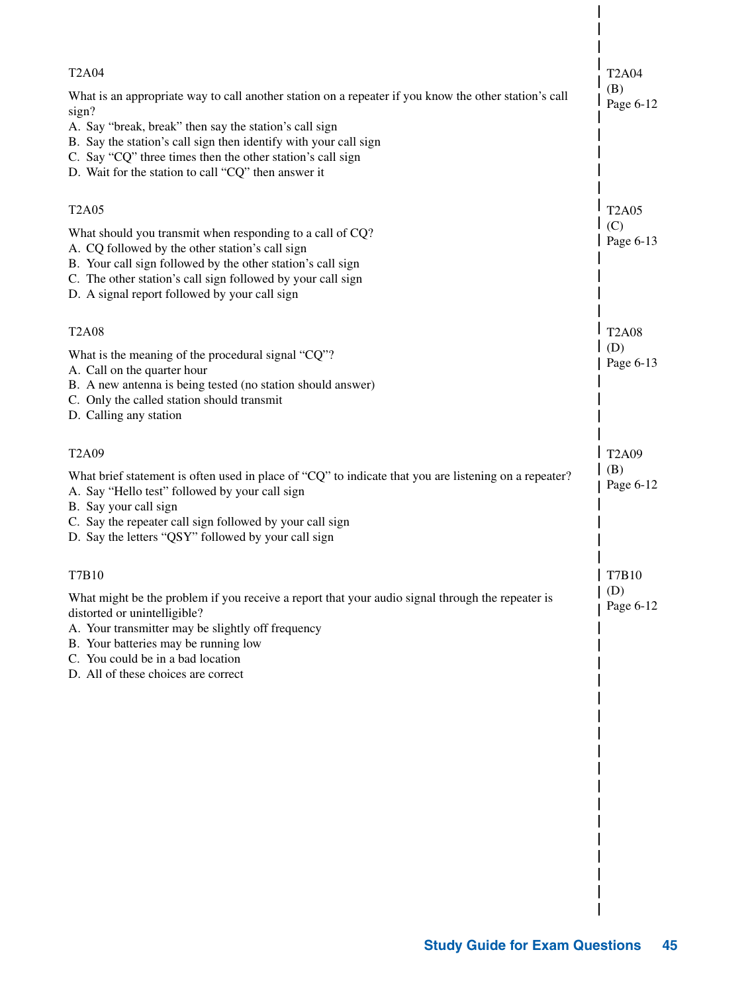| <b>T2A04</b>                                                                                                                                                                             | <b>T2A04</b>       |
|------------------------------------------------------------------------------------------------------------------------------------------------------------------------------------------|--------------------|
| What is an appropriate way to call another station on a repeater if you know the other station's call                                                                                    | (B)                |
| sign?                                                                                                                                                                                    | Page 6-12          |
| A. Say "break, break" then say the station's call sign<br>B. Say the station's call sign then identify with your call sign<br>C. Say "CQ" three times then the other station's call sign |                    |
| D. Wait for the station to call "CQ" then answer it                                                                                                                                      |                    |
| <b>T2A05</b>                                                                                                                                                                             | <b>T2A05</b>       |
| What should you transmit when responding to a call of CQ?<br>A. CQ followed by the other station's call sign                                                                             | (C)<br>Page 6-13   |
| B. Your call sign followed by the other station's call sign                                                                                                                              |                    |
| C. The other station's call sign followed by your call sign<br>D. A signal report followed by your call sign                                                                             |                    |
| <b>T2A08</b>                                                                                                                                                                             | <b>T2A08</b>       |
| What is the meaning of the procedural signal "CQ"?                                                                                                                                       | (D)<br>Page 6-13   |
| A. Call on the quarter hour<br>B. A new antenna is being tested (no station should answer)                                                                                               |                    |
| C. Only the called station should transmit                                                                                                                                               |                    |
| D. Calling any station                                                                                                                                                                   |                    |
| T <sub>2</sub> A09                                                                                                                                                                       | T <sub>2</sub> A09 |
| What brief statement is often used in place of "CQ" to indicate that you are listening on a repeater?<br>A. Say "Hello test" followed by your call sign<br>B. Say your call sign         | (B)<br>Page 6-12   |
| C. Say the repeater call sign followed by your call sign<br>D. Say the letters "QSY" followed by your call sign                                                                          |                    |
| T7B10                                                                                                                                                                                    | T7B10              |
| What might be the problem if you receive a report that your audio signal through the repeater is<br>distorted or unintelligible?                                                         | (D)<br>Page 6-12   |
| A. Your transmitter may be slightly off frequency<br>B. Your batteries may be running low                                                                                                |                    |
| C. You could be in a bad location                                                                                                                                                        |                    |
| D. All of these choices are correct                                                                                                                                                      |                    |
|                                                                                                                                                                                          |                    |
|                                                                                                                                                                                          |                    |
|                                                                                                                                                                                          |                    |
|                                                                                                                                                                                          |                    |
|                                                                                                                                                                                          |                    |
|                                                                                                                                                                                          |                    |
|                                                                                                                                                                                          |                    |
|                                                                                                                                                                                          |                    |
|                                                                                                                                                                                          |                    |
|                                                                                                                                                                                          |                    |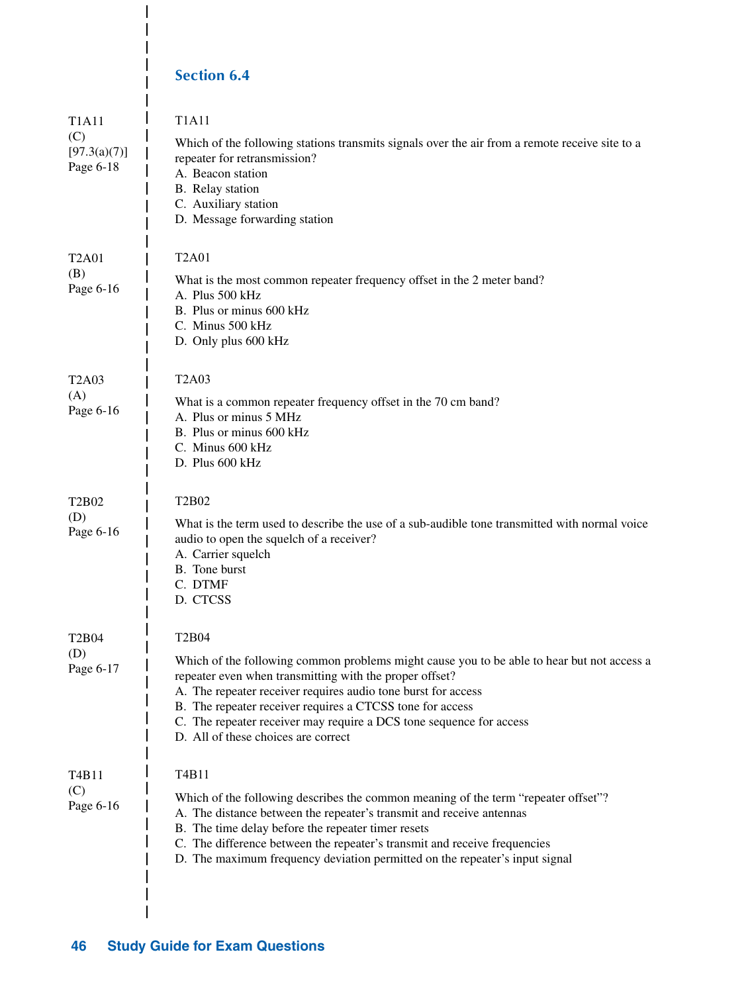## **Section 6.4**

I

I  $\overline{\phantom{a}}$  $\overline{1}$ 

| <b>T1A11</b><br>(C)<br>[97.3(a)(7)]<br>Page 6-18   | <b>T1A11</b><br>Which of the following stations transmits signals over the air from a remote receive site to a<br>repeater for retransmission?<br>A. Beacon station<br>B. Relay station<br>C. Auxiliary station<br>D. Message forwarding station                                                                                                                                                                  |
|----------------------------------------------------|-------------------------------------------------------------------------------------------------------------------------------------------------------------------------------------------------------------------------------------------------------------------------------------------------------------------------------------------------------------------------------------------------------------------|
| <b>T2A01</b><br>(B)<br>Page 6-16                   | <b>T2A01</b><br>What is the most common repeater frequency offset in the 2 meter band?<br>A. Plus 500 kHz<br>B. Plus or minus 600 kHz<br>C. Minus 500 kHz<br>D. Only plus 600 kHz                                                                                                                                                                                                                                 |
| <b>T2A03</b><br>(A)<br>Page 6-16                   | <b>T2A03</b><br>What is a common repeater frequency offset in the 70 cm band?<br>A. Plus or minus 5 MHz<br>B. Plus or minus 600 kHz<br>C. Minus 600 kHz<br>D. Plus 600 kHz                                                                                                                                                                                                                                        |
| T2B02<br>(D)<br>Page 6-16                          | T2B02<br>What is the term used to describe the use of a sub-audible tone transmitted with normal voice<br>audio to open the squelch of a receiver?<br>A. Carrier squelch<br>B. Tone burst<br>C. DTMF<br>D. CTCSS                                                                                                                                                                                                  |
| T2B04<br>(D)<br>Page 6-17                          | <b>T2B04</b><br>Which of the following common problems might cause you to be able to hear but not access a<br>repeater even when transmitting with the proper offset?<br>A. The repeater receiver requires audio tone burst for access<br>B. The repeater receiver requires a CTCSS tone for access<br>C. The repeater receiver may require a DCS tone sequence for access<br>D. All of these choices are correct |
| T <sub>4</sub> B <sub>11</sub><br>(C)<br>Page 6-16 | T4B11<br>Which of the following describes the common meaning of the term "repeater offset"?<br>A. The distance between the repeater's transmit and receive antennas<br>B. The time delay before the repeater timer resets<br>C. The difference between the repeater's transmit and receive frequencies<br>D. The maximum frequency deviation permitted on the repeater's input signal                             |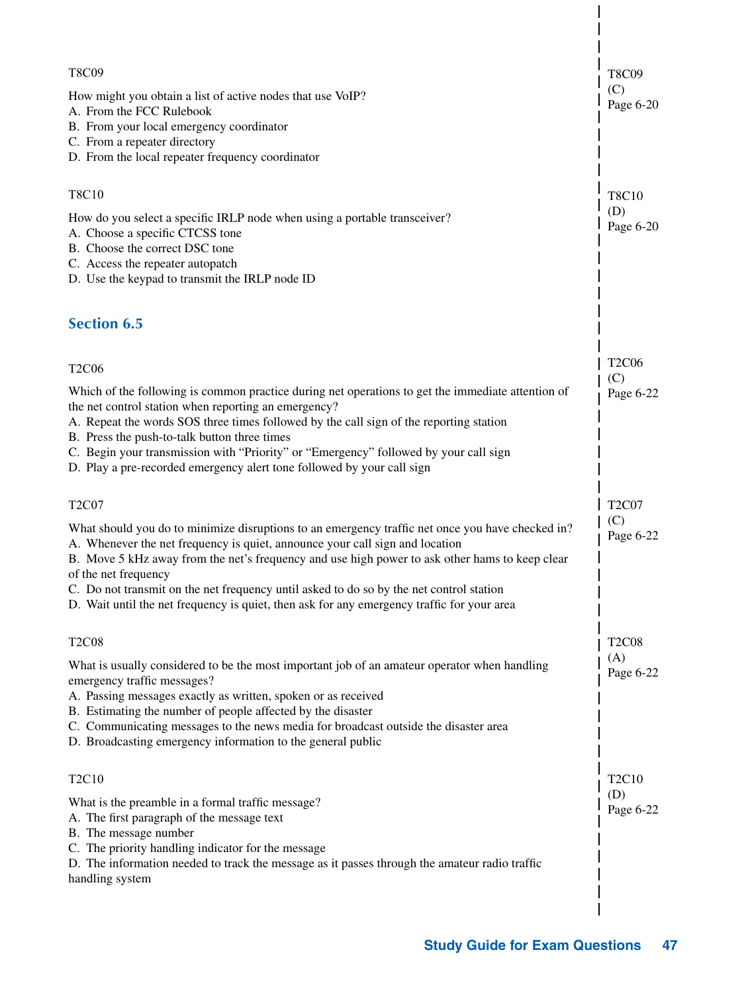| T8C09                                                                                                                                                                                                                                                                                                                                                                                                             | <b>T8C09</b>     |
|-------------------------------------------------------------------------------------------------------------------------------------------------------------------------------------------------------------------------------------------------------------------------------------------------------------------------------------------------------------------------------------------------------------------|------------------|
| How might you obtain a list of active nodes that use VoIP?<br>A. From the FCC Rulebook<br>B. From your local emergency coordinator<br>C. From a repeater directory                                                                                                                                                                                                                                                | (C)<br>Page 6-20 |
| D. From the local repeater frequency coordinator                                                                                                                                                                                                                                                                                                                                                                  |                  |
| <b>T8C10</b>                                                                                                                                                                                                                                                                                                                                                                                                      | <b>T8C10</b>     |
| How do you select a specific IRLP node when using a portable transceiver?<br>A. Choose a specific CTCSS tone<br>B. Choose the correct DSC tone                                                                                                                                                                                                                                                                    | (D)<br>Page 6-20 |
| C. Access the repeater autopatch<br>D. Use the keypad to transmit the IRLP node ID                                                                                                                                                                                                                                                                                                                                |                  |
| <b>Section 6.5</b>                                                                                                                                                                                                                                                                                                                                                                                                |                  |
| <b>T2C06</b>                                                                                                                                                                                                                                                                                                                                                                                                      | <b>T2C06</b>     |
|                                                                                                                                                                                                                                                                                                                                                                                                                   | (C)              |
| Which of the following is common practice during net operations to get the immediate attention of<br>the net control station when reporting an emergency?<br>A. Repeat the words SOS three times followed by the call sign of the reporting station<br>B. Press the push-to-talk button three times                                                                                                               | Page 6-22        |
| C. Begin your transmission with "Priority" or "Emergency" followed by your call sign<br>D. Play a pre-recorded emergency alert tone followed by your call sign                                                                                                                                                                                                                                                    |                  |
| <b>T2C07</b>                                                                                                                                                                                                                                                                                                                                                                                                      | <b>T2C07</b>     |
| What should you do to minimize disruptions to an emergency traffic net once you have checked in?<br>A. Whenever the net frequency is quiet, announce your call sign and location<br>B. Move 5 kHz away from the net's frequency and use high power to ask other hams to keep clear<br>of the net frequency                                                                                                        | (C)<br>Page 6-22 |
| C. Do not transmit on the net frequency until asked to do so by the net control station<br>D. Wait until the net frequency is quiet, then ask for any emergency traffic for your area                                                                                                                                                                                                                             |                  |
| <b>T2C08</b>                                                                                                                                                                                                                                                                                                                                                                                                      | <b>T2C08</b>     |
| What is usually considered to be the most important job of an amateur operator when handling<br>emergency traffic messages?<br>A. Passing messages exactly as written, spoken or as received<br>B. Estimating the number of people affected by the disaster<br>C. Communicating messages to the news media for broadcast outside the disaster area<br>D. Broadcasting emergency information to the general public | (A)<br>Page 6-22 |
|                                                                                                                                                                                                                                                                                                                                                                                                                   |                  |
| T <sub>2</sub> C <sub>10</sub>                                                                                                                                                                                                                                                                                                                                                                                    | T2C10<br>(D)     |
| What is the preamble in a formal traffic message?<br>A. The first paragraph of the message text<br>B. The message number<br>C. The priority handling indicator for the message                                                                                                                                                                                                                                    | Page 6-22        |
| D. The information needed to track the message as it passes through the amateur radio traffic<br>handling system                                                                                                                                                                                                                                                                                                  |                  |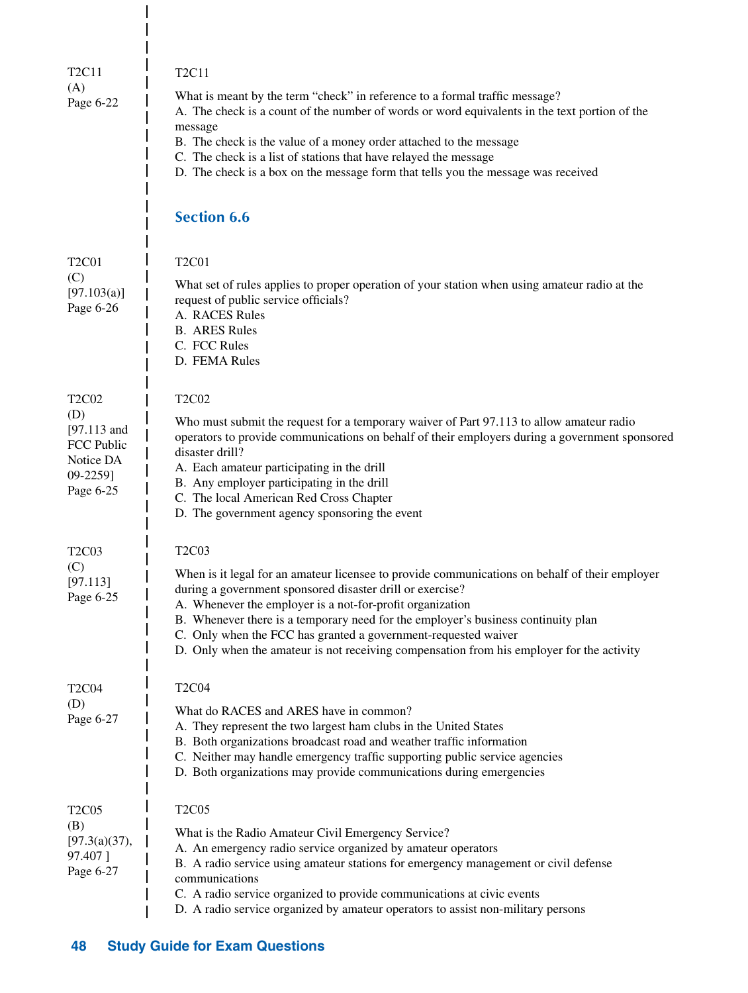| T <sub>2</sub> C <sub>11</sub><br>(A)<br>Page 6-22                                                         | <b>T2C11</b><br>What is meant by the term "check" in reference to a formal traffic message?<br>A. The check is a count of the number of words or word equivalents in the text portion of the<br>message<br>B. The check is the value of a money order attached to the message<br>C. The check is a list of stations that have relayed the message<br>D. The check is a box on the message form that tells you the message was received<br><b>Section 6.6</b>                                 |
|------------------------------------------------------------------------------------------------------------|----------------------------------------------------------------------------------------------------------------------------------------------------------------------------------------------------------------------------------------------------------------------------------------------------------------------------------------------------------------------------------------------------------------------------------------------------------------------------------------------|
| <b>T2C01</b><br>(C)<br>[97.103(a)]<br>Page 6-26                                                            | <b>T2C01</b><br>What set of rules applies to proper operation of your station when using amateur radio at the<br>request of public service officials?<br>A. RACES Rules<br><b>B.</b> ARES Rules<br>C. FCC Rules<br>D. FEMA Rules                                                                                                                                                                                                                                                             |
| T <sub>2</sub> C <sub>02</sub><br>(D)<br>$[97.113$ and<br>FCC Public<br>Notice DA<br>09-2259]<br>Page 6-25 | <b>T2C02</b><br>Who must submit the request for a temporary waiver of Part 97.113 to allow amateur radio<br>operators to provide communications on behalf of their employers during a government sponsored<br>disaster drill?<br>A. Each amateur participating in the drill<br>B. Any employer participating in the drill<br>C. The local American Red Cross Chapter<br>D. The government agency sponsoring the event                                                                        |
| T <sub>2</sub> C <sub>03</sub><br>(C)<br>[97.113]<br>Page 6-25                                             | <b>T2C03</b><br>When is it legal for an amateur licensee to provide communications on behalf of their employer<br>during a government sponsored disaster drill or exercise?<br>A. Whenever the employer is a not-for-profit organization<br>B. Whenever there is a temporary need for the employer's business continuity plan<br>C. Only when the FCC has granted a government-requested waiver<br>D. Only when the amateur is not receiving compensation from his employer for the activity |
| <b>T2C04</b><br>(D)<br>Page 6-27                                                                           | <b>T2C04</b><br>What do RACES and ARES have in common?<br>A. They represent the two largest ham clubs in the United States<br>B. Both organizations broadcast road and weather traffic information<br>C. Neither may handle emergency traffic supporting public service agencies<br>D. Both organizations may provide communications during emergencies                                                                                                                                      |
| <b>T2C05</b><br>(B)<br>[97.3(a)(37),<br>97.407]<br>Page 6-27                                               | <b>T2C05</b><br>What is the Radio Amateur Civil Emergency Service?<br>A. An emergency radio service organized by amateur operators<br>B. A radio service using amateur stations for emergency management or civil defense<br>communications<br>C. A radio service organized to provide communications at civic events<br>D. A radio service organized by amateur operators to assist non-military persons                                                                                    |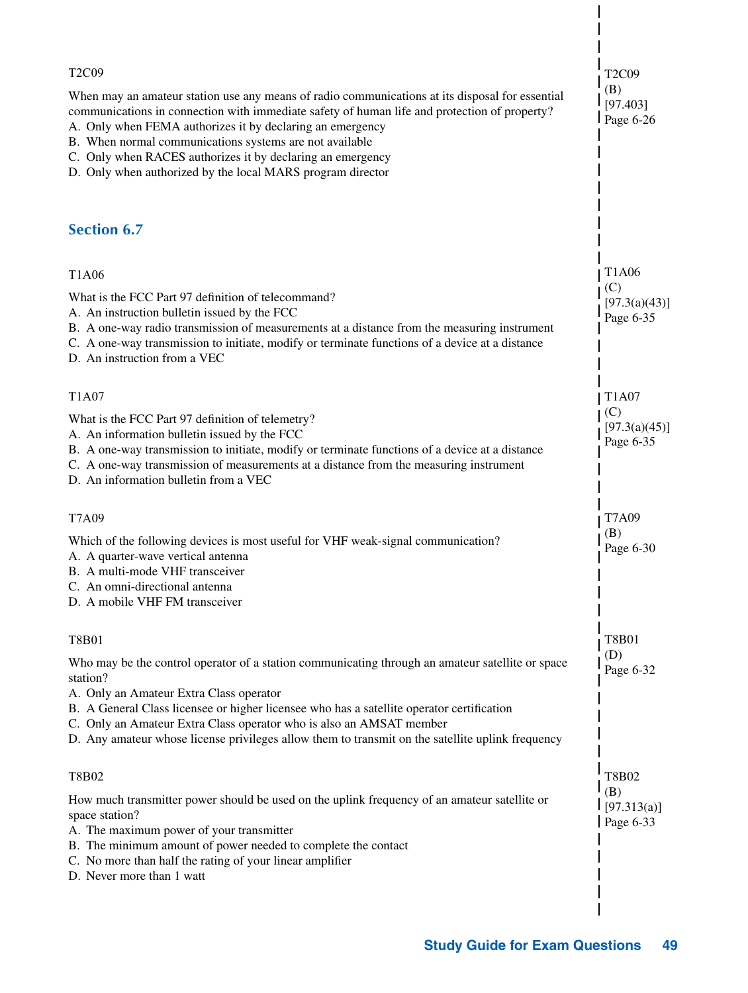| T2C09<br>When may an amateur station use any means of radio communications at its disposal for essential<br>communications in connection with immediate safety of human life and protection of property?<br>A. Only when FEMA authorizes it by declaring an emergency<br>B. When normal communications systems are not available<br>C. Only when RACES authorizes it by declaring an emergency<br>D. Only when authorized by the local MARS program director | T <sub>2</sub> C <sub>09</sub><br>(B)<br>[97.403]<br>Page 6-26 |
|--------------------------------------------------------------------------------------------------------------------------------------------------------------------------------------------------------------------------------------------------------------------------------------------------------------------------------------------------------------------------------------------------------------------------------------------------------------|----------------------------------------------------------------|
| <b>Section 6.7</b>                                                                                                                                                                                                                                                                                                                                                                                                                                           |                                                                |
| T1A06<br>What is the FCC Part 97 definition of telecommand?<br>A. An instruction bulletin issued by the FCC<br>B. A one-way radio transmission of measurements at a distance from the measuring instrument<br>C. A one-way transmission to initiate, modify or terminate functions of a device at a distance<br>D. An instruction from a VEC                                                                                                                 | <b>T1A06</b><br>(C)<br>[97.3(a)(43)]<br>Page 6-35              |
| T1A07<br>What is the FCC Part 97 definition of telemetry?<br>A. An information bulletin issued by the FCC<br>B. A one-way transmission to initiate, modify or terminate functions of a device at a distance<br>C. A one-way transmission of measurements at a distance from the measuring instrument<br>D. An information bulletin from a VEC                                                                                                                | T1A07<br>(C)<br>[97.3(a)(45)]<br>Page 6-35                     |
| T7A09<br>Which of the following devices is most useful for VHF weak-signal communication?<br>A. A quarter-wave vertical antenna<br>B. A multi-mode VHF transceiver<br>C. An omni-directional antenna<br>D. A mobile VHF FM transceiver                                                                                                                                                                                                                       | T7A09<br>(B)<br>Page 6-30                                      |
| T8B01<br>Who may be the control operator of a station communicating through an amateur satellite or space<br>station?<br>A. Only an Amateur Extra Class operator<br>B. A General Class licensee or higher licensee who has a satellite operator certification<br>C. Only an Amateur Extra Class operator who is also an AMSAT member<br>D. Any amateur whose license privileges allow them to transmit on the satellite uplink frequency                     | <b>T8B01</b><br>(D)<br>Page 6-32                               |
| T8B02<br>How much transmitter power should be used on the uplink frequency of an amateur satellite or<br>space station?<br>A. The maximum power of your transmitter<br>B. The minimum amount of power needed to complete the contact<br>C. No more than half the rating of your linear amplifier<br>D. Never more than 1 watt                                                                                                                                | <b>T8B02</b><br>(B)<br>[97.313(a)]<br>Page 6-33                |
|                                                                                                                                                                                                                                                                                                                                                                                                                                                              |                                                                |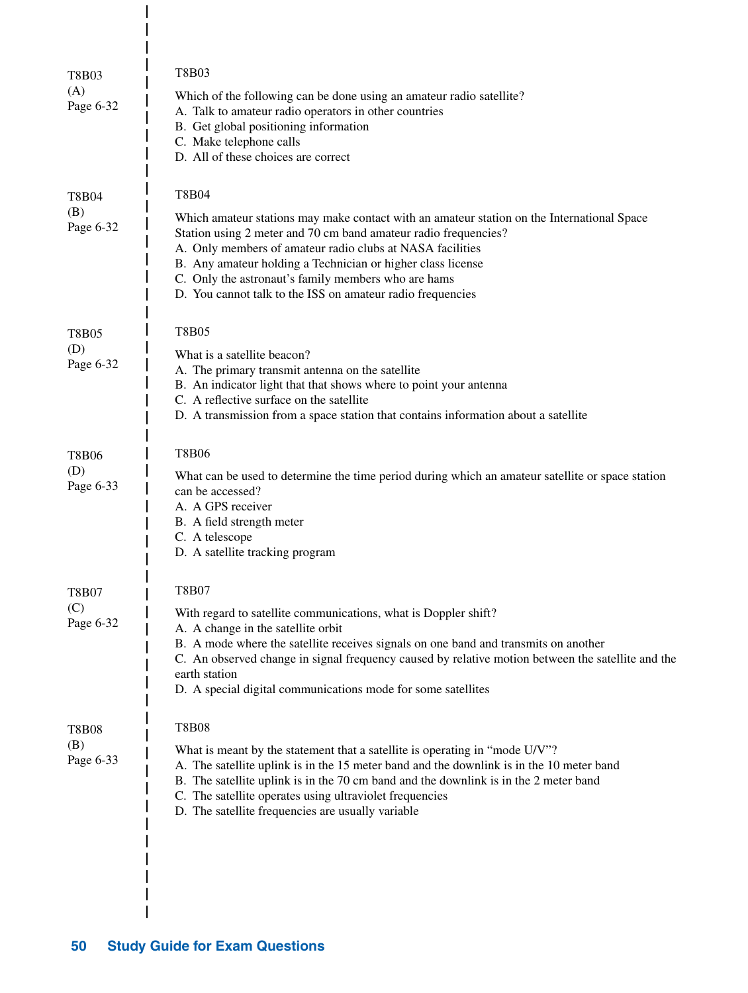| T8B03<br>(A)<br>Page 6-32        | <b>T8B03</b><br>Which of the following can be done using an amateur radio satellite?<br>A. Talk to amateur radio operators in other countries<br>B. Get global positioning information<br>C. Make telephone calls<br>D. All of these choices are correct                                                                                                                                                                       |
|----------------------------------|--------------------------------------------------------------------------------------------------------------------------------------------------------------------------------------------------------------------------------------------------------------------------------------------------------------------------------------------------------------------------------------------------------------------------------|
| <b>T8B04</b><br>(B)<br>Page 6-32 | <b>T8B04</b><br>Which amateur stations may make contact with an amateur station on the International Space<br>Station using 2 meter and 70 cm band amateur radio frequencies?<br>A. Only members of amateur radio clubs at NASA facilities<br>B. Any amateur holding a Technician or higher class license<br>C. Only the astronaut's family members who are hams<br>D. You cannot talk to the ISS on amateur radio frequencies |
| <b>T8B05</b><br>(D)<br>Page 6-32 | <b>T8B05</b><br>What is a satellite beacon?<br>A. The primary transmit antenna on the satellite<br>B. An indicator light that that shows where to point your antenna<br>C. A reflective surface on the satellite<br>D. A transmission from a space station that contains information about a satellite                                                                                                                         |
| <b>T8B06</b><br>(D)<br>Page 6-33 | <b>T8B06</b><br>What can be used to determine the time period during which an amateur satellite or space station<br>can be accessed?<br>A. A GPS receiver<br>B. A field strength meter<br>C. A telescope<br>D. A satellite tracking program                                                                                                                                                                                    |
| <b>T8B07</b><br>(C)<br>Page 6-32 | <b>T8B07</b><br>With regard to satellite communications, what is Doppler shift?<br>A. A change in the satellite orbit<br>B. A mode where the satellite receives signals on one band and transmits on another<br>C. An observed change in signal frequency caused by relative motion between the satellite and the<br>earth station<br>D. A special digital communications mode for some satellites                             |
| <b>T8B08</b><br>(B)<br>Page 6-33 | <b>T8B08</b><br>What is meant by the statement that a satellite is operating in "mode U/V"?<br>A. The satellite uplink is in the 15 meter band and the downlink is in the 10 meter band<br>B. The satellite uplink is in the 70 cm band and the downlink is in the 2 meter band<br>C. The satellite operates using ultraviolet frequencies<br>D. The satellite frequencies are usually variable                                |

 $\overline{1}$ 

 $\begin{array}{c} \end{array}$  $\overline{\phantom{a}}$  $\mathbf{I}$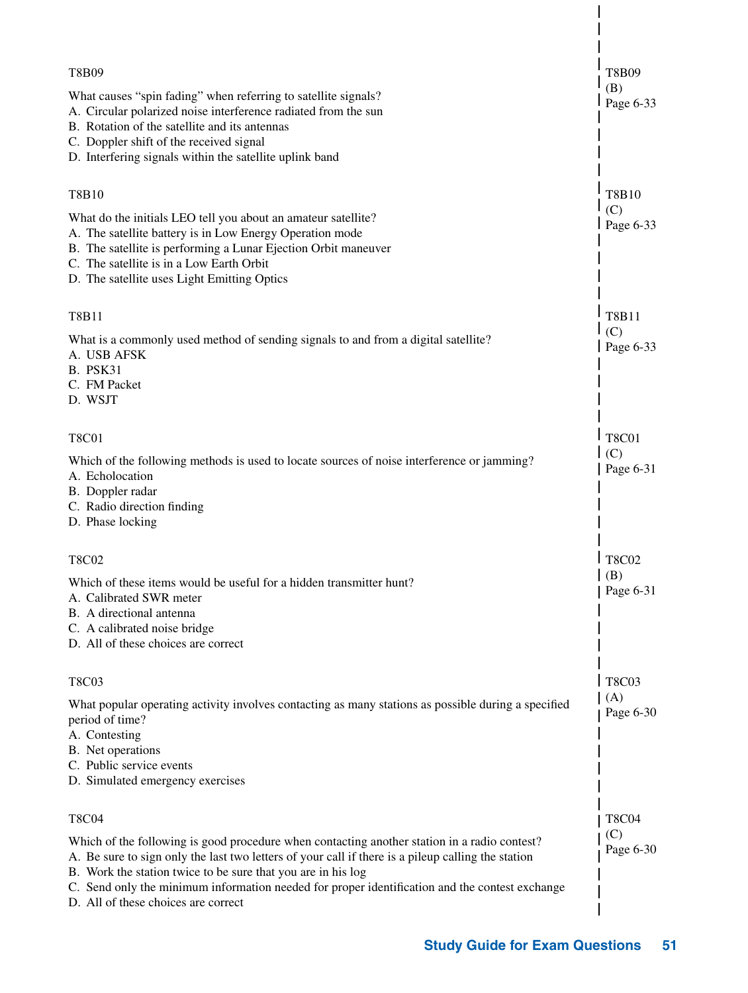| <b>T8B09</b><br>What causes "spin fading" when referring to satellite signals?<br>A. Circular polarized noise interference radiated from the sun<br>B. Rotation of the satellite and its antennas<br>C. Doppler shift of the received signal<br>D. Interfering signals within the satellite uplink band                                                                                                                     | T8B09<br>(B)<br>Page 6-33        |
|-----------------------------------------------------------------------------------------------------------------------------------------------------------------------------------------------------------------------------------------------------------------------------------------------------------------------------------------------------------------------------------------------------------------------------|----------------------------------|
| <b>T8B10</b><br>What do the initials LEO tell you about an amateur satellite?<br>A. The satellite battery is in Low Energy Operation mode<br>B. The satellite is performing a Lunar Ejection Orbit maneuver<br>C. The satellite is in a Low Earth Orbit<br>D. The satellite uses Light Emitting Optics                                                                                                                      | T8B10<br>(C)<br>Page 6-33        |
| <b>T8B11</b><br>What is a commonly used method of sending signals to and from a digital satellite?<br>A. USB AFSK<br><b>B. PSK31</b><br>C. FM Packet<br>D. WSJT                                                                                                                                                                                                                                                             | <b>T8B11</b><br>(C)<br>Page 6-33 |
| <b>T8C01</b><br>Which of the following methods is used to locate sources of noise interference or jamming?<br>A. Echolocation<br>B. Doppler radar<br>C. Radio direction finding<br>D. Phase locking                                                                                                                                                                                                                         | <b>T8C01</b><br>(C)<br>Page 6-31 |
| <b>T8C02</b><br>Which of these items would be useful for a hidden transmitter hunt?<br>A. Calibrated SWR meter<br>B. A directional antenna<br>C. A calibrated noise bridge<br>D. All of these choices are correct                                                                                                                                                                                                           | T8C02<br>(B)<br>Page 6-31        |
| <b>T8C03</b><br>What popular operating activity involves contacting as many stations as possible during a specified<br>period of time?<br>A. Contesting<br>B. Net operations<br>C. Public service events<br>D. Simulated emergency exercises                                                                                                                                                                                | T8C03<br>(A)<br>Page 6-30        |
| <b>T8C04</b><br>Which of the following is good procedure when contacting another station in a radio contest?<br>A. Be sure to sign only the last two letters of your call if there is a pileup calling the station<br>B. Work the station twice to be sure that you are in his log<br>C. Send only the minimum information needed for proper identification and the contest exchange<br>D. All of these choices are correct | <b>T8C04</b><br>(C)<br>Page 6-30 |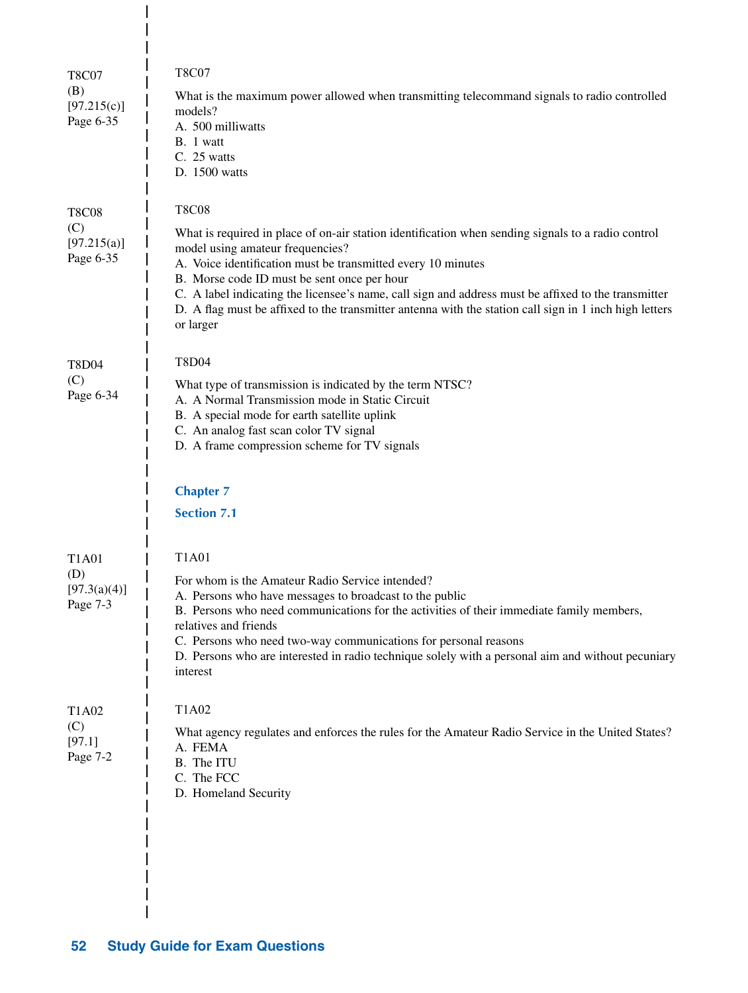| <b>T8C07</b><br>(B)<br>[97.215(c)]<br>Page 6-35 | <b>T8C07</b><br>What is the maximum power allowed when transmitting telecommand signals to radio controlled<br>models?<br>A. 500 milliwatts<br>B. 1 watt<br>C. 25 watts<br>D. 1500 watts                                                                                                                                                                                                                                                                                                            |
|-------------------------------------------------|-----------------------------------------------------------------------------------------------------------------------------------------------------------------------------------------------------------------------------------------------------------------------------------------------------------------------------------------------------------------------------------------------------------------------------------------------------------------------------------------------------|
| <b>T8C08</b><br>(C)<br>[97.215(a)]<br>Page 6-35 | <b>T8C08</b><br>What is required in place of on-air station identification when sending signals to a radio control<br>model using amateur frequencies?<br>A. Voice identification must be transmitted every 10 minutes<br>B. Morse code ID must be sent once per hour<br>C. A label indicating the licensee's name, call sign and address must be affixed to the transmitter<br>D. A flag must be affixed to the transmitter antenna with the station call sign in 1 inch high letters<br>or larger |
| <b>T8D04</b><br>(C)<br>Page 6-34                | <b>T8D04</b><br>What type of transmission is indicated by the term NTSC?<br>A. A Normal Transmission mode in Static Circuit<br>B. A special mode for earth satellite uplink<br>C. An analog fast scan color TV signal<br>D. A frame compression scheme for TV signals<br><b>Chapter 7</b><br><b>Section 7.1</b>                                                                                                                                                                                     |
| T1A01<br>(D)<br>[97.3(a)(4)]<br>Page 7-3        | <b>T1A01</b><br>For whom is the Amateur Radio Service intended?<br>A. Persons who have messages to broadcast to the public<br>B. Persons who need communications for the activities of their immediate family members,<br>relatives and friends<br>C. Persons who need two-way communications for personal reasons<br>D. Persons who are interested in radio technique solely with a personal aim and without pecuniary<br>interest                                                                 |
| T1A02<br>(C)<br>[97.1]<br>Page 7-2              | T1A02<br>What agency regulates and enforces the rules for the Amateur Radio Service in the United States?<br>A. FEMA<br>B. The ITU<br>C. The FCC<br>D. Homeland Security                                                                                                                                                                                                                                                                                                                            |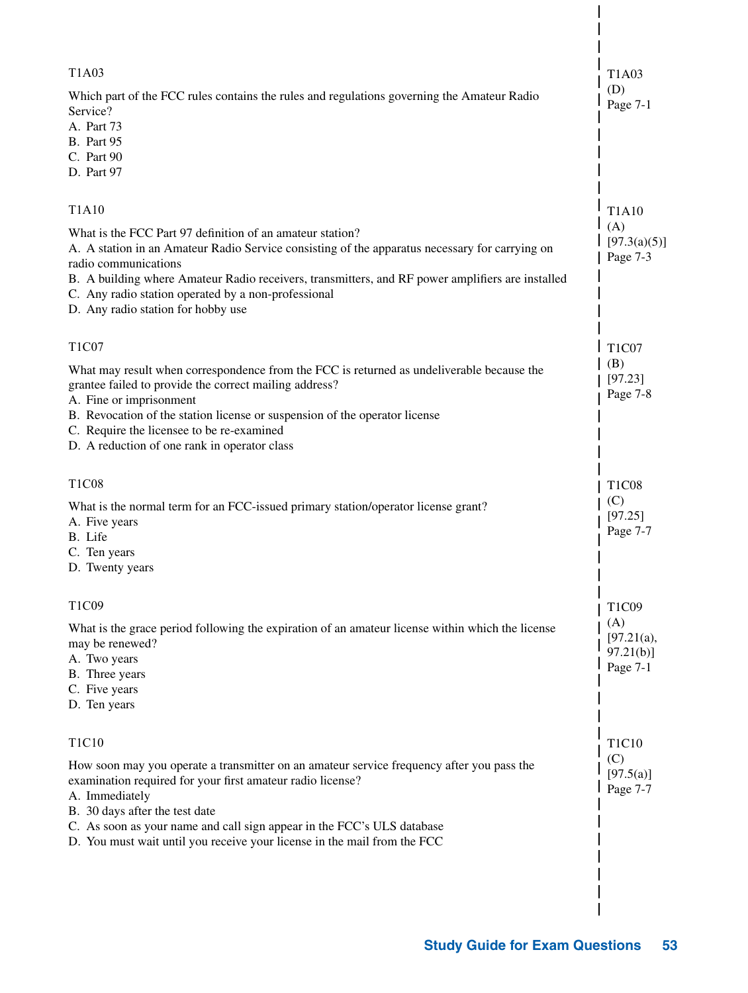| T <sub>1</sub> A <sub>0</sub> 3<br>Which part of the FCC rules contains the rules and regulations governing the Amateur Radio<br>Service?<br>A. Part 73<br><b>B.</b> Part 95<br>C. Part 90<br>D. Part 97                                                                                                                                                                                             | T1A03<br>(D)<br>Page 7-1                                     |
|------------------------------------------------------------------------------------------------------------------------------------------------------------------------------------------------------------------------------------------------------------------------------------------------------------------------------------------------------------------------------------------------------|--------------------------------------------------------------|
| <b>T1A10</b><br>What is the FCC Part 97 definition of an amateur station?<br>A. A station in an Amateur Radio Service consisting of the apparatus necessary for carrying on<br>radio communications<br>B. A building where Amateur Radio receivers, transmitters, and RF power amplifiers are installed<br>C. Any radio station operated by a non-professional<br>D. Any radio station for hobby use | <b>T1A10</b><br>(A)<br>[97.3(a)(5)]<br>Page 7-3              |
| T <sub>1</sub> C <sub>07</sub><br>What may result when correspondence from the FCC is returned as undeliverable because the<br>grantee failed to provide the correct mailing address?<br>A. Fine or imprisonment<br>B. Revocation of the station license or suspension of the operator license<br>C. Require the licensee to be re-examined<br>D. A reduction of one rank in operator class          | T <sub>1</sub> C <sub>07</sub><br>(B)<br>[97.23]<br>Page 7-8 |
| T <sub>1</sub> C <sub>08</sub><br>What is the normal term for an FCC-issued primary station/operator license grant?<br>A. Five years<br>B. Life<br>C. Ten years<br>D. Twenty years                                                                                                                                                                                                                   | T <sub>1</sub> C <sub>08</sub><br>(C)<br>[97.25]<br>Page 7-7 |
| T1C09<br>What is the grace period following the expiration of an amateur license within which the license<br>may be renewed?<br>A. Two years<br>B. Three years<br>C. Five years<br>D. Ten years                                                                                                                                                                                                      | T1C09<br>(A)<br>[97.21(a),<br>$97.21(b)$ ]<br>Page 7-1       |
| T1C10<br>How soon may you operate a transmitter on an amateur service frequency after you pass the<br>examination required for your first amateur radio license?<br>A. Immediately<br>B. 30 days after the test date<br>C. As soon as your name and call sign appear in the FCC's ULS database<br>D. You must wait until you receive your license in the mail from the FCC                           | T1C10<br>(C)<br>[97.5(a)]<br>Page 7-7                        |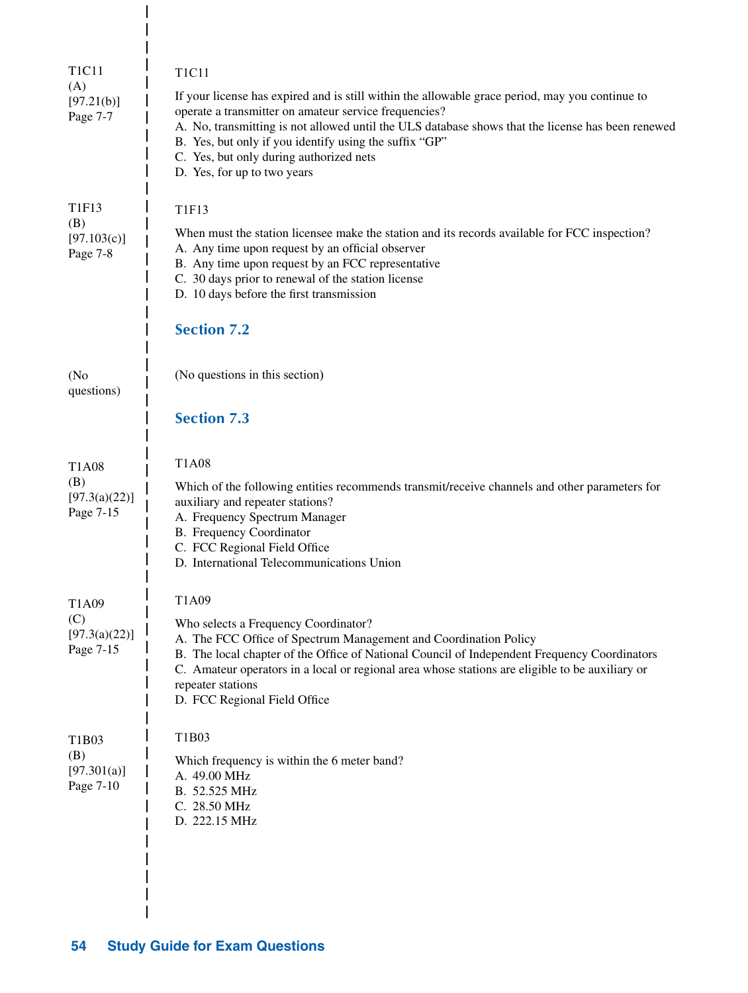| T <sub>1</sub> C <sub>11</sub><br>(A)<br>[97.21(b)]<br>Page 7-7     | <b>T1C11</b><br>If your license has expired and is still within the allowable grace period, may you continue to<br>operate a transmitter on amateur service frequencies?<br>A. No, transmitting is not allowed until the ULS database shows that the license has been renewed<br>B. Yes, but only if you identify using the suffix "GP"<br>C. Yes, but only during authorized nets<br>D. Yes, for up to two years |
|---------------------------------------------------------------------|-------------------------------------------------------------------------------------------------------------------------------------------------------------------------------------------------------------------------------------------------------------------------------------------------------------------------------------------------------------------------------------------------------------------|
| T1F13<br>(B)<br>[97.103(c)]<br>Page 7-8                             | <b>T1F13</b><br>When must the station licensee make the station and its records available for FCC inspection?<br>A. Any time upon request by an official observer<br>B. Any time upon request by an FCC representative<br>C. 30 days prior to renewal of the station license<br>D. 10 days before the first transmission<br><b>Section 7.2</b>                                                                    |
| (N <sub>0</sub> )<br>questions)                                     | (No questions in this section)<br><b>Section 7.3</b>                                                                                                                                                                                                                                                                                                                                                              |
| T <sub>1</sub> A <sub>08</sub><br>(B)<br>[97.3(a)(22)]<br>Page 7-15 | <b>T1A08</b><br>Which of the following entities recommends transmit/receive channels and other parameters for<br>auxiliary and repeater stations?<br>A. Frequency Spectrum Manager<br>B. Frequency Coordinator<br>C. FCC Regional Field Office<br>D. International Telecommunications Union                                                                                                                       |
| T <sub>1</sub> A <sub>09</sub><br>(C)<br>[97.3(a)(22)]<br>Page 7-15 | T1A09<br>Who selects a Frequency Coordinator?<br>A. The FCC Office of Spectrum Management and Coordination Policy<br>B. The local chapter of the Office of National Council of Independent Frequency Coordinators<br>C. Amateur operators in a local or regional area whose stations are eligible to be auxiliary or<br>repeater stations<br>D. FCC Regional Field Office                                         |
| T1B03<br>(B)<br>[97.301(a)]<br>Page 7-10                            | T1B03<br>Which frequency is within the 6 meter band?<br>A. 49.00 MHz<br>B. 52.525 MHz<br>C. 28.50 MHz<br>D. 222.15 MHz                                                                                                                                                                                                                                                                                            |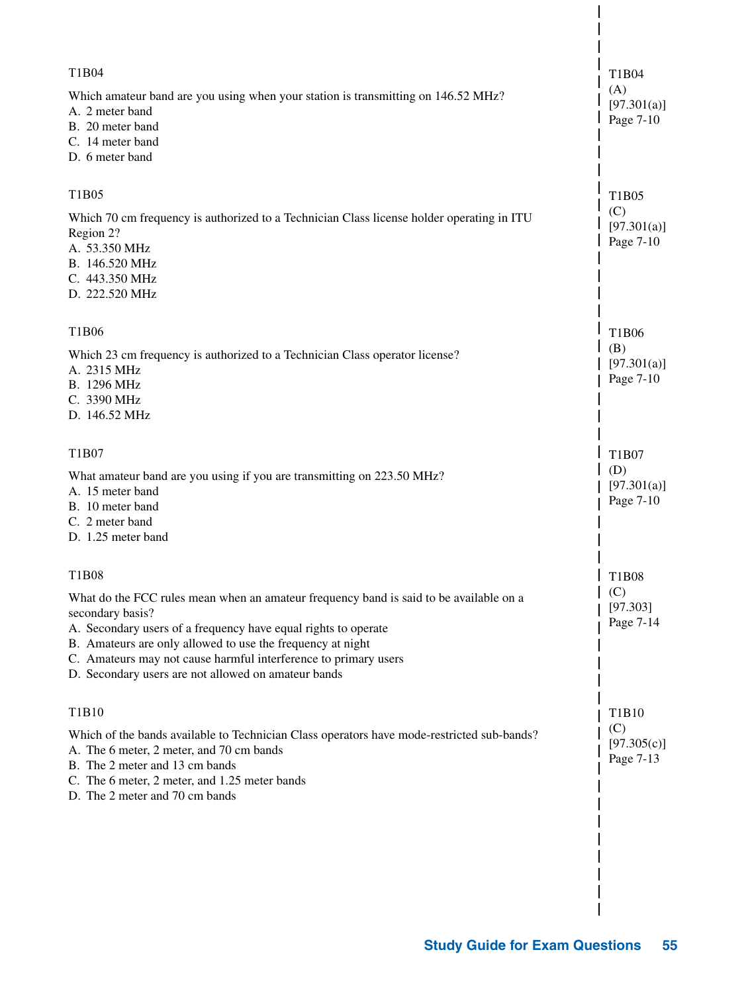| T1B04<br>Which amateur band are you using when your station is transmitting on 146.52 MHz?<br>A. 2 meter band<br>B. 20 meter band<br>C. 14 meter band<br>D. 6 meter band                                                                                                                                                                                             | T1B04<br>(A)<br>[97.301(a)]<br>Page 7-10 |
|----------------------------------------------------------------------------------------------------------------------------------------------------------------------------------------------------------------------------------------------------------------------------------------------------------------------------------------------------------------------|------------------------------------------|
| T1B05                                                                                                                                                                                                                                                                                                                                                                |                                          |
| Which 70 cm frequency is authorized to a Technician Class license holder operating in ITU<br>Region 2?<br>A. 53.350 MHz<br>B. 146.520 MHz<br>C. 443.350 MHz<br>D. 222.520 MHz                                                                                                                                                                                        | T1B05<br>(C)<br>[97.301(a)]<br>Page 7-10 |
| T1B06                                                                                                                                                                                                                                                                                                                                                                | T1B06                                    |
| Which 23 cm frequency is authorized to a Technician Class operator license?<br>A. 2315 MHz<br>B. 1296 MHz<br>C. 3390 MHz<br>D. 146.52 MHz                                                                                                                                                                                                                            | (B)<br>[97.301(a)]<br>Page 7-10          |
| T1B07                                                                                                                                                                                                                                                                                                                                                                | T1B07                                    |
| What amateur band are you using if you are transmitting on 223.50 MHz?<br>A. 15 meter band<br>B. 10 meter band<br>C. 2 meter band<br>D. 1.25 meter band                                                                                                                                                                                                              | (D)<br>[97.301(a)]<br>Page 7-10          |
| T1B08                                                                                                                                                                                                                                                                                                                                                                | <b>T1B08</b>                             |
| What do the FCC rules mean when an amateur frequency band is said to be available on a<br>secondary basis?<br>A. Secondary users of a frequency have equal rights to operate<br>B. Amateurs are only allowed to use the frequency at night<br>C. Amateurs may not cause harmful interference to primary users<br>D. Secondary users are not allowed on amateur bands | (C)<br>[97.303]<br>Page 7-14             |
| T1B10                                                                                                                                                                                                                                                                                                                                                                | T <sub>1</sub> B <sub>10</sub>           |
| Which of the bands available to Technician Class operators have mode-restricted sub-bands?<br>A. The 6 meter, 2 meter, and 70 cm bands<br>B. The 2 meter and 13 cm bands<br>C. The 6 meter, 2 meter, and 1.25 meter bands<br>D. The 2 meter and 70 cm bands                                                                                                          | (C)<br>[97.305(c)]<br>Page 7-13          |
|                                                                                                                                                                                                                                                                                                                                                                      |                                          |
|                                                                                                                                                                                                                                                                                                                                                                      |                                          |
|                                                                                                                                                                                                                                                                                                                                                                      |                                          |

 $\overline{\phantom{a}}$  $\overline{\phantom{a}}$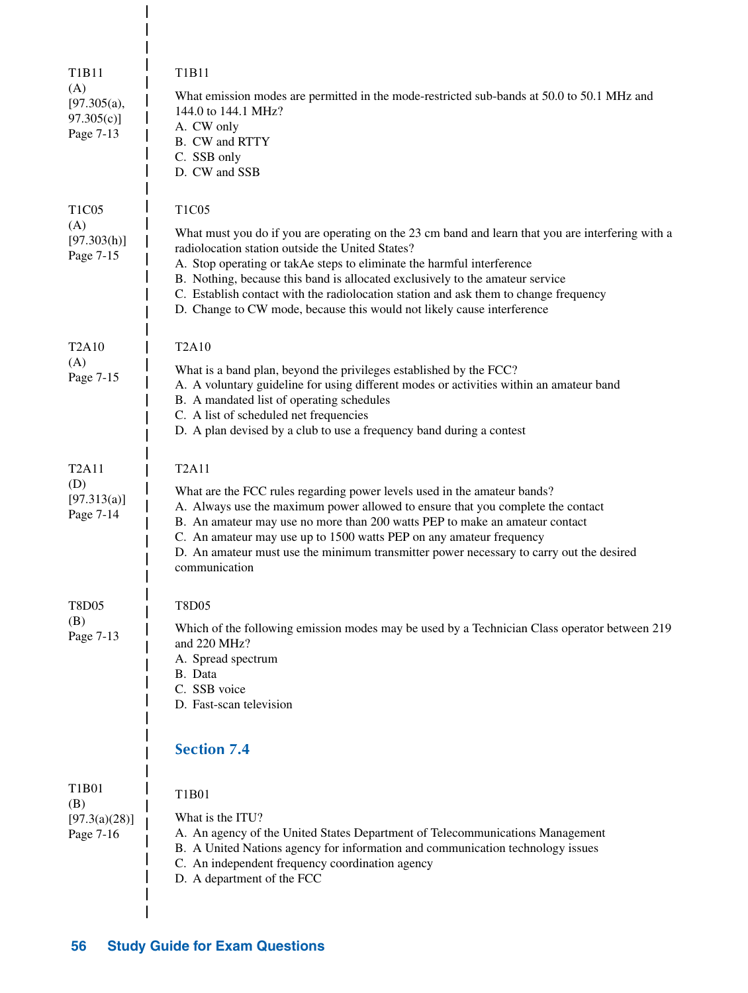| T1B11<br>(A)<br>[97.305(a),<br>97.305(c)<br>Page 7-13             | T1B11<br>What emission modes are permitted in the mode-restricted sub-bands at 50.0 to 50.1 MHz and<br>144.0 to 144.1 MHz?<br>A. CW only<br>B. CW and RTTY<br>C. SSB only<br>D. CW and SSB                                                                                                                                                                                                                                    |
|-------------------------------------------------------------------|-------------------------------------------------------------------------------------------------------------------------------------------------------------------------------------------------------------------------------------------------------------------------------------------------------------------------------------------------------------------------------------------------------------------------------|
| T <sub>1</sub> C <sub>05</sub><br>(A)<br>[97.303(h)]<br>Page 7-15 | <b>T1C05</b><br>What must you do if you are operating on the 23 cm band and learn that you are interfering with a<br>radiolocation station outside the United States?<br>A. Stop operating or takAe steps to eliminate the harmful interference                                                                                                                                                                               |
|                                                                   | B. Nothing, because this band is allocated exclusively to the amateur service<br>C. Establish contact with the radiolocation station and ask them to change frequency<br>D. Change to CW mode, because this would not likely cause interference                                                                                                                                                                               |
| <b>T2A10</b><br>(A)                                               | T2A10                                                                                                                                                                                                                                                                                                                                                                                                                         |
| Page 7-15                                                         | What is a band plan, beyond the privileges established by the FCC?<br>A. A voluntary guideline for using different modes or activities within an amateur band<br>B. A mandated list of operating schedules<br>C. A list of scheduled net frequencies<br>D. A plan devised by a club to use a frequency band during a contest                                                                                                  |
| <b>T2A11</b>                                                      | <b>T2A11</b>                                                                                                                                                                                                                                                                                                                                                                                                                  |
| (D)<br>[97.313(a)]<br>Page 7-14                                   | What are the FCC rules regarding power levels used in the amateur bands?<br>A. Always use the maximum power allowed to ensure that you complete the contact<br>B. An amateur may use no more than 200 watts PEP to make an amateur contact<br>C. An amateur may use up to 1500 watts PEP on any amateur frequency<br>D. An amateur must use the minimum transmitter power necessary to carry out the desired<br>communication |
| T8D05                                                             | <b>T8D05</b>                                                                                                                                                                                                                                                                                                                                                                                                                  |
| (B)<br>Page 7-13                                                  | Which of the following emission modes may be used by a Technician Class operator between 219<br>and 220 MHz?<br>A. Spread spectrum<br>B. Data<br>C. SSB voice<br>D. Fast-scan television                                                                                                                                                                                                                                      |
|                                                                   | <b>Section 7.4</b>                                                                                                                                                                                                                                                                                                                                                                                                            |
| T1B01<br>(B)<br>[97.3(a)(28)]<br>Page 7-16                        | T1B01<br>What is the ITU?<br>A. An agency of the United States Department of Telecommunications Management<br>B. A United Nations agency for information and communication technology issues<br>C. An independent frequency coordination agency<br>D. A department of the FCC                                                                                                                                                 |
|                                                                   |                                                                                                                                                                                                                                                                                                                                                                                                                               |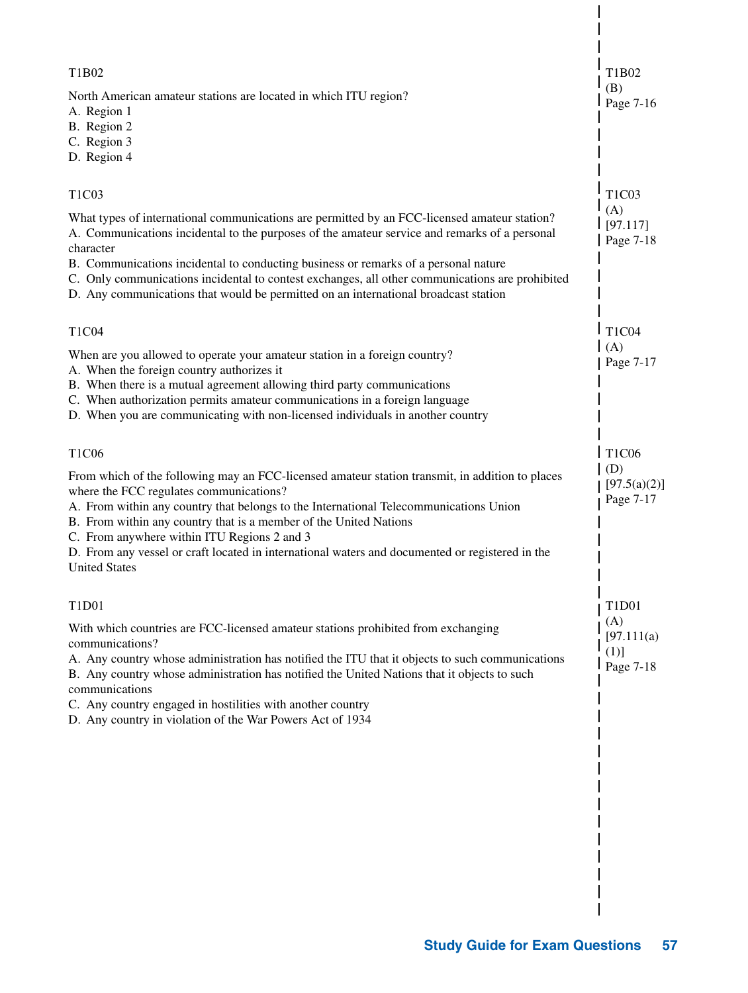| T1B02                                                                                                                                                                                                                                                                                                                                                                                                                                                                              | T1B02                                   |
|------------------------------------------------------------------------------------------------------------------------------------------------------------------------------------------------------------------------------------------------------------------------------------------------------------------------------------------------------------------------------------------------------------------------------------------------------------------------------------|-----------------------------------------|
| North American amateur stations are located in which ITU region?<br>A. Region 1<br>B. Region 2<br>C. Region 3<br>D. Region 4                                                                                                                                                                                                                                                                                                                                                       | (B)<br>Page 7-16                        |
| T <sub>1</sub> C <sub>03</sub>                                                                                                                                                                                                                                                                                                                                                                                                                                                     | T1C03                                   |
| What types of international communications are permitted by an FCC-licensed amateur station?<br>A. Communications incidental to the purposes of the amateur service and remarks of a personal<br>character                                                                                                                                                                                                                                                                         | (A)<br>[97.117]<br>Page 7-18            |
| B. Communications incidental to conducting business or remarks of a personal nature<br>C. Only communications incidental to contest exchanges, all other communications are prohibited<br>D. Any communications that would be permitted on an international broadcast station                                                                                                                                                                                                      |                                         |
| T1C04                                                                                                                                                                                                                                                                                                                                                                                                                                                                              | T1C04                                   |
| When are you allowed to operate your amateur station in a foreign country?<br>A. When the foreign country authorizes it<br>B. When there is a mutual agreement allowing third party communications<br>C. When authorization permits amateur communications in a foreign language<br>D. When you are communicating with non-licensed individuals in another country                                                                                                                 | (A)<br>Page 7-17                        |
| T1C06                                                                                                                                                                                                                                                                                                                                                                                                                                                                              | T1C06                                   |
| From which of the following may an FCC-licensed amateur station transmit, in addition to places<br>where the FCC regulates communications?<br>A. From within any country that belongs to the International Telecommunications Union<br>B. From within any country that is a member of the United Nations<br>C. From anywhere within ITU Regions 2 and 3<br>D. From any vessel or craft located in international waters and documented or registered in the<br><b>United States</b> | (D)<br>[97.5(a)(2)]<br>Page 7-17        |
| T1D01                                                                                                                                                                                                                                                                                                                                                                                                                                                                              | T1D01                                   |
| With which countries are FCC-licensed amateur stations prohibited from exchanging<br>communications?<br>A. Any country whose administration has notified the ITU that it objects to such communications<br>B. Any country whose administration has notified the United Nations that it objects to such<br>communications<br>C. Any country engaged in hostilities with another country<br>D. Any country in violation of the War Powers Act of 1934                                | (A)<br>[97.111(a)]<br>(1)]<br>Page 7-18 |
|                                                                                                                                                                                                                                                                                                                                                                                                                                                                                    |                                         |
|                                                                                                                                                                                                                                                                                                                                                                                                                                                                                    |                                         |
|                                                                                                                                                                                                                                                                                                                                                                                                                                                                                    |                                         |
|                                                                                                                                                                                                                                                                                                                                                                                                                                                                                    |                                         |
|                                                                                                                                                                                                                                                                                                                                                                                                                                                                                    |                                         |
|                                                                                                                                                                                                                                                                                                                                                                                                                                                                                    |                                         |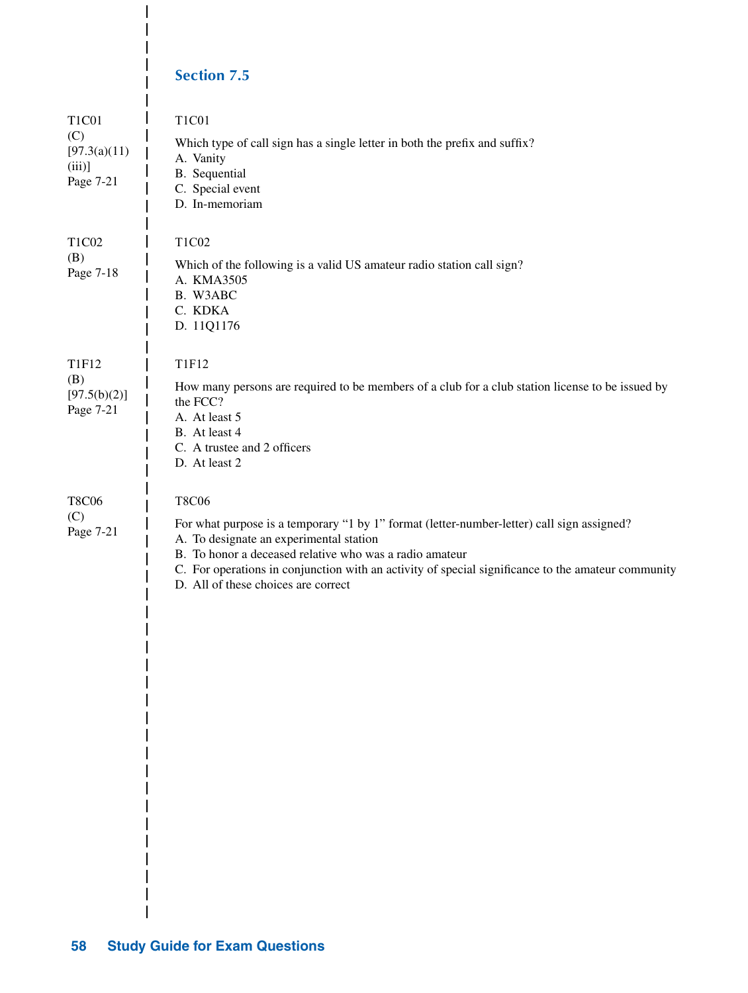# **Section 7.5**

 $\overline{\phantom{a}}$ 

I  $\overline{\phantom{a}}$  $\overline{\phantom{a}}$ 

| <b>T1C01</b><br>(C)<br>[97.3(a)(11)<br>(iii)<br>Page 7-21 | T1C01<br>Which type of call sign has a single letter in both the prefix and suffix?<br>A. Vanity<br>B. Sequential<br>C. Special event<br>D. In-memoriam                                                                                                                                                                                                       |
|-----------------------------------------------------------|---------------------------------------------------------------------------------------------------------------------------------------------------------------------------------------------------------------------------------------------------------------------------------------------------------------------------------------------------------------|
| T1C02<br>(B)<br>Page 7-18                                 | T1C02<br>Which of the following is a valid US amateur radio station call sign?<br>A. KMA3505<br>B. W3ABC<br>C. KDKA<br>D. 11Q1176                                                                                                                                                                                                                             |
| <b>T1F12</b><br>(B)<br>[97.5(b)(2)]<br>Page 7-21          | <b>T1F12</b><br>How many persons are required to be members of a club for a club station license to be issued by<br>the FCC?<br>A. At least 5<br>B. At least 4<br>C. A trustee and 2 officers<br>D. At least 2                                                                                                                                                |
| <b>T8C06</b><br>(C)<br>Page 7-21                          | <b>T8C06</b><br>For what purpose is a temporary "1 by 1" format (letter-number-letter) call sign assigned?<br>A. To designate an experimental station<br>B. To honor a deceased relative who was a radio amateur<br>C. For operations in conjunction with an activity of special significance to the amateur community<br>D. All of these choices are correct |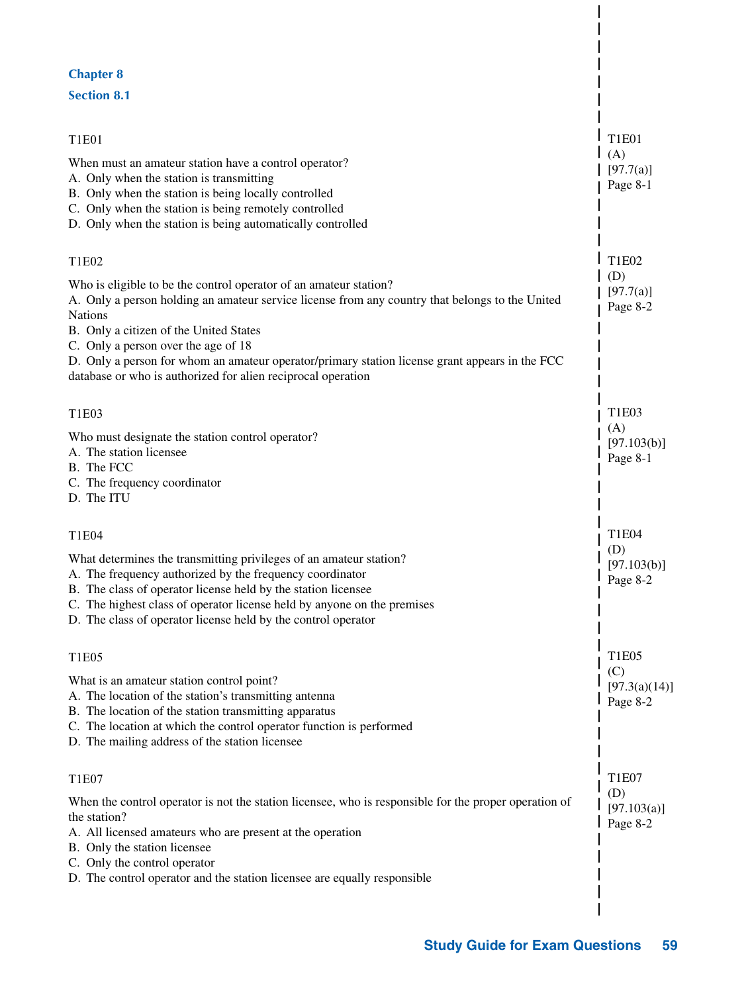#### **Chapter 8**

#### **Section 8.1**

| T1E01                                                                                                                                                                                                                                                                                                                                                                                                                              | <b>T1E01</b>                     |
|------------------------------------------------------------------------------------------------------------------------------------------------------------------------------------------------------------------------------------------------------------------------------------------------------------------------------------------------------------------------------------------------------------------------------------|----------------------------------|
| When must an amateur station have a control operator?<br>A. Only when the station is transmitting<br>B. Only when the station is being locally controlled<br>C. Only when the station is being remotely controlled<br>D. Only when the station is being automatically controlled                                                                                                                                                   | (A)<br>[97.7(a)]<br>Page 8-1     |
| T1E02                                                                                                                                                                                                                                                                                                                                                                                                                              | T1E02                            |
| Who is eligible to be the control operator of an amateur station?<br>A. Only a person holding an amateur service license from any country that belongs to the United<br>Nations<br>B. Only a citizen of the United States<br>C. Only a person over the age of 18<br>D. Only a person for whom an amateur operator/primary station license grant appears in the FCC<br>database or who is authorized for alien reciprocal operation | (D)<br>[97.7(a)]<br>Page 8-2     |
| T1E03                                                                                                                                                                                                                                                                                                                                                                                                                              | T1E03                            |
| Who must designate the station control operator?<br>A. The station licensee<br>B. The FCC<br>C. The frequency coordinator<br>D. The ITU                                                                                                                                                                                                                                                                                            | (A)<br>[97.103(b)]<br>Page 8-1   |
| T1E04                                                                                                                                                                                                                                                                                                                                                                                                                              | T1E04                            |
| What determines the transmitting privileges of an amateur station?<br>A. The frequency authorized by the frequency coordinator<br>B. The class of operator license held by the station licensee<br>C. The highest class of operator license held by anyone on the premises<br>D. The class of operator license held by the control operator                                                                                        | (D)<br>[97.103(b)]<br>Page 8-2   |
| T1E05                                                                                                                                                                                                                                                                                                                                                                                                                              | <b>T1E05</b>                     |
| What is an amateur station control point?<br>A. The location of the station's transmitting antenna<br>B. The location of the station transmitting apparatus<br>C. The location at which the control operator function is performed<br>D. The mailing address of the station licensee                                                                                                                                               | (C)<br>[97.3(a)(14)]<br>Page 8-2 |
| T1E07                                                                                                                                                                                                                                                                                                                                                                                                                              | <b>T1E07</b>                     |
| When the control operator is not the station licensee, who is responsible for the proper operation of<br>the station?<br>A. All licensed amateurs who are present at the operation<br>B. Only the station licensee<br>C. Only the control operator<br>D. The control operator and the station licensee are equally responsible                                                                                                     | (D)<br>[97.103(a)]<br>Page 8-2   |
|                                                                                                                                                                                                                                                                                                                                                                                                                                    |                                  |

 $\overline{\phantom{a}}$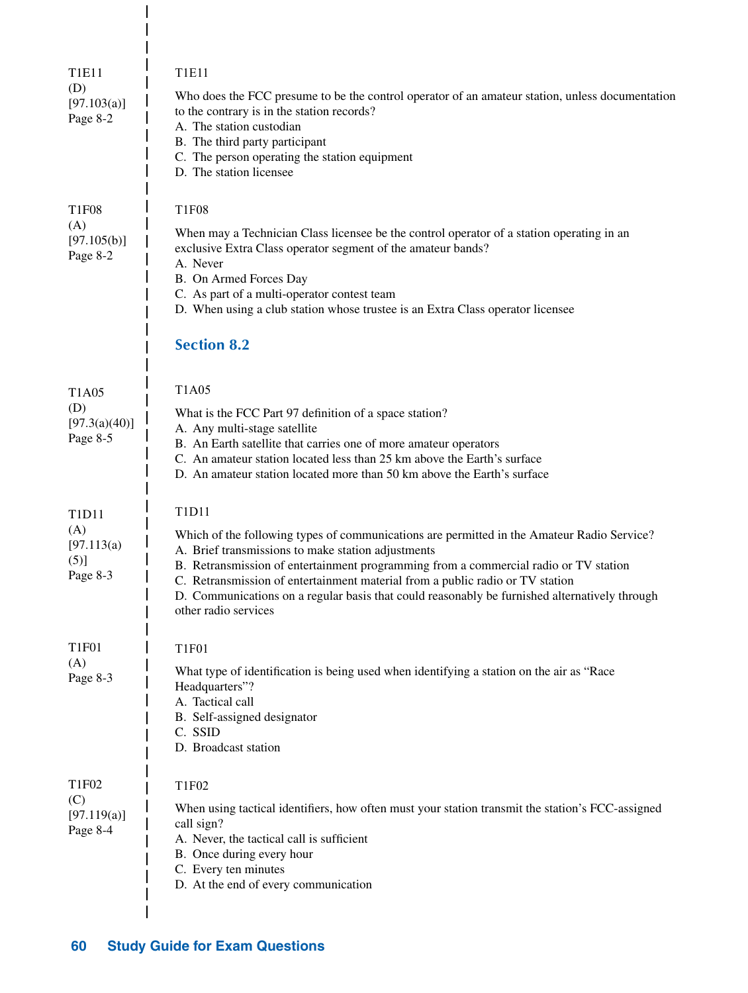| <b>T1E11</b><br>(D)<br>[97.103(a)]<br>Page 8-2                          | <b>T1E11</b><br>Who does the FCC presume to be the control operator of an amateur station, unless documentation<br>to the contrary is in the station records?<br>A. The station custodian<br>B. The third party participant<br>C. The person operating the station equipment<br>D. The station licensee                                                                                                                                                     |
|-------------------------------------------------------------------------|-------------------------------------------------------------------------------------------------------------------------------------------------------------------------------------------------------------------------------------------------------------------------------------------------------------------------------------------------------------------------------------------------------------------------------------------------------------|
| <b>T1F08</b><br>(A)<br>[97.105(b)]<br>Page 8-2                          | <b>T1F08</b><br>When may a Technician Class licensee be the control operator of a station operating in an<br>exclusive Extra Class operator segment of the amateur bands?<br>A. Never<br>B. On Armed Forces Day<br>C. As part of a multi-operator contest team<br>D. When using a club station whose trustee is an Extra Class operator licensee<br><b>Section 8.2</b>                                                                                      |
| T <sub>1</sub> A <sub>05</sub><br>(D)<br>[97.3(a)(40)]<br>Page 8-5      | <b>T1A05</b><br>What is the FCC Part 97 definition of a space station?<br>A. Any multi-stage satellite<br>B. An Earth satellite that carries one of more amateur operators<br>C. An amateur station located less than 25 km above the Earth's surface<br>D. An amateur station located more than 50 km above the Earth's surface                                                                                                                            |
| T <sub>1</sub> D <sub>11</sub><br>(A)<br>[97.113(a)<br>(5)]<br>Page 8-3 | T1D11<br>Which of the following types of communications are permitted in the Amateur Radio Service?<br>A. Brief transmissions to make station adjustments<br>B. Retransmission of entertainment programming from a commercial radio or TV station<br>C. Retransmission of entertainment material from a public radio or TV station<br>D. Communications on a regular basis that could reasonably be furnished alternatively through<br>other radio services |
| <b>T1F01</b><br>(A)<br>Page 8-3                                         | <b>T1F01</b><br>What type of identification is being used when identifying a station on the air as "Race<br>Headquarters"?<br>A. Tactical call<br>B. Self-assigned designator<br>C. SSID<br>D. Broadcast station                                                                                                                                                                                                                                            |
| T1F02<br>(C)<br>[97.119(a)]<br>Page 8-4                                 | T1F02<br>When using tactical identifiers, how often must your station transmit the station's FCC-assigned<br>call sign?<br>A. Never, the tactical call is sufficient<br>B. Once during every hour<br>C. Every ten minutes<br>D. At the end of every communication                                                                                                                                                                                           |

 $\frac{1}{1}$  $\overline{1}$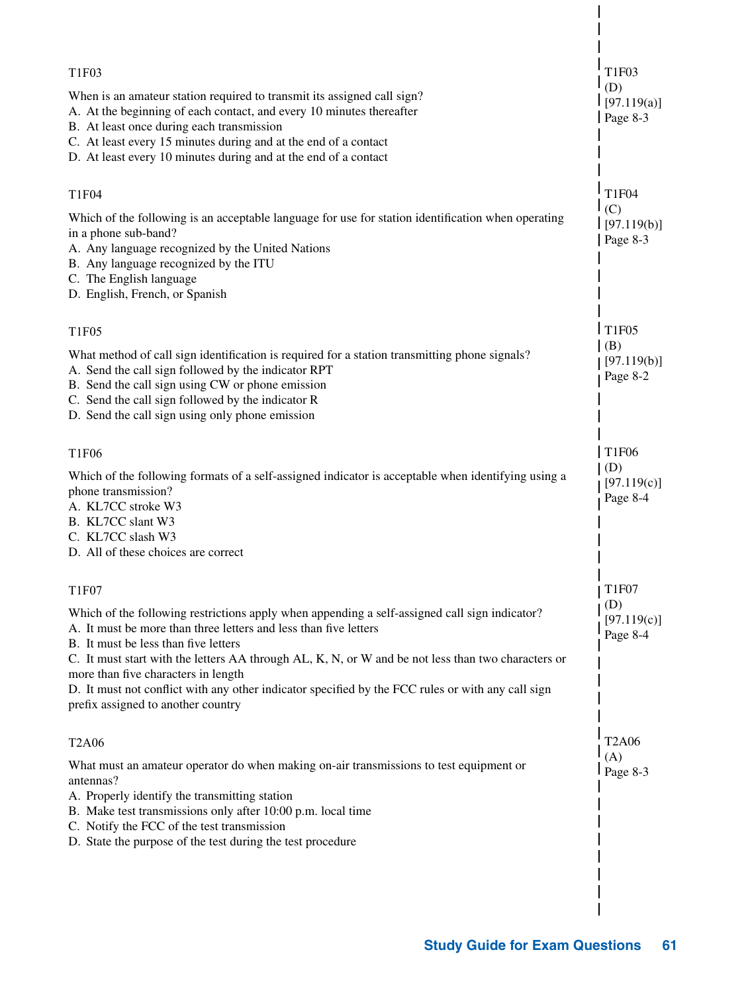| T1F03<br>(D)<br>[97.119(a)]<br>Page $8-3$           |
|-----------------------------------------------------|
| <b>T1F04</b><br>(C)<br>[97.119(b)]<br>Page 8-3      |
| T <sub>1F05</sub><br>(B)<br>[97.119(b)]<br>Page 8-2 |
| <b>T1F06</b><br>(D)<br>[97.119(c)]<br>Page 8-4      |
| <b>T1F07</b><br>(D)<br>[97.119(c)]<br>Page 8-4      |
| <b>T2A06</b><br>(A)<br>Page 8-3                     |
|                                                     |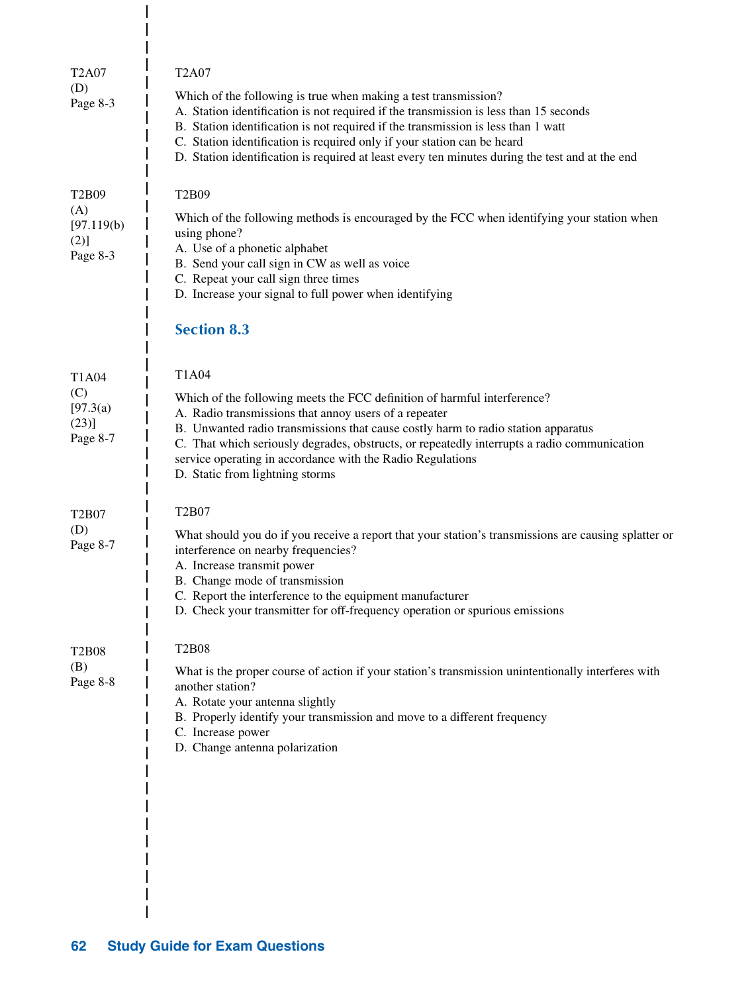| <b>T2A07</b><br>(D)<br>Page 8-3                                          | <b>T2A07</b><br>Which of the following is true when making a test transmission?<br>A. Station identification is not required if the transmission is less than 15 seconds<br>B. Station identification is not required if the transmission is less than 1 watt<br>C. Station identification is required only if your station can be heard<br>D. Station identification is required at least every ten minutes during the test and at the end |
|--------------------------------------------------------------------------|---------------------------------------------------------------------------------------------------------------------------------------------------------------------------------------------------------------------------------------------------------------------------------------------------------------------------------------------------------------------------------------------------------------------------------------------|
| T <sub>2</sub> B <sub>09</sub><br>(A)<br>[97.119(b)]<br>(2)]<br>Page 8-3 | T2B09<br>Which of the following methods is encouraged by the FCC when identifying your station when<br>using phone?<br>A. Use of a phonetic alphabet<br>B. Send your call sign in CW as well as voice<br>C. Repeat your call sign three times<br>D. Increase your signal to full power when identifying<br><b>Section 8.3</b>                                                                                                               |
| T1A04<br>(C)<br>[97.3(a)<br>(23)]<br>Page 8-7                            | T1A04<br>Which of the following meets the FCC definition of harmful interference?<br>A. Radio transmissions that annoy users of a repeater<br>B. Unwanted radio transmissions that cause costly harm to radio station apparatus<br>C. That which seriously degrades, obstructs, or repeatedly interrupts a radio communication<br>service operating in accordance with the Radio Regulations<br>D. Static from lightning storms             |
| T <sub>2</sub> B07<br>(D)<br>Page 8-7                                    | T <sub>2</sub> B <sub>07</sub><br>What should you do if you receive a report that your station's transmissions are causing splatter or<br>interference on nearby frequencies?<br>A. Increase transmit power<br>B. Change mode of transmission<br>C. Report the interference to the equipment manufacturer<br>D. Check your transmitter for off-frequency operation or spurious emissions                                                    |
| <b>T2B08</b><br>(B)<br>Page 8-8                                          | <b>T2B08</b><br>What is the proper course of action if your station's transmission unintentionally interferes with<br>another station?<br>A. Rotate your antenna slightly<br>B. Properly identify your transmission and move to a different frequency<br>C. Increase power<br>D. Change antenna polarization                                                                                                                                |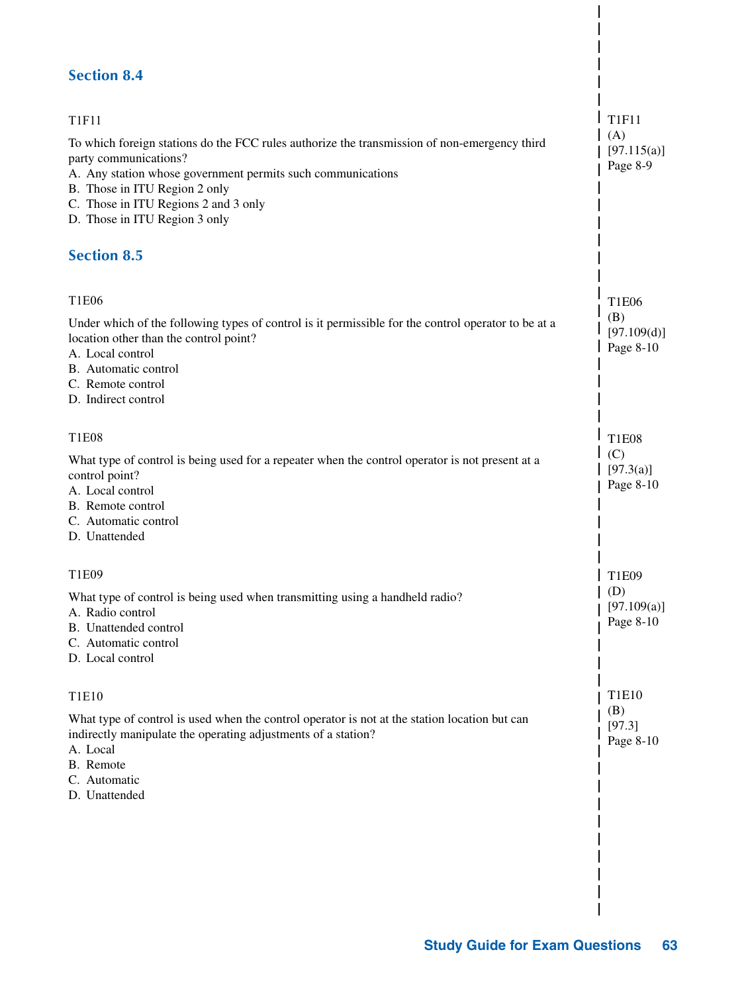# **Section 8.4** T1F11 To which foreign stations do the FCC rules authorize the transmission of non-emergency third party communications? A. Any station whose government permits such communications B. Those in ITU Region 2 only C. Those in ITU Regions 2 and 3 only D. Those in ITU Region 3 only **Section 8.5** T1E06 Under which of the following types of control is it permissible for the control operator to be at a location other than the control point? A. Local control B. Automatic control C. Remote control D. Indirect control T1E08 What type of control is being used for a repeater when the control operator is not present at a control point? A. Local control B. Remote control C. Automatic control D. Unattended T1E09 What type of control is being used when transmitting using a handheld radio? A. Radio control B. Unattended control C. Automatic control

D. Local control

#### T1E10

What type of control is used when the control operator is not at the station location but can indirectly manipulate the operating adjustments of a station?

- A. Local
- B. Remote
- C. Automatic
- D. Unattended

 $I$  T<sub>1F11</sub>  $(A)$ 

> $[97.115(a)]$ Page 8-9

T1E06 (B)  $[97.109(d)]$ Page 8-10

T1E08  $(C)$ [97.3(a)] Page 8-10

I

| T<sub>1</sub>E09 (D)  $[97.109(a)]$ Page 8-10

> T1E10 (B) [97.3] Page 8-10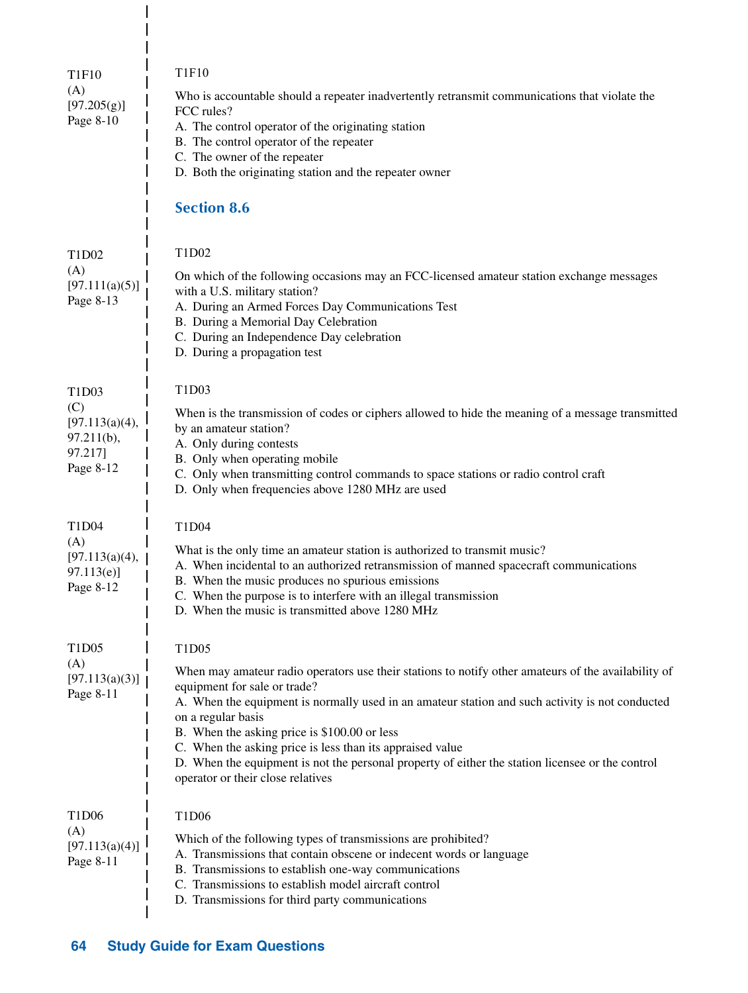| T1F10                                                                | <b>T1F10</b>                                                                                                                                                                                                                                                                                                                                                                                                                                                                                                                |
|----------------------------------------------------------------------|-----------------------------------------------------------------------------------------------------------------------------------------------------------------------------------------------------------------------------------------------------------------------------------------------------------------------------------------------------------------------------------------------------------------------------------------------------------------------------------------------------------------------------|
| (A)<br>[97.205(g)]<br>Page 8-10                                      | Who is accountable should a repeater inadvertently retransmit communications that violate the<br>FCC rules?<br>A. The control operator of the originating station<br>B. The control operator of the repeater<br>C. The owner of the repeater<br>D. Both the originating station and the repeater owner<br><b>Section 8.6</b>                                                                                                                                                                                                |
|                                                                      |                                                                                                                                                                                                                                                                                                                                                                                                                                                                                                                             |
| T1D02<br>(A)<br>[97.111(a)(5)]<br>Page 8-13                          | T1D02<br>On which of the following occasions may an FCC-licensed amateur station exchange messages<br>with a U.S. military station?<br>A. During an Armed Forces Day Communications Test<br>B. During a Memorial Day Celebration<br>C. During an Independence Day celebration<br>D. During a propagation test                                                                                                                                                                                                               |
| T1D03<br>(C)<br>[97.113(a)(4),<br>97.211(b),<br>97.217]<br>Page 8-12 | T1D03<br>When is the transmission of codes or ciphers allowed to hide the meaning of a message transmitted<br>by an amateur station?<br>A. Only during contests<br>B. Only when operating mobile<br>C. Only when transmitting control commands to space stations or radio control craft<br>D. Only when frequencies above 1280 MHz are used                                                                                                                                                                                 |
| T1D04<br>(A)<br>[97.113(a)(4),<br>97.113(e)<br>Page 8-12             | T1D04<br>What is the only time an amateur station is authorized to transmit music?<br>A. When incidental to an authorized retransmission of manned spacecraft communications<br>B. When the music produces no spurious emissions<br>C. When the purpose is to interfere with an illegal transmission<br>D. When the music is transmitted above 1280 MHz                                                                                                                                                                     |
| T1D05<br>(A)<br>[97.113(a)(3)]<br>Page 8-11                          | T1D05<br>When may amateur radio operators use their stations to notify other amateurs of the availability of<br>equipment for sale or trade?<br>A. When the equipment is normally used in an amateur station and such activity is not conducted<br>on a regular basis<br>B. When the asking price is \$100.00 or less<br>C. When the asking price is less than its appraised value<br>D. When the equipment is not the personal property of either the station licensee or the control<br>operator or their close relatives |
| T <sub>1</sub> D <sub>06</sub><br>(A)<br>[97.113(a)(4)]<br>Page 8-11 | T1D06<br>Which of the following types of transmissions are prohibited?<br>A. Transmissions that contain obscene or indecent words or language<br>B. Transmissions to establish one-way communications<br>C. Transmissions to establish model aircraft control<br>D. Transmissions for third party communications                                                                                                                                                                                                            |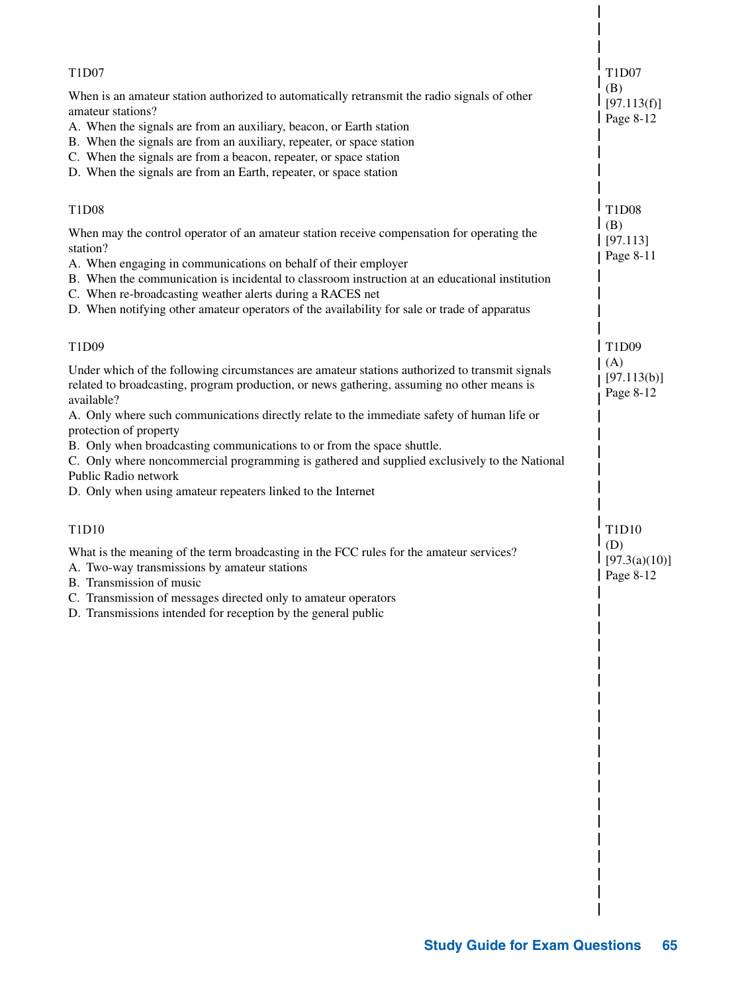| T1D07                                                                                                                                                                                                                                                                                                                                                                                                                                   | T1D07<br>(B)                               |
|-----------------------------------------------------------------------------------------------------------------------------------------------------------------------------------------------------------------------------------------------------------------------------------------------------------------------------------------------------------------------------------------------------------------------------------------|--------------------------------------------|
| When is an amateur station authorized to automatically retransmit the radio signals of other<br>amateur stations?<br>A. When the signals are from an auxiliary, beacon, or Earth station<br>B. When the signals are from an auxiliary, repeater, or space station<br>C. When the signals are from a beacon, repeater, or space station<br>D. When the signals are from an Earth, repeater, or space station                             | [97.113(f)]<br>Page 8-12                   |
| T1D08                                                                                                                                                                                                                                                                                                                                                                                                                                   | T1D08                                      |
| When may the control operator of an amateur station receive compensation for operating the<br>station?<br>A. When engaging in communications on behalf of their employer<br>B. When the communication is incidental to classroom instruction at an educational institution<br>C. When re-broadcasting weather alerts during a RACES net<br>D. When notifying other amateur operators of the availability for sale or trade of apparatus | (B)<br>[97.113]<br>Page 8-11               |
| T1D09                                                                                                                                                                                                                                                                                                                                                                                                                                   | T1D09                                      |
| Under which of the following circumstances are amateur stations authorized to transmit signals<br>related to broadcasting, program production, or news gathering, assuming no other means is<br>available?                                                                                                                                                                                                                              | (A)<br>[97.113(b)]<br>Page 8-12            |
| A. Only where such communications directly relate to the immediate safety of human life or<br>protection of property<br>B. Only when broadcasting communications to or from the space shuttle.<br>C. Only where noncommercial programming is gathered and supplied exclusively to the National<br>Public Radio network<br>D. Only when using amateur repeaters linked to the Internet                                                   |                                            |
| T1D10                                                                                                                                                                                                                                                                                                                                                                                                                                   | T1D10                                      |
| What is the meaning of the term broadcasting in the FCC rules for the amateur services?<br>A. Two-way transmissions by amateur stations<br>B. Transmission of music<br>C. Transmission of messages directed only to amateur operators<br>D. Transmissions intended for reception by the general public                                                                                                                                  | (D)<br>[97.3(a)(10)]<br>$\sqrt{$ Page 8-12 |
|                                                                                                                                                                                                                                                                                                                                                                                                                                         |                                            |
|                                                                                                                                                                                                                                                                                                                                                                                                                                         |                                            |
|                                                                                                                                                                                                                                                                                                                                                                                                                                         |                                            |
|                                                                                                                                                                                                                                                                                                                                                                                                                                         |                                            |
|                                                                                                                                                                                                                                                                                                                                                                                                                                         |                                            |
|                                                                                                                                                                                                                                                                                                                                                                                                                                         |                                            |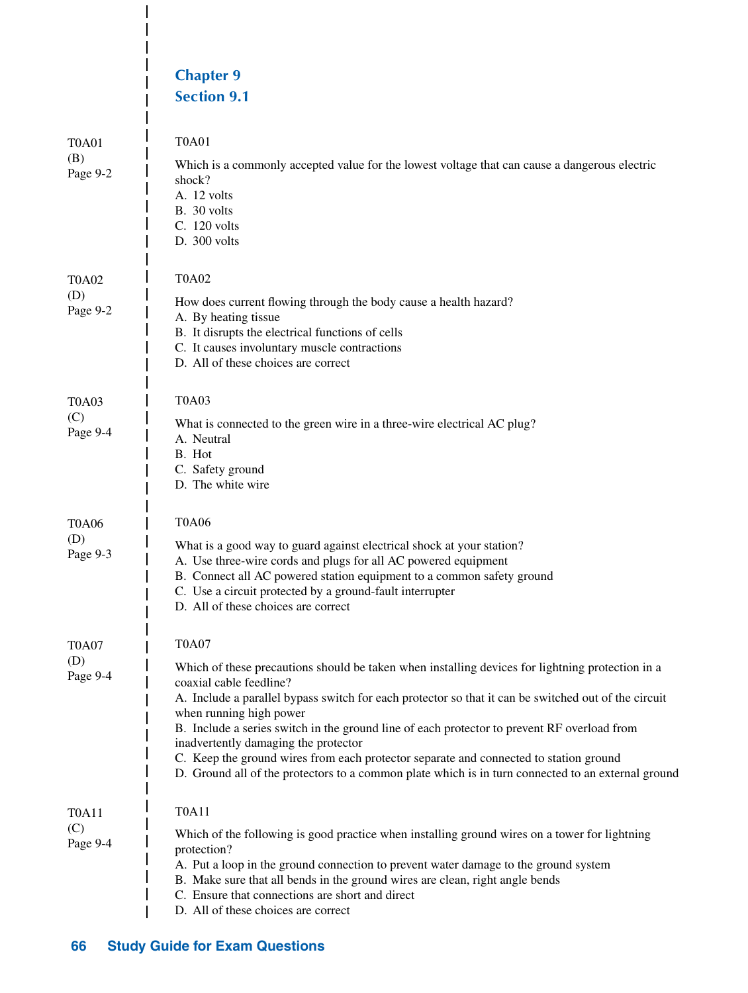|                                                   | <b>Chapter 9</b><br><b>Section 9.1</b>                                                                                                                                                                                                                                                                                                                                                                                                                                                                                                                                                                               |
|---------------------------------------------------|----------------------------------------------------------------------------------------------------------------------------------------------------------------------------------------------------------------------------------------------------------------------------------------------------------------------------------------------------------------------------------------------------------------------------------------------------------------------------------------------------------------------------------------------------------------------------------------------------------------------|
| <b>T0A01</b><br>(B)<br>Page 9-2                   | <b>T0A01</b><br>Which is a commonly accepted value for the lowest voltage that can cause a dangerous electric<br>shock?<br>A. 12 volts<br>B. 30 volts<br>C. 120 volts<br>D. 300 volts                                                                                                                                                                                                                                                                                                                                                                                                                                |
| <b>T0A02</b><br>(D)<br>Page 9-2                   | <b>T0A02</b><br>How does current flowing through the body cause a health hazard?<br>A. By heating tissue<br>B. It disrupts the electrical functions of cells<br>C. It causes involuntary muscle contractions<br>D. All of these choices are correct                                                                                                                                                                                                                                                                                                                                                                  |
| <b>T0A03</b><br>(C)<br>Page 9-4                   | <b>T0A03</b><br>What is connected to the green wire in a three-wire electrical AC plug?<br>A. Neutral<br>B. Hot<br>C. Safety ground<br>D. The white wire                                                                                                                                                                                                                                                                                                                                                                                                                                                             |
| <b>T0A06</b><br>(D)<br>Page 9-3                   | <b>T0A06</b><br>What is a good way to guard against electrical shock at your station?<br>A. Use three-wire cords and plugs for all AC powered equipment<br>B. Connect all AC powered station equipment to a common safety ground<br>C. Use a circuit protected by a ground-fault interrupter<br>D. All of these choices are correct                                                                                                                                                                                                                                                                                  |
| <b>T0A07</b><br>(D)<br>Page 9-4                   | <b>T0A07</b><br>Which of these precautions should be taken when installing devices for lightning protection in a<br>coaxial cable feedline?<br>A. Include a parallel bypass switch for each protector so that it can be switched out of the circuit<br>when running high power<br>B. Include a series switch in the ground line of each protector to prevent RF overload from<br>inadvertently damaging the protector<br>C. Keep the ground wires from each protector separate and connected to station ground<br>D. Ground all of the protectors to a common plate which is in turn connected to an external ground |
| T <sub>0</sub> A <sub>11</sub><br>(C)<br>Page 9-4 | <b>T0A11</b><br>Which of the following is good practice when installing ground wires on a tower for lightning<br>protection?<br>A. Put a loop in the ground connection to prevent water damage to the ground system<br>B. Make sure that all bends in the ground wires are clean, right angle bends<br>C. Ensure that connections are short and direct<br>D. All of these choices are correct                                                                                                                                                                                                                        |

 $\frac{1}{1}$  $\overline{1}$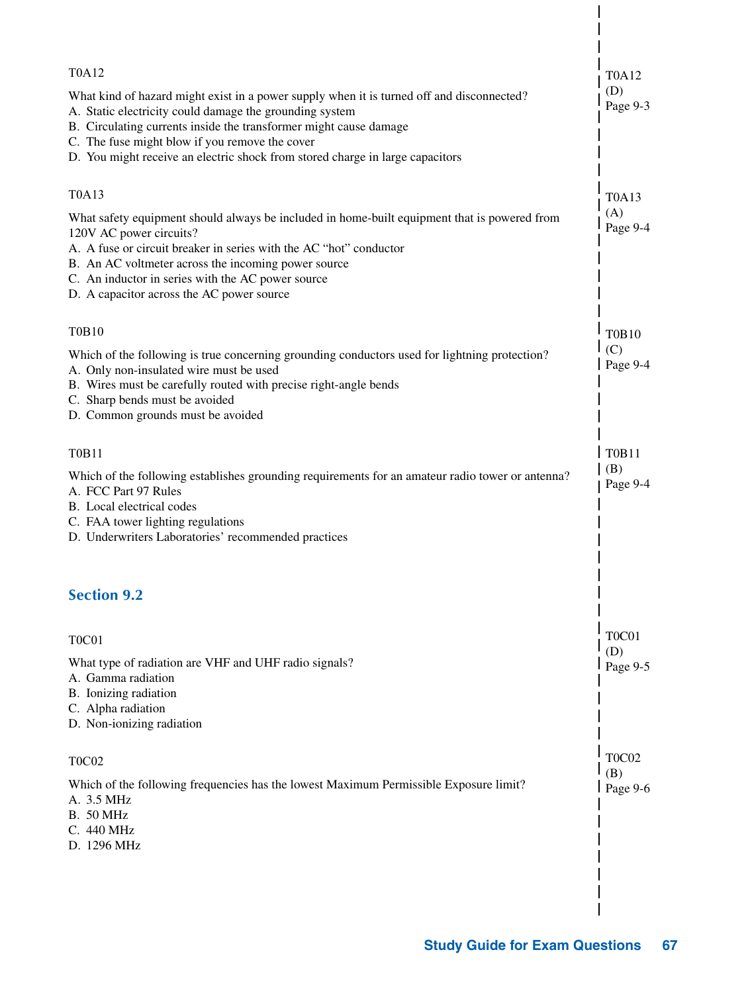| T0A12                                                                                                                                                                                                                                                                                                                                                        | T0A12                          |
|--------------------------------------------------------------------------------------------------------------------------------------------------------------------------------------------------------------------------------------------------------------------------------------------------------------------------------------------------------------|--------------------------------|
| What kind of hazard might exist in a power supply when it is turned off and disconnected?<br>A. Static electricity could damage the grounding system<br>B. Circulating currents inside the transformer might cause damage<br>C. The fuse might blow if you remove the cover<br>D. You might receive an electric shock from stored charge in large capacitors | (D)<br>Page 9-3                |
| <b>T0A13</b>                                                                                                                                                                                                                                                                                                                                                 | <b>T0A13</b>                   |
| What safety equipment should always be included in home-built equipment that is powered from<br>120V AC power circuits?<br>A. A fuse or circuit breaker in series with the AC "hot" conductor<br>B. An AC voltmeter across the incoming power source<br>C. An inductor in series with the AC power source<br>D. A capacitor across the AC power source       | (A)<br>Page 9-4                |
| <b>T0B10</b>                                                                                                                                                                                                                                                                                                                                                 | <b>T0B10</b>                   |
| Which of the following is true concerning grounding conductors used for lightning protection?<br>A. Only non-insulated wire must be used<br>B. Wires must be carefully routed with precise right-angle bends<br>C. Sharp bends must be avoided<br>D. Common grounds must be avoided                                                                          | (C)<br>Page 9-4                |
| <b>T0B11</b>                                                                                                                                                                                                                                                                                                                                                 | <b>T0B11</b>                   |
| Which of the following establishes grounding requirements for an amateur radio tower or antenna?<br>A. FCC Part 97 Rules<br>B. Local electrical codes<br>C. FAA tower lighting regulations<br>D. Underwriters Laboratories' recommended practices                                                                                                            | (B)<br>Page 9-4                |
| <b>Section 9.2</b>                                                                                                                                                                                                                                                                                                                                           |                                |
| T0C01                                                                                                                                                                                                                                                                                                                                                        | T <sub>0</sub> C <sub>01</sub> |
| What type of radiation are VHF and UHF radio signals?<br>A. Gamma radiation<br>B. Ionizing radiation<br>C. Alpha radiation<br>D. Non-ionizing radiation                                                                                                                                                                                                      | (D)<br>Page 9-5                |
| <b>T0C02</b>                                                                                                                                                                                                                                                                                                                                                 | T <sub>0</sub> C <sub>02</sub> |
| Which of the following frequencies has the lowest Maximum Permissible Exposure limit?<br>A. 3.5 MHz<br><b>B.</b> 50 MHz<br>C. 440 MHz<br>D. 1296 MHz                                                                                                                                                                                                         | (B)<br>Page 9-6                |
|                                                                                                                                                                                                                                                                                                                                                              |                                |

 $\overline{\phantom{a}}$ 

 $\overline{\phantom{a}}$  $\overline{\phantom{a}}$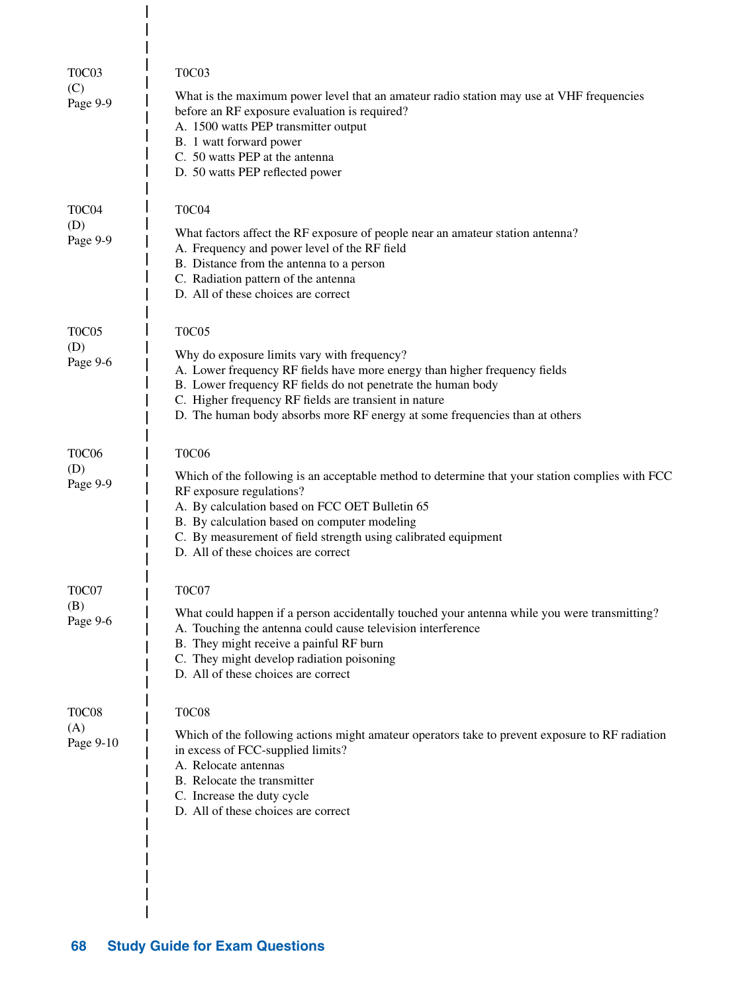| T <sub>0</sub> C <sub>03</sub><br>(C)<br>Page 9-9 | T0C03<br>What is the maximum power level that an amateur radio station may use at VHF frequencies<br>before an RF exposure evaluation is required?<br>A. 1500 watts PEP transmitter output<br>B. 1 watt forward power<br>C. 50 watts PEP at the antenna<br>D. 50 watts PEP reflected power                                             |
|---------------------------------------------------|----------------------------------------------------------------------------------------------------------------------------------------------------------------------------------------------------------------------------------------------------------------------------------------------------------------------------------------|
| T <sub>0</sub> C <sub>04</sub>                    | T0C04                                                                                                                                                                                                                                                                                                                                  |
| (D)<br>Page 9-9                                   | What factors affect the RF exposure of people near an amateur station antenna?<br>A. Frequency and power level of the RF field<br>B. Distance from the antenna to a person<br>C. Radiation pattern of the antenna<br>D. All of these choices are correct                                                                               |
| T <sub>0</sub> C <sub>05</sub>                    | <b>T0C05</b>                                                                                                                                                                                                                                                                                                                           |
| (D)<br>Page 9-6                                   | Why do exposure limits vary with frequency?<br>A. Lower frequency RF fields have more energy than higher frequency fields<br>B. Lower frequency RF fields do not penetrate the human body<br>C. Higher frequency RF fields are transient in nature<br>D. The human body absorbs more RF energy at some frequencies than at others      |
| T <sub>0</sub> C <sub>06</sub>                    | <b>T0C06</b>                                                                                                                                                                                                                                                                                                                           |
| (D)<br>Page 9-9                                   | Which of the following is an acceptable method to determine that your station complies with FCC<br>RF exposure regulations?<br>A. By calculation based on FCC OET Bulletin 65<br>B. By calculation based on computer modeling<br>C. By measurement of field strength using calibrated equipment<br>D. All of these choices are correct |
| T <sub>0</sub> C <sub>07</sub>                    | T <sub>0</sub> C <sub>07</sub>                                                                                                                                                                                                                                                                                                         |
| (B)<br>Page 9-6                                   | What could happen if a person accidentally touched your antenna while you were transmitting?<br>A. Touching the antenna could cause television interference<br>B. They might receive a painful RF burn<br>C. They might develop radiation poisoning<br>D. All of these choices are correct                                             |
| <b>T0C08</b>                                      | <b>T0C08</b>                                                                                                                                                                                                                                                                                                                           |
| (A)<br>Page 9-10                                  | Which of the following actions might amateur operators take to prevent exposure to RF radiation<br>in excess of FCC-supplied limits?<br>A. Relocate antennas<br>B. Relocate the transmitter<br>C. Increase the duty cycle<br>D. All of these choices are correct                                                                       |
|                                                   |                                                                                                                                                                                                                                                                                                                                        |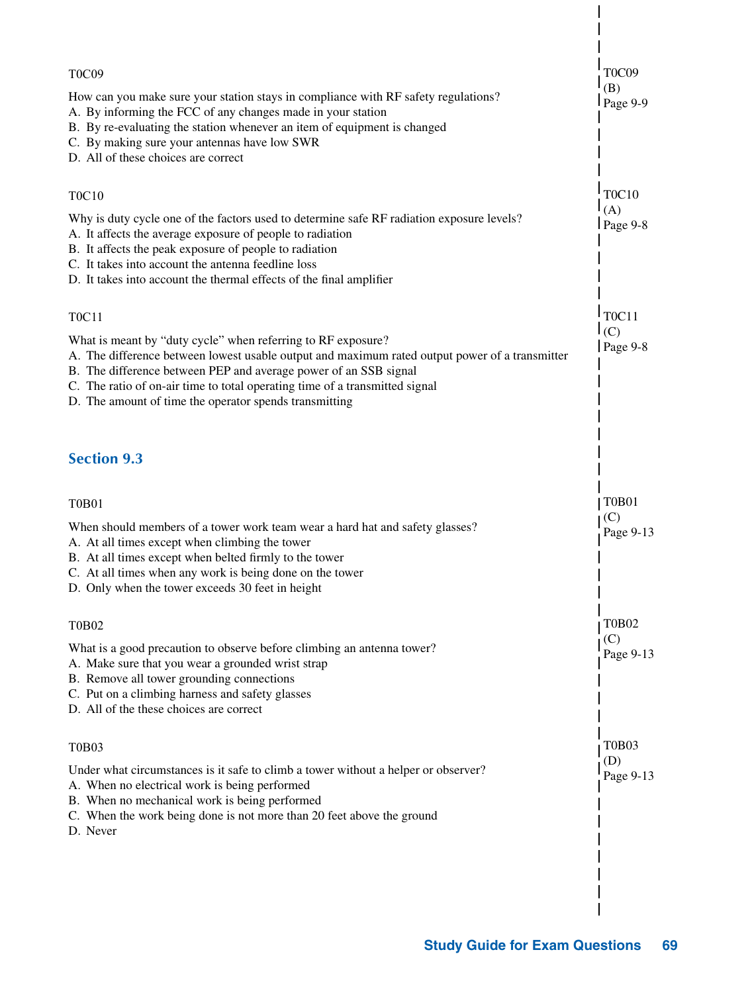| T <sub>0</sub> C <sub>09</sub><br>How can you make sure your station stays in compliance with RF safety regulations?                                                                                                                                                                                                                                                        | <b>T0C09</b><br>(B)            |
|-----------------------------------------------------------------------------------------------------------------------------------------------------------------------------------------------------------------------------------------------------------------------------------------------------------------------------------------------------------------------------|--------------------------------|
| A. By informing the FCC of any changes made in your station<br>B. By re-evaluating the station whenever an item of equipment is changed<br>C. By making sure your antennas have low SWR<br>D. All of these choices are correct                                                                                                                                              | Page 9-9                       |
| <b>T0C10</b>                                                                                                                                                                                                                                                                                                                                                                | <b>T0C10</b>                   |
| Why is duty cycle one of the factors used to determine safe RF radiation exposure levels?<br>A. It affects the average exposure of people to radiation<br>B. It affects the peak exposure of people to radiation<br>C. It takes into account the antenna feedline loss<br>D. It takes into account the thermal effects of the final amplifier                               | (A)<br>$Page 9-8$              |
| <b>TOC11</b>                                                                                                                                                                                                                                                                                                                                                                | <b>TOC11</b>                   |
| What is meant by "duty cycle" when referring to RF exposure?<br>A. The difference between lowest usable output and maximum rated output power of a transmitter<br>B. The difference between PEP and average power of an SSB signal<br>C. The ratio of on-air time to total operating time of a transmitted signal<br>D. The amount of time the operator spends transmitting | (C)<br>Page $9-8$              |
| <b>Section 9.3</b>                                                                                                                                                                                                                                                                                                                                                          |                                |
| <b>T0B01</b>                                                                                                                                                                                                                                                                                                                                                                | <b>T0B01</b>                   |
| When should members of a tower work team wear a hard hat and safety glasses?<br>A. At all times except when climbing the tower<br>B. At all times except when belted firmly to the tower<br>C. At all times when any work is being done on the tower<br>D. Only when the tower exceeds 30 feet in height                                                                    | (C)<br>Page 9-13               |
| <b>T0B02</b>                                                                                                                                                                                                                                                                                                                                                                | <b>T0B02</b>                   |
| What is a good precaution to observe before climbing an antenna tower?<br>A. Make sure that you wear a grounded wrist strap<br>B. Remove all tower grounding connections<br>C. Put on a climbing harness and safety glasses<br>D. All of the these choices are correct                                                                                                      | (C)<br>Page 9-13               |
| <b>T0B03</b>                                                                                                                                                                                                                                                                                                                                                                | T <sub>0</sub> B <sub>03</sub> |
| Under what circumstances is it safe to climb a tower without a helper or observer?<br>A. When no electrical work is being performed<br>B. When no mechanical work is being performed<br>C. When the work being done is not more than 20 feet above the ground<br>D. Never                                                                                                   | (D)<br>Page 9-13               |
|                                                                                                                                                                                                                                                                                                                                                                             |                                |
|                                                                                                                                                                                                                                                                                                                                                                             |                                |